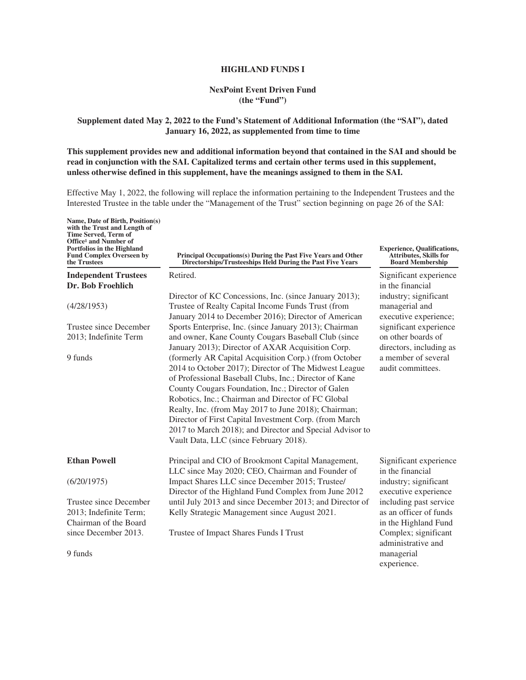# **HIGHLAND FUNDS I**

# **NexPoint Event Driven Fund (the "Fund")**

# **Supplement dated May 2, 2022 to the Fund's Statement of Additional Information (the "SAI"), dated January 16, 2022, as supplemented from time to time**

**This supplement provides new and additional information beyond that contained in the SAI and should be read in conjunction with the SAI. Capitalized terms and certain other terms used in this supplement, unless otherwise defined in this supplement, have the meanings assigned to them in the SAI.**

Effective May 1, 2022, the following will replace the information pertaining to the Independent Trustees and the Interested Trustee in the table under the "Management of the Trust" section beginning on page 26 of the SAI:

| Name, Date of Birth, Position(s)<br>with the Trust and Length of<br>Time Served, Term of<br>Office <sup>1</sup> and Number of<br><b>Portfolios in the Highland</b><br><b>Fund Complex Overseen by</b><br>the Trustees | Principal Occupations(s) During the Past Five Years and Other<br>Directorships/Trusteeships Held During the Past Five Years                                                                                                                                                                                                                                                                                                                                                                                                                                       | <b>Experience, Qualifications,</b><br><b>Attributes, Skills for</b><br><b>Board Membership</b> |
|-----------------------------------------------------------------------------------------------------------------------------------------------------------------------------------------------------------------------|-------------------------------------------------------------------------------------------------------------------------------------------------------------------------------------------------------------------------------------------------------------------------------------------------------------------------------------------------------------------------------------------------------------------------------------------------------------------------------------------------------------------------------------------------------------------|------------------------------------------------------------------------------------------------|
| <b>Independent Trustees</b>                                                                                                                                                                                           | Retired.                                                                                                                                                                                                                                                                                                                                                                                                                                                                                                                                                          | Significant experience                                                                         |
| Dr. Bob Froehlich                                                                                                                                                                                                     |                                                                                                                                                                                                                                                                                                                                                                                                                                                                                                                                                                   | in the financial                                                                               |
| (4/28/1953)                                                                                                                                                                                                           | Director of KC Concessions, Inc. (since January 2013);<br>Trustee of Realty Capital Income Funds Trust (from<br>January 2014 to December 2016); Director of American                                                                                                                                                                                                                                                                                                                                                                                              | industry; significant<br>managerial and<br>executive experience;                               |
| Trustee since December<br>2013; Indefinite Term                                                                                                                                                                       | Sports Enterprise, Inc. (since January 2013); Chairman<br>and owner, Kane County Cougars Baseball Club (since                                                                                                                                                                                                                                                                                                                                                                                                                                                     | significant experience<br>on other boards of                                                   |
| 9 funds                                                                                                                                                                                                               | January 2013); Director of AXAR Acquisition Corp.<br>(formerly AR Capital Acquisition Corp.) (from October<br>2014 to October 2017); Director of The Midwest League<br>of Professional Baseball Clubs, Inc.; Director of Kane<br>County Cougars Foundation, Inc.; Director of Galen<br>Robotics, Inc.; Chairman and Director of FC Global<br>Realty, Inc. (from May 2017 to June 2018); Chairman;<br>Director of First Capital Investment Corp. (from March<br>2017 to March 2018); and Director and Special Advisor to<br>Vault Data, LLC (since February 2018). | directors, including as<br>a member of several<br>audit committees.                            |
| <b>Ethan Powell</b>                                                                                                                                                                                                   | Principal and CIO of Brookmont Capital Management,<br>LLC since May 2020; CEO, Chairman and Founder of                                                                                                                                                                                                                                                                                                                                                                                                                                                            | Significant experience<br>in the financial                                                     |
| (6/20/1975)                                                                                                                                                                                                           | Impact Shares LLC since December 2015; Trustee/<br>Director of the Highland Fund Complex from June 2012                                                                                                                                                                                                                                                                                                                                                                                                                                                           | industry; significant<br>executive experience                                                  |
| Trustee since December                                                                                                                                                                                                | until July 2013 and since December 2013; and Director of                                                                                                                                                                                                                                                                                                                                                                                                                                                                                                          | including past service                                                                         |
| 2013; Indefinite Term;                                                                                                                                                                                                | Kelly Strategic Management since August 2021.                                                                                                                                                                                                                                                                                                                                                                                                                                                                                                                     | as an officer of funds                                                                         |
| Chairman of the Board<br>since December 2013.                                                                                                                                                                         | Trustee of Impact Shares Funds I Trust                                                                                                                                                                                                                                                                                                                                                                                                                                                                                                                            | in the Highland Fund<br>Complex; significant<br>administrative and                             |
| 9 funds                                                                                                                                                                                                               |                                                                                                                                                                                                                                                                                                                                                                                                                                                                                                                                                                   | managerial<br>experience.                                                                      |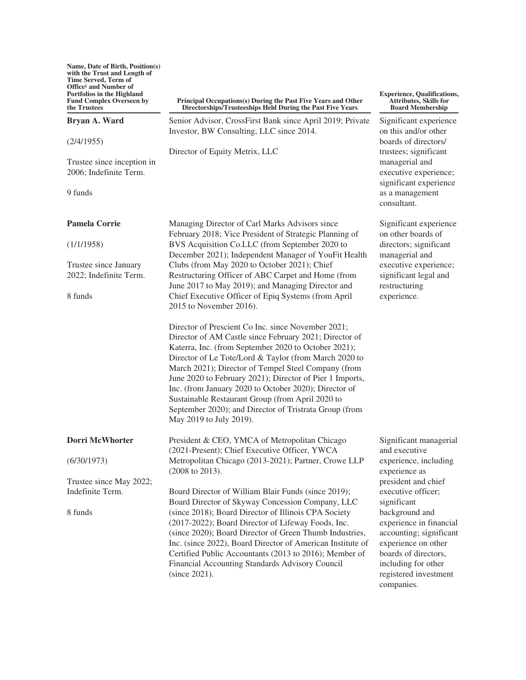| Name, Date of Birth, Position(s)<br>with the Trust and Length of<br>Time Served, Term of<br>Office <sup>1</sup> and Number of<br>Portfolios in the Highland<br><b>Fund Complex Overseen by</b><br>the Trustees | Principal Occupations(s) During the Past Five Years and Other<br>Directorships/Trusteeships Held During the Past Five Years                                                                                                                                                                                                                                                                                                                                                                                                                        | <b>Experience, Qualifications,</b><br>Attributes, Skills for<br><b>Board Membership</b>                                                                                           |
|----------------------------------------------------------------------------------------------------------------------------------------------------------------------------------------------------------------|----------------------------------------------------------------------------------------------------------------------------------------------------------------------------------------------------------------------------------------------------------------------------------------------------------------------------------------------------------------------------------------------------------------------------------------------------------------------------------------------------------------------------------------------------|-----------------------------------------------------------------------------------------------------------------------------------------------------------------------------------|
| Bryan A. Ward                                                                                                                                                                                                  | Senior Advisor, CrossFirst Bank since April 2019; Private<br>Investor, BW Consulting, LLC since 2014.                                                                                                                                                                                                                                                                                                                                                                                                                                              | Significant experience<br>on this and/or other                                                                                                                                    |
| (2/4/1955)                                                                                                                                                                                                     | Director of Equity Metrix, LLC                                                                                                                                                                                                                                                                                                                                                                                                                                                                                                                     | boards of directors/<br>trustees; significant                                                                                                                                     |
| Trustee since inception in<br>2006; Indefinite Term.                                                                                                                                                           |                                                                                                                                                                                                                                                                                                                                                                                                                                                                                                                                                    | managerial and<br>executive experience;<br>significant experience                                                                                                                 |
| 9 funds                                                                                                                                                                                                        |                                                                                                                                                                                                                                                                                                                                                                                                                                                                                                                                                    | as a management<br>consultant.                                                                                                                                                    |
| <b>Pamela Corrie</b>                                                                                                                                                                                           | Managing Director of Carl Marks Advisors since<br>February 2018; Vice President of Strategic Planning of                                                                                                                                                                                                                                                                                                                                                                                                                                           | Significant experience<br>on other boards of                                                                                                                                      |
| (1/1/1958)                                                                                                                                                                                                     | BVS Acquisition Co.LLC (from September 2020 to<br>December 2021); Independent Manager of YouFit Health                                                                                                                                                                                                                                                                                                                                                                                                                                             | directors; significant<br>managerial and                                                                                                                                          |
| Trustee since January<br>2022; Indefinite Term.                                                                                                                                                                | Clubs (from May 2020 to October 2021); Chief<br>Restructuring Officer of ABC Carpet and Home (from<br>June 2017 to May 2019); and Managing Director and                                                                                                                                                                                                                                                                                                                                                                                            | executive experience;<br>significant legal and<br>restructuring                                                                                                                   |
| 8 funds                                                                                                                                                                                                        | Chief Executive Officer of Epiq Systems (from April<br>2015 to November 2016).                                                                                                                                                                                                                                                                                                                                                                                                                                                                     | experience.                                                                                                                                                                       |
|                                                                                                                                                                                                                | Director of Prescient Co Inc. since November 2021;<br>Director of AM Castle since February 2021; Director of<br>Katerra, Inc. (from September 2020 to October 2021);<br>Director of Le Tote/Lord & Taylor (from March 2020 to<br>March 2021); Director of Tempel Steel Company (from<br>June 2020 to February 2021); Director of Pier 1 Imports,<br>Inc. (from January 2020 to October 2020); Director of<br>Sustainable Restaurant Group (from April 2020 to<br>September 2020); and Director of Tristrata Group (from<br>May 2019 to July 2019). |                                                                                                                                                                                   |
| <b>Dorri McWhorter</b>                                                                                                                                                                                         | President & CEO, YMCA of Metropolitan Chicago<br>(2021-Present); Chief Executive Officer, YWCA                                                                                                                                                                                                                                                                                                                                                                                                                                                     | Significant managerial<br>and executive                                                                                                                                           |
| (6/30/1973)                                                                                                                                                                                                    | Metropolitan Chicago (2013-2021); Partner, Crowe LLP<br>(2008 to 2013).                                                                                                                                                                                                                                                                                                                                                                                                                                                                            | experience, including<br>experience as                                                                                                                                            |
| Trustee since May 2022;<br>Indefinite Term.                                                                                                                                                                    | Board Director of William Blair Funds (since 2019);                                                                                                                                                                                                                                                                                                                                                                                                                                                                                                | president and chief<br>executive officer;                                                                                                                                         |
|                                                                                                                                                                                                                | Board Director of Skyway Concession Company, LLC                                                                                                                                                                                                                                                                                                                                                                                                                                                                                                   | significant                                                                                                                                                                       |
| 8 funds                                                                                                                                                                                                        | (since 2018); Board Director of Illinois CPA Society<br>(2017-2022); Board Director of Lifeway Foods, Inc.<br>(since 2020); Board Director of Green Thumb Industries,<br>Inc. (since 2022), Board Director of American Institute of<br>Certified Public Accountants (2013 to 2016); Member of<br>Financial Accounting Standards Advisory Council<br>(since 2021).                                                                                                                                                                                  | background and<br>experience in financial<br>accounting; significant<br>experience on other<br>boards of directors,<br>including for other<br>registered investment<br>companies. |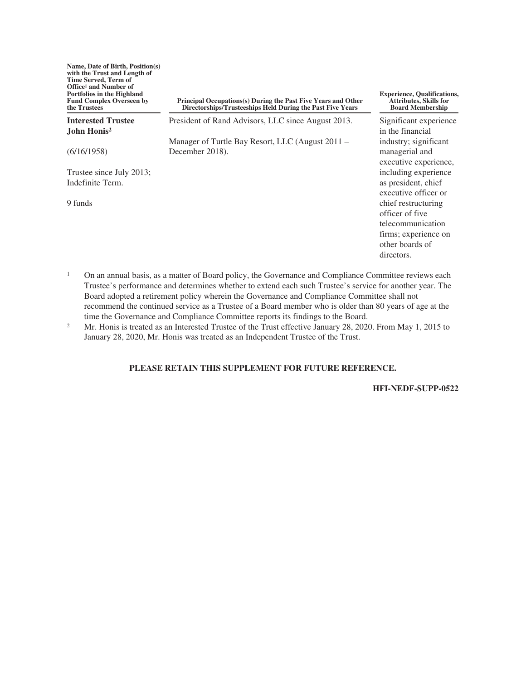| Name, Date of Birth, Position(s)<br>with the Trust and Length of<br>Time Served, Term of<br>Office <sup>1</sup> and Number of<br>Portfolios in the Highland<br><b>Fund Complex Overseen by</b><br>the Trustees | Principal Occupations(s) During the Past Five Years and Other<br>Directorships/Trusteeships Held During the Past Five Years | <b>Experience, Qualifications,</b><br><b>Attributes, Skills for</b><br><b>Board Membership</b> |
|----------------------------------------------------------------------------------------------------------------------------------------------------------------------------------------------------------------|-----------------------------------------------------------------------------------------------------------------------------|------------------------------------------------------------------------------------------------|
| <b>Interested Trustee</b>                                                                                                                                                                                      | President of Rand Advisors, LLC since August 2013.                                                                          | Significant experience                                                                         |
| <b>John Honis<sup>2</sup></b>                                                                                                                                                                                  |                                                                                                                             | in the financial                                                                               |
|                                                                                                                                                                                                                | Manager of Turtle Bay Resort, LLC (August 2011 –                                                                            | industry; significant                                                                          |
| (6/16/1958)                                                                                                                                                                                                    | December 2018).                                                                                                             | managerial and<br>executive experience,                                                        |
| Trustee since July 2013;                                                                                                                                                                                       |                                                                                                                             | including experience                                                                           |
| Indefinite Term.                                                                                                                                                                                               |                                                                                                                             | as president, chief<br>executive officer or                                                    |
| 9 funds                                                                                                                                                                                                        |                                                                                                                             | chief restructuring<br>officer of five<br>telecommunication                                    |
|                                                                                                                                                                                                                |                                                                                                                             | firms; experience on                                                                           |
|                                                                                                                                                                                                                |                                                                                                                             | other boards of                                                                                |
|                                                                                                                                                                                                                |                                                                                                                             | directors.                                                                                     |
|                                                                                                                                                                                                                |                                                                                                                             |                                                                                                |

<sup>1</sup> On an annual basis, as a matter of Board policy, the Governance and Compliance Committee reviews each Trustee's performance and determines whether to extend each such Trustee's service for another year. The Board adopted a retirement policy wherein the Governance and Compliance Committee shall not recommend the continued service as a Trustee of a Board member who is older than 80 years of age at the time the Governance and Compliance Committee reports its findings to the Board.

<sup>2</sup> Mr. Honis is treated as an Interested Trustee of the Trust effective January 28, 2020. From May 1, 2015 to January 28, 2020, Mr. Honis was treated as an Independent Trustee of the Trust.

# **PLEASE RETAIN THIS SUPPLEMENT FOR FUTURE REFERENCE.**

**HFI-NEDF-SUPP-0522**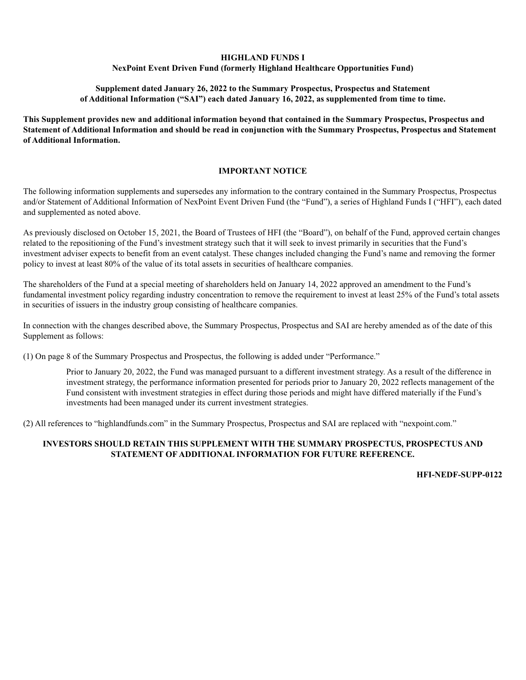# **HIGHLAND FUNDS I**

## **NexPoint Event Driven Fund (formerly Highland Healthcare Opportunities Fund)**

**Supplement dated January 26, 2022 to the Summary Prospectus, Prospectus and Statement of Additional Information ("SAI") each dated January 16, 2022, as supplemented from time to time.**

**This Supplement provides new and additional information beyond that contained in the Summary Prospectus, Prospectus and Statement of Additional Information and should be read in conjunction with the Summary Prospectus, Prospectus and Statement of Additional Information.**

## **IMPORTANT NOTICE**

The following information supplements and supersedes any information to the contrary contained in the Summary Prospectus, Prospectus and/or Statement of Additional Information of NexPoint Event Driven Fund (the "Fund"), a series of Highland Funds I ("HFI"), each dated and supplemented as noted above.

As previously disclosed on October 15, 2021, the Board of Trustees of HFI (the "Board"), on behalf of the Fund, approved certain changes related to the repositioning of the Fund's investment strategy such that it will seek to invest primarily in securities that the Fund's investment adviser expects to benefit from an event catalyst. These changes included changing the Fund's name and removing the former policy to invest at least 80% of the value of its total assets in securities of healthcare companies.

The shareholders of the Fund at a special meeting of shareholders held on January 14, 2022 approved an amendment to the Fund's fundamental investment policy regarding industry concentration to remove the requirement to invest at least 25% of the Fund's total assets in securities of issuers in the industry group consisting of healthcare companies.

In connection with the changes described above, the Summary Prospectus, Prospectus and SAI are hereby amended as of the date of this Supplement as follows:

(1) On page 8 of the Summary Prospectus and Prospectus, the following is added under "Performance."

Prior to January 20, 2022, the Fund was managed pursuant to a different investment strategy. As a result of the difference in investment strategy, the performance information presented for periods prior to January 20, 2022 reflects management of the Fund consistent with investment strategies in effect during those periods and might have differed materially if the Fund's investments had been managed under its current investment strategies.

(2) All references to "highlandfunds.com" in the Summary Prospectus, Prospectus and SAI are replaced with "nexpoint.com."

# **INVESTORS SHOULD RETAIN THIS SUPPLEMENT WITH THE SUMMARY PROSPECTUS, PROSPECTUS AND STATEMENT OF ADDITIONAL INFORMATION FOR FUTURE REFERENCE.**

**HFI‑NEDF‑SUPP‑0122**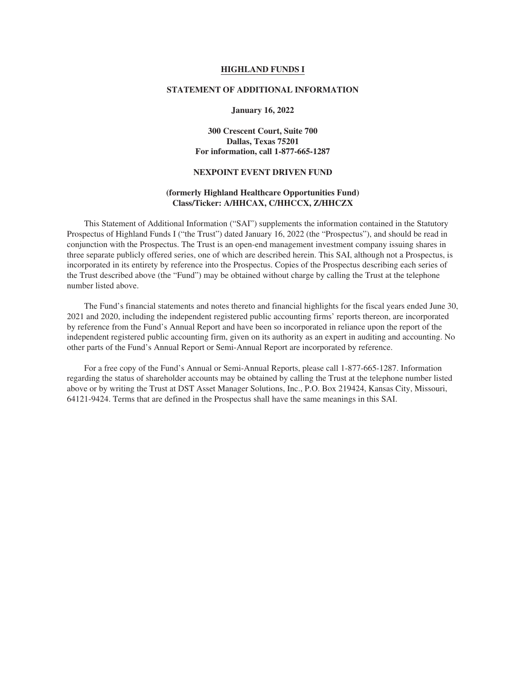### **HIGHLAND FUNDS I**

# **STATEMENT OF ADDITIONAL INFORMATION**

#### **January 16, 2022**

# **300 Crescent Court, Suite 700 Dallas, Texas 75201 For information, call 1-877-665-1287**

## **NEXPOINT EVENT DRIVEN FUND**

# **(formerly Highland Healthcare Opportunities Fund) Class/Ticker: A/HHCAX, C/HHCCX, Z/HHCZX**

This Statement of Additional Information ("SAI") supplements the information contained in the Statutory Prospectus of Highland Funds I ("the Trust") dated January 16, 2022 (the "Prospectus"), and should be read in conjunction with the Prospectus. The Trust is an open-end management investment company issuing shares in three separate publicly offered series, one of which are described herein. This SAI, although not a Prospectus, is incorporated in its entirety by reference into the Prospectus. Copies of the Prospectus describing each series of the Trust described above (the "Fund") may be obtained without charge by calling the Trust at the telephone number listed above.

The Fund's financial statements and notes thereto and financial highlights for the fiscal years ended June 30, 2021 and 2020, including the independent registered public accounting firms' reports thereon, are incorporated by reference from the Fund's Annual Report and have been so incorporated in reliance upon the report of the independent registered public accounting firm, given on its authority as an expert in auditing and accounting. No other parts of the Fund's Annual Report or Semi-Annual Report are incorporated by reference.

For a free copy of the Fund's Annual or Semi-Annual Reports, please call 1-877-665-1287. Information regarding the status of shareholder accounts may be obtained by calling the Trust at the telephone number listed above or by writing the Trust at DST Asset Manager Solutions, Inc., P.O. Box 219424, Kansas City, Missouri, 64121-9424. Terms that are defined in the Prospectus shall have the same meanings in this SAI.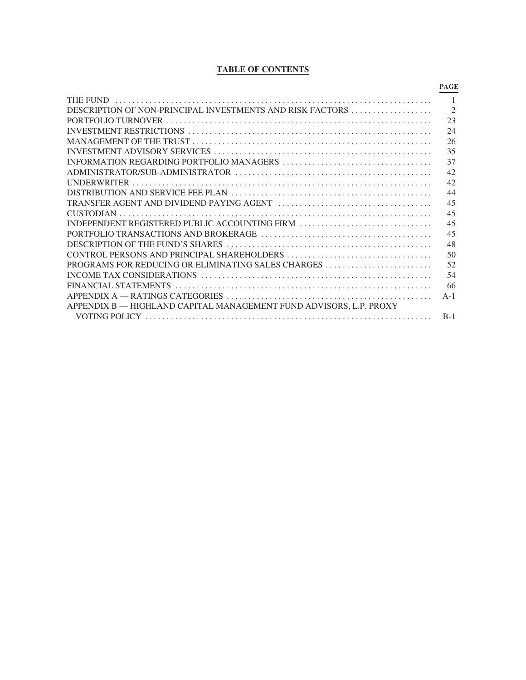# **TABLE OF CONTENTS**

|                                                                    | <b>PAGE</b>    |
|--------------------------------------------------------------------|----------------|
| THE FUND                                                           | 1              |
|                                                                    | $\overline{2}$ |
| PORTFOLIO TURNOVER                                                 | 23             |
|                                                                    | 24             |
|                                                                    | 26             |
|                                                                    | 35             |
|                                                                    | 37             |
| ADMINISTRATOR/SUB-ADMINISTRATOR                                    | 42             |
| <b>I INDERWRITER</b>                                               | 42             |
|                                                                    | 44             |
|                                                                    | 45             |
|                                                                    | 45             |
| INDEPENDENT REGISTERED PUBLIC ACCOUNTING FIRM                      | 45             |
|                                                                    | 45             |
| DESCRIPTION OF THE FUND'S SHARES                                   | 48             |
|                                                                    | 50             |
| PROGRAMS FOR REDUCING OR ELIMINATING SALES CHARGES                 | 52             |
|                                                                    | 54             |
| FINANCIAL STATEMENTS                                               | 66             |
| APPENDIX A — RATINGS CATEGORIES                                    | $A-1$          |
| APPENDIX B — HIGHLAND CAPITAL MANAGEMENT FUND ADVISORS. L.P. PROXY |                |
|                                                                    | $B-1$          |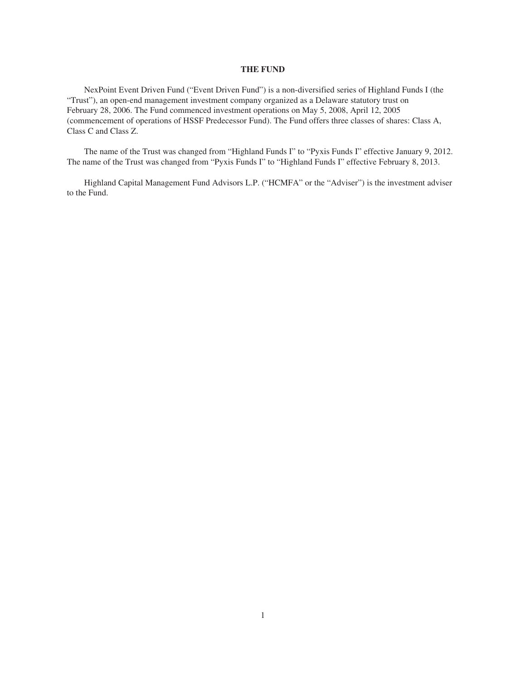#### **THE FUND**

<span id="page-6-0"></span>NexPoint Event Driven Fund ("Event Driven Fund") is a non-diversified series of Highland Funds I (the "Trust"), an open-end management investment company organized as a Delaware statutory trust on February 28, 2006. The Fund commenced investment operations on May 5, 2008, April 12, 2005 (commencement of operations of HSSF Predecessor Fund). The Fund offers three classes of shares: Class A, Class C and Class Z.

The name of the Trust was changed from "Highland Funds I" to "Pyxis Funds I" effective January 9, 2012. The name of the Trust was changed from "Pyxis Funds I" to "Highland Funds I" effective February 8, 2013.

Highland Capital Management Fund Advisors L.P. ("HCMFA" or the "Adviser") is the investment adviser to the Fund.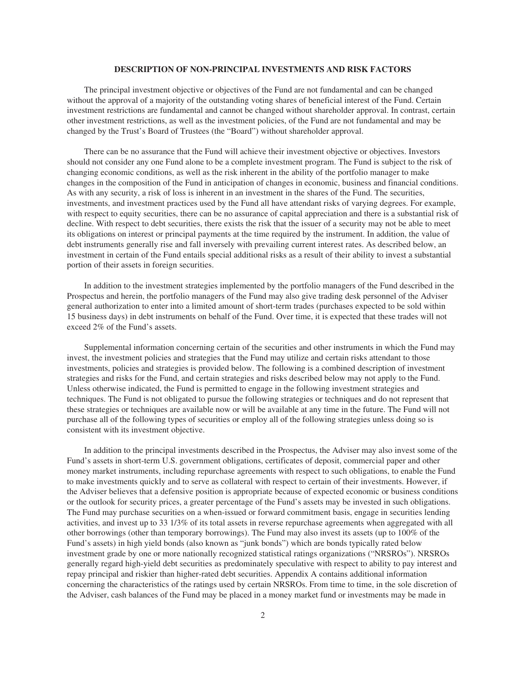#### **DESCRIPTION OF NON-PRINCIPAL INVESTMENTS AND RISK FACTORS**

<span id="page-7-0"></span>The principal investment objective or objectives of the Fund are not fundamental and can be changed without the approval of a majority of the outstanding voting shares of beneficial interest of the Fund. Certain investment restrictions are fundamental and cannot be changed without shareholder approval. In contrast, certain other investment restrictions, as well as the investment policies, of the Fund are not fundamental and may be changed by the Trust's Board of Trustees (the "Board") without shareholder approval.

There can be no assurance that the Fund will achieve their investment objective or objectives. Investors should not consider any one Fund alone to be a complete investment program. The Fund is subject to the risk of changing economic conditions, as well as the risk inherent in the ability of the portfolio manager to make changes in the composition of the Fund in anticipation of changes in economic, business and financial conditions. As with any security, a risk of loss is inherent in an investment in the shares of the Fund. The securities, investments, and investment practices used by the Fund all have attendant risks of varying degrees. For example, with respect to equity securities, there can be no assurance of capital appreciation and there is a substantial risk of decline. With respect to debt securities, there exists the risk that the issuer of a security may not be able to meet its obligations on interest or principal payments at the time required by the instrument. In addition, the value of debt instruments generally rise and fall inversely with prevailing current interest rates. As described below, an investment in certain of the Fund entails special additional risks as a result of their ability to invest a substantial portion of their assets in foreign securities.

In addition to the investment strategies implemented by the portfolio managers of the Fund described in the Prospectus and herein, the portfolio managers of the Fund may also give trading desk personnel of the Adviser general authorization to enter into a limited amount of short-term trades (purchases expected to be sold within 15 business days) in debt instruments on behalf of the Fund. Over time, it is expected that these trades will not exceed 2% of the Fund's assets.

Supplemental information concerning certain of the securities and other instruments in which the Fund may invest, the investment policies and strategies that the Fund may utilize and certain risks attendant to those investments, policies and strategies is provided below. The following is a combined description of investment strategies and risks for the Fund, and certain strategies and risks described below may not apply to the Fund. Unless otherwise indicated, the Fund is permitted to engage in the following investment strategies and techniques. The Fund is not obligated to pursue the following strategies or techniques and do not represent that these strategies or techniques are available now or will be available at any time in the future. The Fund will not purchase all of the following types of securities or employ all of the following strategies unless doing so is consistent with its investment objective.

In addition to the principal investments described in the Prospectus, the Adviser may also invest some of the Fund's assets in short-term U.S. government obligations, certificates of deposit, commercial paper and other money market instruments, including repurchase agreements with respect to such obligations, to enable the Fund to make investments quickly and to serve as collateral with respect to certain of their investments. However, if the Adviser believes that a defensive position is appropriate because of expected economic or business conditions or the outlook for security prices, a greater percentage of the Fund's assets may be invested in such obligations. The Fund may purchase securities on a when-issued or forward commitment basis, engage in securities lending activities, and invest up to 33 1/3% of its total assets in reverse repurchase agreements when aggregated with all other borrowings (other than temporary borrowings). The Fund may also invest its assets (up to 100% of the Fund's assets) in high yield bonds (also known as "junk bonds") which are bonds typically rated below investment grade by one or more nationally recognized statistical ratings organizations ("NRSROs"). NRSROs generally regard high-yield debt securities as predominately speculative with respect to ability to pay interest and repay principal and riskier than higher-rated debt securities. Appendix A contains additional information concerning the characteristics of the ratings used by certain NRSROs. From time to time, in the sole discretion of the Adviser, cash balances of the Fund may be placed in a money market fund or investments may be made in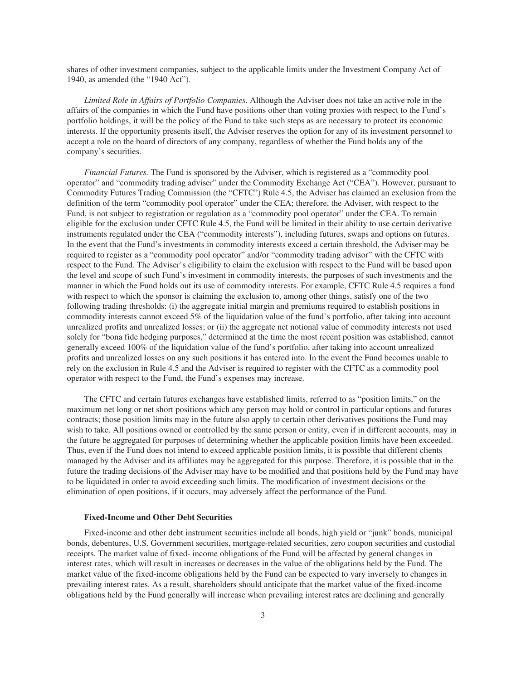shares of other investment companies, subject to the applicable limits under the Investment Company Act of 1940, as amended (the "1940 Act").

*Limited Role in Affairs of Portfolio Companies.* Although the Adviser does not take an active role in the affairs of the companies in which the Fund have positions other than voting proxies with respect to the Fund's portfolio holdings, it will be the policy of the Fund to take such steps as are necessary to protect its economic interests. If the opportunity presents itself, the Adviser reserves the option for any of its investment personnel to accept a role on the board of directors of any company, regardless of whether the Fund holds any of the company's securities.

*Financial Futures.* The Fund is sponsored by the Adviser, which is registered as a "commodity pool operator" and "commodity trading adviser" under the Commodity Exchange Act ("CEA"). However, pursuant to Commodity Futures Trading Commission (the "CFTC") Rule 4.5, the Adviser has claimed an exclusion from the definition of the term "commodity pool operator" under the CEA; therefore, the Adviser, with respect to the Fund, is not subject to registration or regulation as a "commodity pool operator" under the CEA. To remain eligible for the exclusion under CFTC Rule 4.5, the Fund will be limited in their ability to use certain derivative instruments regulated under the CEA ("commodity interests"), including futures, swaps and options on futures. In the event that the Fund's investments in commodity interests exceed a certain threshold, the Adviser may be required to register as a "commodity pool operator" and/or "commodity trading advisor" with the CFTC with respect to the Fund. The Adviser's eligibility to claim the exclusion with respect to the Fund will be based upon the level and scope of such Fund's investment in commodity interests, the purposes of such investments and the manner in which the Fund holds out its use of commodity interests. For example, CFTC Rule 4.5 requires a fund with respect to which the sponsor is claiming the exclusion to, among other things, satisfy one of the two following trading thresholds: (i) the aggregate initial margin and premiums required to establish positions in commodity interests cannot exceed 5% of the liquidation value of the fund's portfolio, after taking into account unrealized profits and unrealized losses; or (ii) the aggregate net notional value of commodity interests not used solely for "bona fide hedging purposes," determined at the time the most recent position was established, cannot generally exceed 100% of the liquidation value of the fund's portfolio, after taking into account unrealized profits and unrealized losses on any such positions it has entered into. In the event the Fund becomes unable to rely on the exclusion in Rule 4.5 and the Adviser is required to register with the CFTC as a commodity pool operator with respect to the Fund, the Fund's expenses may increase.

The CFTC and certain futures exchanges have established limits, referred to as "position limits," on the maximum net long or net short positions which any person may hold or control in particular options and futures contracts; those position limits may in the future also apply to certain other derivatives positions the Fund may wish to take. All positions owned or controlled by the same person or entity, even if in different accounts, may in the future be aggregated for purposes of determining whether the applicable position limits have been exceeded. Thus, even if the Fund does not intend to exceed applicable position limits, it is possible that different clients managed by the Adviser and its affiliates may be aggregated for this purpose. Therefore, it is possible that in the future the trading decisions of the Adviser may have to be modified and that positions held by the Fund may have to be liquidated in order to avoid exceeding such limits. The modification of investment decisions or the elimination of open positions, if it occurs, may adversely affect the performance of the Fund.

#### **Fixed-Income and Other Debt Securities**

Fixed-income and other debt instrument securities include all bonds, high yield or "junk" bonds, municipal bonds, debentures, U.S. Government securities, mortgage-related securities, zero coupon securities and custodial receipts. The market value of fixed- income obligations of the Fund will be affected by general changes in interest rates, which will result in increases or decreases in the value of the obligations held by the Fund. The market value of the fixed-income obligations held by the Fund can be expected to vary inversely to changes in prevailing interest rates. As a result, shareholders should anticipate that the market value of the fixed-income obligations held by the Fund generally will increase when prevailing interest rates are declining and generally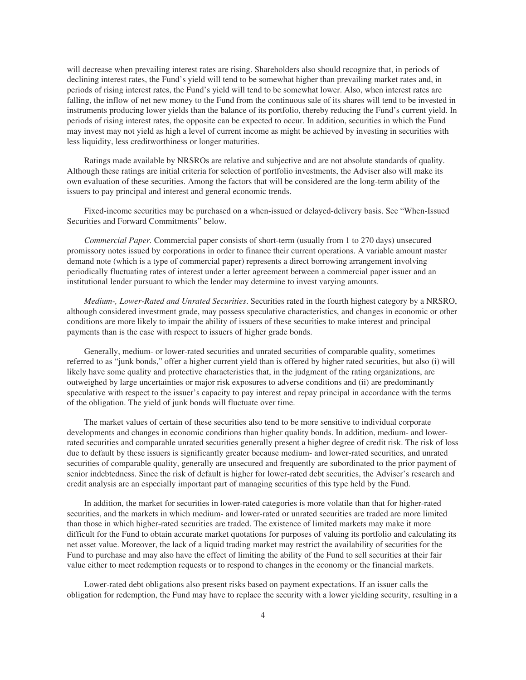will decrease when prevailing interest rates are rising. Shareholders also should recognize that, in periods of declining interest rates, the Fund's yield will tend to be somewhat higher than prevailing market rates and, in periods of rising interest rates, the Fund's yield will tend to be somewhat lower. Also, when interest rates are falling, the inflow of net new money to the Fund from the continuous sale of its shares will tend to be invested in instruments producing lower yields than the balance of its portfolio, thereby reducing the Fund's current yield. In periods of rising interest rates, the opposite can be expected to occur. In addition, securities in which the Fund may invest may not yield as high a level of current income as might be achieved by investing in securities with less liquidity, less creditworthiness or longer maturities.

Ratings made available by NRSROs are relative and subjective and are not absolute standards of quality. Although these ratings are initial criteria for selection of portfolio investments, the Adviser also will make its own evaluation of these securities. Among the factors that will be considered are the long-term ability of the issuers to pay principal and interest and general economic trends.

Fixed-income securities may be purchased on a when-issued or delayed-delivery basis. See "When-Issued Securities and Forward Commitments" below.

*Commercial Paper.* Commercial paper consists of short-term (usually from 1 to 270 days) unsecured promissory notes issued by corporations in order to finance their current operations. A variable amount master demand note (which is a type of commercial paper) represents a direct borrowing arrangement involving periodically fluctuating rates of interest under a letter agreement between a commercial paper issuer and an institutional lender pursuant to which the lender may determine to invest varying amounts.

*Medium-, Lower-Rated and Unrated Securities*. Securities rated in the fourth highest category by a NRSRO, although considered investment grade, may possess speculative characteristics, and changes in economic or other conditions are more likely to impair the ability of issuers of these securities to make interest and principal payments than is the case with respect to issuers of higher grade bonds.

Generally, medium- or lower-rated securities and unrated securities of comparable quality, sometimes referred to as "junk bonds," offer a higher current yield than is offered by higher rated securities, but also (i) will likely have some quality and protective characteristics that, in the judgment of the rating organizations, are outweighed by large uncertainties or major risk exposures to adverse conditions and (ii) are predominantly speculative with respect to the issuer's capacity to pay interest and repay principal in accordance with the terms of the obligation. The yield of junk bonds will fluctuate over time.

The market values of certain of these securities also tend to be more sensitive to individual corporate developments and changes in economic conditions than higher quality bonds. In addition, medium- and lowerrated securities and comparable unrated securities generally present a higher degree of credit risk. The risk of loss due to default by these issuers is significantly greater because medium- and lower-rated securities, and unrated securities of comparable quality, generally are unsecured and frequently are subordinated to the prior payment of senior indebtedness. Since the risk of default is higher for lower-rated debt securities, the Adviser's research and credit analysis are an especially important part of managing securities of this type held by the Fund.

In addition, the market for securities in lower-rated categories is more volatile than that for higher-rated securities, and the markets in which medium- and lower-rated or unrated securities are traded are more limited than those in which higher-rated securities are traded. The existence of limited markets may make it more difficult for the Fund to obtain accurate market quotations for purposes of valuing its portfolio and calculating its net asset value. Moreover, the lack of a liquid trading market may restrict the availability of securities for the Fund to purchase and may also have the effect of limiting the ability of the Fund to sell securities at their fair value either to meet redemption requests or to respond to changes in the economy or the financial markets.

Lower-rated debt obligations also present risks based on payment expectations. If an issuer calls the obligation for redemption, the Fund may have to replace the security with a lower yielding security, resulting in a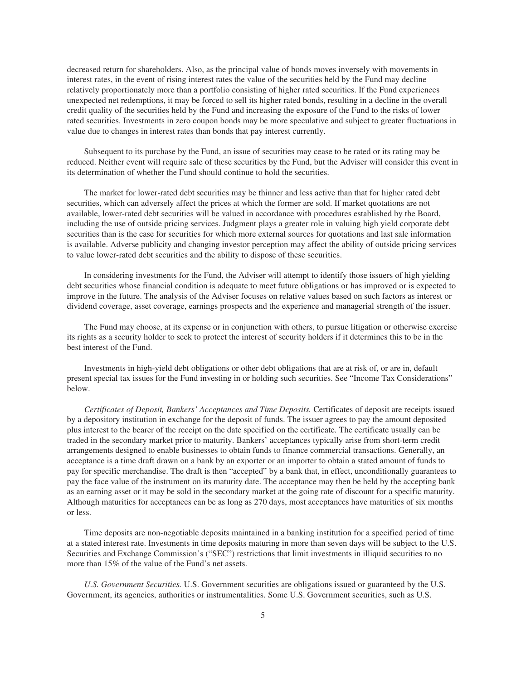decreased return for shareholders. Also, as the principal value of bonds moves inversely with movements in interest rates, in the event of rising interest rates the value of the securities held by the Fund may decline relatively proportionately more than a portfolio consisting of higher rated securities. If the Fund experiences unexpected net redemptions, it may be forced to sell its higher rated bonds, resulting in a decline in the overall credit quality of the securities held by the Fund and increasing the exposure of the Fund to the risks of lower rated securities. Investments in zero coupon bonds may be more speculative and subject to greater fluctuations in value due to changes in interest rates than bonds that pay interest currently.

Subsequent to its purchase by the Fund, an issue of securities may cease to be rated or its rating may be reduced. Neither event will require sale of these securities by the Fund, but the Adviser will consider this event in its determination of whether the Fund should continue to hold the securities.

The market for lower-rated debt securities may be thinner and less active than that for higher rated debt securities, which can adversely affect the prices at which the former are sold. If market quotations are not available, lower-rated debt securities will be valued in accordance with procedures established by the Board, including the use of outside pricing services. Judgment plays a greater role in valuing high yield corporate debt securities than is the case for securities for which more external sources for quotations and last sale information is available. Adverse publicity and changing investor perception may affect the ability of outside pricing services to value lower-rated debt securities and the ability to dispose of these securities.

In considering investments for the Fund, the Adviser will attempt to identify those issuers of high yielding debt securities whose financial condition is adequate to meet future obligations or has improved or is expected to improve in the future. The analysis of the Adviser focuses on relative values based on such factors as interest or dividend coverage, asset coverage, earnings prospects and the experience and managerial strength of the issuer.

The Fund may choose, at its expense or in conjunction with others, to pursue litigation or otherwise exercise its rights as a security holder to seek to protect the interest of security holders if it determines this to be in the best interest of the Fund.

Investments in high-yield debt obligations or other debt obligations that are at risk of, or are in, default present special tax issues for the Fund investing in or holding such securities. See "Income Tax Considerations" below.

*Certificates of Deposit, Bankers' Acceptances and Time Deposits.* Certificates of deposit are receipts issued by a depository institution in exchange for the deposit of funds. The issuer agrees to pay the amount deposited plus interest to the bearer of the receipt on the date specified on the certificate. The certificate usually can be traded in the secondary market prior to maturity. Bankers' acceptances typically arise from short-term credit arrangements designed to enable businesses to obtain funds to finance commercial transactions. Generally, an acceptance is a time draft drawn on a bank by an exporter or an importer to obtain a stated amount of funds to pay for specific merchandise. The draft is then "accepted" by a bank that, in effect, unconditionally guarantees to pay the face value of the instrument on its maturity date. The acceptance may then be held by the accepting bank as an earning asset or it may be sold in the secondary market at the going rate of discount for a specific maturity. Although maturities for acceptances can be as long as 270 days, most acceptances have maturities of six months or less.

Time deposits are non-negotiable deposits maintained in a banking institution for a specified period of time at a stated interest rate. Investments in time deposits maturing in more than seven days will be subject to the U.S. Securities and Exchange Commission's ("SEC") restrictions that limit investments in illiquid securities to no more than 15% of the value of the Fund's net assets.

*U.S. Government Securities.* U.S. Government securities are obligations issued or guaranteed by the U.S. Government, its agencies, authorities or instrumentalities. Some U.S. Government securities, such as U.S.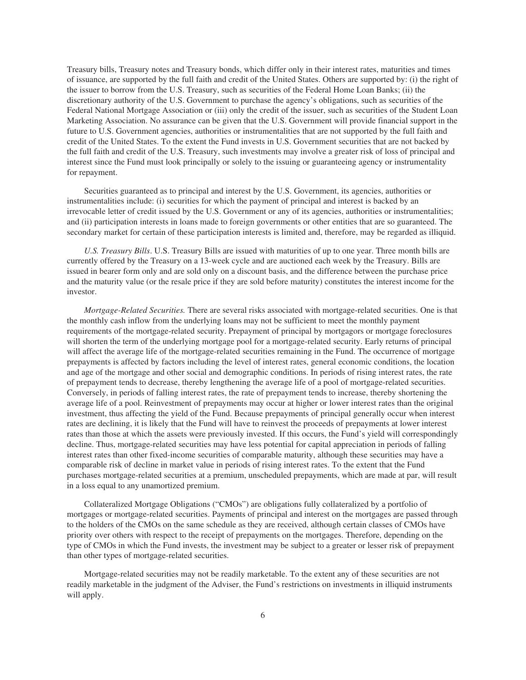Treasury bills, Treasury notes and Treasury bonds, which differ only in their interest rates, maturities and times of issuance, are supported by the full faith and credit of the United States. Others are supported by: (i) the right of the issuer to borrow from the U.S. Treasury, such as securities of the Federal Home Loan Banks; (ii) the discretionary authority of the U.S. Government to purchase the agency's obligations, such as securities of the Federal National Mortgage Association or (iii) only the credit of the issuer, such as securities of the Student Loan Marketing Association. No assurance can be given that the U.S. Government will provide financial support in the future to U.S. Government agencies, authorities or instrumentalities that are not supported by the full faith and credit of the United States. To the extent the Fund invests in U.S. Government securities that are not backed by the full faith and credit of the U.S. Treasury, such investments may involve a greater risk of loss of principal and interest since the Fund must look principally or solely to the issuing or guaranteeing agency or instrumentality for repayment.

Securities guaranteed as to principal and interest by the U.S. Government, its agencies, authorities or instrumentalities include: (i) securities for which the payment of principal and interest is backed by an irrevocable letter of credit issued by the U.S. Government or any of its agencies, authorities or instrumentalities; and (ii) participation interests in loans made to foreign governments or other entities that are so guaranteed. The secondary market for certain of these participation interests is limited and, therefore, may be regarded as illiquid.

*U.S. Treasury Bills*. U.S. Treasury Bills are issued with maturities of up to one year. Three month bills are currently offered by the Treasury on a 13-week cycle and are auctioned each week by the Treasury. Bills are issued in bearer form only and are sold only on a discount basis, and the difference between the purchase price and the maturity value (or the resale price if they are sold before maturity) constitutes the interest income for the investor.

*Mortgage-Related Securities.* There are several risks associated with mortgage-related securities. One is that the monthly cash inflow from the underlying loans may not be sufficient to meet the monthly payment requirements of the mortgage-related security. Prepayment of principal by mortgagors or mortgage foreclosures will shorten the term of the underlying mortgage pool for a mortgage-related security. Early returns of principal will affect the average life of the mortgage-related securities remaining in the Fund. The occurrence of mortgage prepayments is affected by factors including the level of interest rates, general economic conditions, the location and age of the mortgage and other social and demographic conditions. In periods of rising interest rates, the rate of prepayment tends to decrease, thereby lengthening the average life of a pool of mortgage-related securities. Conversely, in periods of falling interest rates, the rate of prepayment tends to increase, thereby shortening the average life of a pool. Reinvestment of prepayments may occur at higher or lower interest rates than the original investment, thus affecting the yield of the Fund. Because prepayments of principal generally occur when interest rates are declining, it is likely that the Fund will have to reinvest the proceeds of prepayments at lower interest rates than those at which the assets were previously invested. If this occurs, the Fund's yield will correspondingly decline. Thus, mortgage-related securities may have less potential for capital appreciation in periods of falling interest rates than other fixed-income securities of comparable maturity, although these securities may have a comparable risk of decline in market value in periods of rising interest rates. To the extent that the Fund purchases mortgage-related securities at a premium, unscheduled prepayments, which are made at par, will result in a loss equal to any unamortized premium.

Collateralized Mortgage Obligations ("CMOs") are obligations fully collateralized by a portfolio of mortgages or mortgage-related securities. Payments of principal and interest on the mortgages are passed through to the holders of the CMOs on the same schedule as they are received, although certain classes of CMOs have priority over others with respect to the receipt of prepayments on the mortgages. Therefore, depending on the type of CMOs in which the Fund invests, the investment may be subject to a greater or lesser risk of prepayment than other types of mortgage-related securities.

Mortgage-related securities may not be readily marketable. To the extent any of these securities are not readily marketable in the judgment of the Adviser, the Fund's restrictions on investments in illiquid instruments will apply.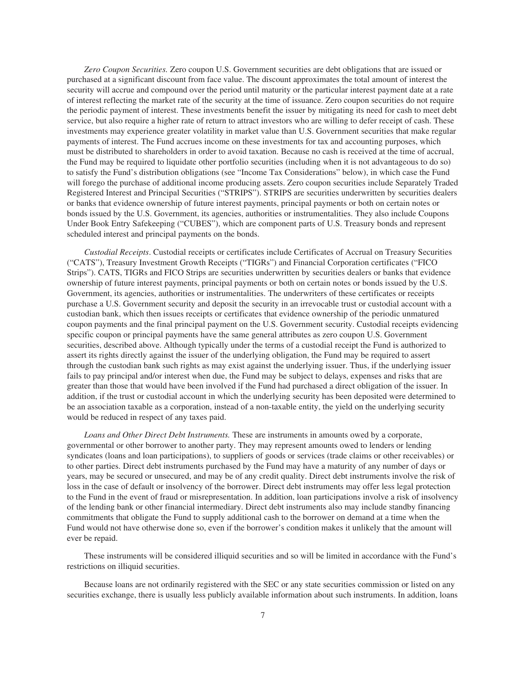*Zero Coupon Securities.* Zero coupon U.S. Government securities are debt obligations that are issued or purchased at a significant discount from face value. The discount approximates the total amount of interest the security will accrue and compound over the period until maturity or the particular interest payment date at a rate of interest reflecting the market rate of the security at the time of issuance. Zero coupon securities do not require the periodic payment of interest. These investments benefit the issuer by mitigating its need for cash to meet debt service, but also require a higher rate of return to attract investors who are willing to defer receipt of cash. These investments may experience greater volatility in market value than U.S. Government securities that make regular payments of interest. The Fund accrues income on these investments for tax and accounting purposes, which must be distributed to shareholders in order to avoid taxation. Because no cash is received at the time of accrual, the Fund may be required to liquidate other portfolio securities (including when it is not advantageous to do so) to satisfy the Fund's distribution obligations (see "Income Tax Considerations" below), in which case the Fund will forego the purchase of additional income producing assets. Zero coupon securities include Separately Traded Registered Interest and Principal Securities ("STRIPS"). STRIPS are securities underwritten by securities dealers or banks that evidence ownership of future interest payments, principal payments or both on certain notes or bonds issued by the U.S. Government, its agencies, authorities or instrumentalities. They also include Coupons Under Book Entry Safekeeping ("CUBES"), which are component parts of U.S. Treasury bonds and represent scheduled interest and principal payments on the bonds.

*Custodial Receipts*. Custodial receipts or certificates include Certificates of Accrual on Treasury Securities ("CATS"), Treasury Investment Growth Receipts ("TIGRs") and Financial Corporation certificates ("FICO Strips"). CATS, TIGRs and FICO Strips are securities underwritten by securities dealers or banks that evidence ownership of future interest payments, principal payments or both on certain notes or bonds issued by the U.S. Government, its agencies, authorities or instrumentalities. The underwriters of these certificates or receipts purchase a U.S. Government security and deposit the security in an irrevocable trust or custodial account with a custodian bank, which then issues receipts or certificates that evidence ownership of the periodic unmatured coupon payments and the final principal payment on the U.S. Government security. Custodial receipts evidencing specific coupon or principal payments have the same general attributes as zero coupon U.S. Government securities, described above. Although typically under the terms of a custodial receipt the Fund is authorized to assert its rights directly against the issuer of the underlying obligation, the Fund may be required to assert through the custodian bank such rights as may exist against the underlying issuer. Thus, if the underlying issuer fails to pay principal and/or interest when due, the Fund may be subject to delays, expenses and risks that are greater than those that would have been involved if the Fund had purchased a direct obligation of the issuer. In addition, if the trust or custodial account in which the underlying security has been deposited were determined to be an association taxable as a corporation, instead of a non-taxable entity, the yield on the underlying security would be reduced in respect of any taxes paid.

*Loans and Other Direct Debt Instruments.* These are instruments in amounts owed by a corporate, governmental or other borrower to another party. They may represent amounts owed to lenders or lending syndicates (loans and loan participations), to suppliers of goods or services (trade claims or other receivables) or to other parties. Direct debt instruments purchased by the Fund may have a maturity of any number of days or years, may be secured or unsecured, and may be of any credit quality. Direct debt instruments involve the risk of loss in the case of default or insolvency of the borrower. Direct debt instruments may offer less legal protection to the Fund in the event of fraud or misrepresentation. In addition, loan participations involve a risk of insolvency of the lending bank or other financial intermediary. Direct debt instruments also may include standby financing commitments that obligate the Fund to supply additional cash to the borrower on demand at a time when the Fund would not have otherwise done so, even if the borrower's condition makes it unlikely that the amount will ever be repaid.

These instruments will be considered illiquid securities and so will be limited in accordance with the Fund's restrictions on illiquid securities.

Because loans are not ordinarily registered with the SEC or any state securities commission or listed on any securities exchange, there is usually less publicly available information about such instruments. In addition, loans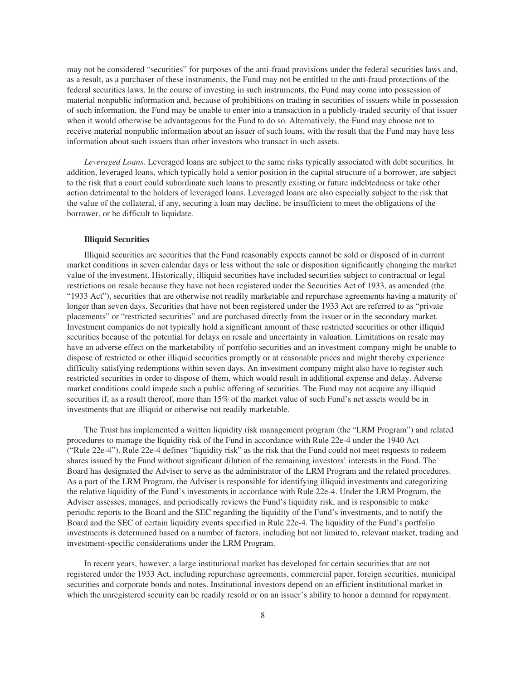may not be considered "securities" for purposes of the anti-fraud provisions under the federal securities laws and, as a result, as a purchaser of these instruments, the Fund may not be entitled to the anti-fraud protections of the federal securities laws. In the course of investing in such instruments, the Fund may come into possession of material nonpublic information and, because of prohibitions on trading in securities of issuers while in possession of such information, the Fund may be unable to enter into a transaction in a publicly-traded security of that issuer when it would otherwise be advantageous for the Fund to do so. Alternatively, the Fund may choose not to receive material nonpublic information about an issuer of such loans, with the result that the Fund may have less information about such issuers than other investors who transact in such assets.

*Leveraged Loans.* Leveraged loans are subject to the same risks typically associated with debt securities. In addition, leveraged loans, which typically hold a senior position in the capital structure of a borrower, are subject to the risk that a court could subordinate such loans to presently existing or future indebtedness or take other action detrimental to the holders of leveraged loans. Leveraged loans are also especially subject to the risk that the value of the collateral, if any, securing a loan may decline, be insufficient to meet the obligations of the borrower, or be difficult to liquidate.

### **Illiquid Securities**

Illiquid securities are securities that the Fund reasonably expects cannot be sold or disposed of in current market conditions in seven calendar days or less without the sale or disposition significantly changing the market value of the investment. Historically, illiquid securities have included securities subject to contractual or legal restrictions on resale because they have not been registered under the Securities Act of 1933, as amended (the "1933 Act"), securities that are otherwise not readily marketable and repurchase agreements having a maturity of longer than seven days. Securities that have not been registered under the 1933 Act are referred to as "private" placements" or "restricted securities" and are purchased directly from the issuer or in the secondary market. Investment companies do not typically hold a significant amount of these restricted securities or other illiquid securities because of the potential for delays on resale and uncertainty in valuation. Limitations on resale may have an adverse effect on the marketability of portfolio securities and an investment company might be unable to dispose of restricted or other illiquid securities promptly or at reasonable prices and might thereby experience difficulty satisfying redemptions within seven days. An investment company might also have to register such restricted securities in order to dispose of them, which would result in additional expense and delay. Adverse market conditions could impede such a public offering of securities. The Fund may not acquire any illiquid securities if, as a result thereof, more than 15% of the market value of such Fund's net assets would be in investments that are illiquid or otherwise not readily marketable.

The Trust has implemented a written liquidity risk management program (the "LRM Program") and related procedures to manage the liquidity risk of the Fund in accordance with Rule 22e-4 under the 1940 Act ("Rule 22e-4"). Rule 22e-4 defines "liquidity risk" as the risk that the Fund could not meet requests to redeem shares issued by the Fund without significant dilution of the remaining investors' interests in the Fund. The Board has designated the Adviser to serve as the administrator of the LRM Program and the related procedures. As a part of the LRM Program, the Adviser is responsible for identifying illiquid investments and categorizing the relative liquidity of the Fund's investments in accordance with Rule 22e-4. Under the LRM Program, the Adviser assesses, manages, and periodically reviews the Fund's liquidity risk, and is responsible to make periodic reports to the Board and the SEC regarding the liquidity of the Fund's investments, and to notify the Board and the SEC of certain liquidity events specified in Rule 22e-4. The liquidity of the Fund's portfolio investments is determined based on a number of factors, including but not limited to, relevant market, trading and investment-specific considerations under the LRM Program.

In recent years, however, a large institutional market has developed for certain securities that are not registered under the 1933 Act, including repurchase agreements, commercial paper, foreign securities, municipal securities and corporate bonds and notes. Institutional investors depend on an efficient institutional market in which the unregistered security can be readily resold or on an issuer's ability to honor a demand for repayment.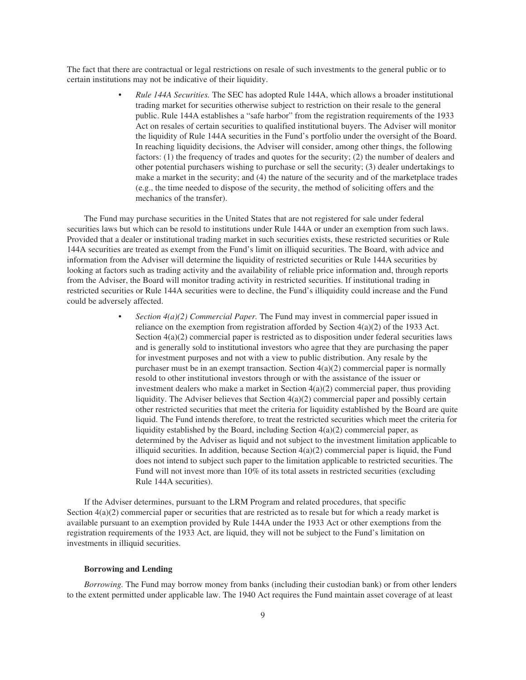The fact that there are contractual or legal restrictions on resale of such investments to the general public or to certain institutions may not be indicative of their liquidity.

> • *Rule 144A Securities.* The SEC has adopted Rule 144A, which allows a broader institutional trading market for securities otherwise subject to restriction on their resale to the general public. Rule 144A establishes a "safe harbor" from the registration requirements of the 1933 Act on resales of certain securities to qualified institutional buyers. The Adviser will monitor the liquidity of Rule 144A securities in the Fund's portfolio under the oversight of the Board. In reaching liquidity decisions, the Adviser will consider, among other things, the following factors: (1) the frequency of trades and quotes for the security; (2) the number of dealers and other potential purchasers wishing to purchase or sell the security; (3) dealer undertakings to make a market in the security; and (4) the nature of the security and of the marketplace trades (e.g., the time needed to dispose of the security, the method of soliciting offers and the mechanics of the transfer).

The Fund may purchase securities in the United States that are not registered for sale under federal securities laws but which can be resold to institutions under Rule 144A or under an exemption from such laws. Provided that a dealer or institutional trading market in such securities exists, these restricted securities or Rule 144A securities are treated as exempt from the Fund's limit on illiquid securities. The Board, with advice and information from the Adviser will determine the liquidity of restricted securities or Rule 144A securities by looking at factors such as trading activity and the availability of reliable price information and, through reports from the Adviser, the Board will monitor trading activity in restricted securities. If institutional trading in restricted securities or Rule 144A securities were to decline, the Fund's illiquidity could increase and the Fund could be adversely affected.

> • *Section 4(a)(2) Commercial Paper.* The Fund may invest in commercial paper issued in reliance on the exemption from registration afforded by Section  $4(a)(2)$  of the 1933 Act. Section  $4(a)(2)$  commercial paper is restricted as to disposition under federal securities laws and is generally sold to institutional investors who agree that they are purchasing the paper for investment purposes and not with a view to public distribution. Any resale by the purchaser must be in an exempt transaction. Section  $4(a)(2)$  commercial paper is normally resold to other institutional investors through or with the assistance of the issuer or investment dealers who make a market in Section  $4(a)(2)$  commercial paper, thus providing liquidity. The Adviser believes that Section  $4(a)(2)$  commercial paper and possibly certain other restricted securities that meet the criteria for liquidity established by the Board are quite liquid. The Fund intends therefore, to treat the restricted securities which meet the criteria for liquidity established by the Board, including Section 4(a)(2) commercial paper, as determined by the Adviser as liquid and not subject to the investment limitation applicable to illiquid securities. In addition, because Section  $4(a)(2)$  commercial paper is liquid, the Fund does not intend to subject such paper to the limitation applicable to restricted securities. The Fund will not invest more than 10% of its total assets in restricted securities (excluding Rule 144A securities).

If the Adviser determines, pursuant to the LRM Program and related procedures, that specific Section  $4(a)(2)$  commercial paper or securities that are restricted as to resale but for which a ready market is available pursuant to an exemption provided by Rule 144A under the 1933 Act or other exemptions from the registration requirements of the 1933 Act, are liquid, they will not be subject to the Fund's limitation on investments in illiquid securities.

#### **Borrowing and Lending**

*Borrowing.* The Fund may borrow money from banks (including their custodian bank) or from other lenders to the extent permitted under applicable law. The 1940 Act requires the Fund maintain asset coverage of at least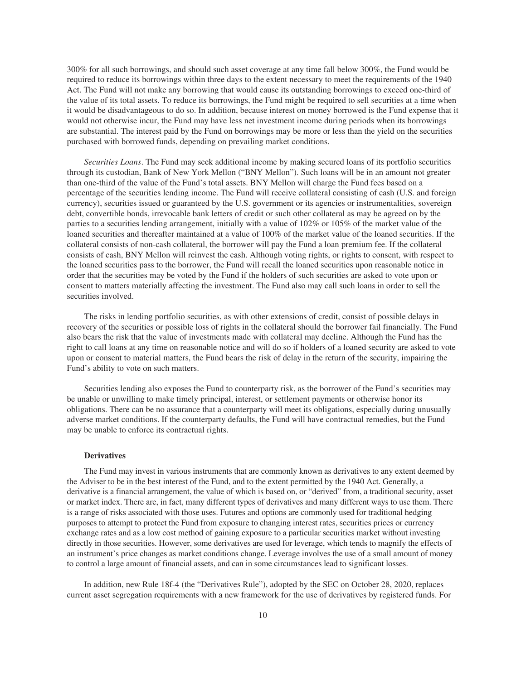300% for all such borrowings, and should such asset coverage at any time fall below 300%, the Fund would be required to reduce its borrowings within three days to the extent necessary to meet the requirements of the 1940 Act. The Fund will not make any borrowing that would cause its outstanding borrowings to exceed one-third of the value of its total assets. To reduce its borrowings, the Fund might be required to sell securities at a time when it would be disadvantageous to do so. In addition, because interest on money borrowed is the Fund expense that it would not otherwise incur, the Fund may have less net investment income during periods when its borrowings are substantial. The interest paid by the Fund on borrowings may be more or less than the yield on the securities purchased with borrowed funds, depending on prevailing market conditions.

*Securities Loans*. The Fund may seek additional income by making secured loans of its portfolio securities through its custodian, Bank of New York Mellon ("BNY Mellon"). Such loans will be in an amount not greater than one-third of the value of the Fund's total assets. BNY Mellon will charge the Fund fees based on a percentage of the securities lending income. The Fund will receive collateral consisting of cash (U.S. and foreign currency), securities issued or guaranteed by the U.S. government or its agencies or instrumentalities, sovereign debt, convertible bonds, irrevocable bank letters of credit or such other collateral as may be agreed on by the parties to a securities lending arrangement, initially with a value of 102% or 105% of the market value of the loaned securities and thereafter maintained at a value of 100% of the market value of the loaned securities. If the collateral consists of non-cash collateral, the borrower will pay the Fund a loan premium fee. If the collateral consists of cash, BNY Mellon will reinvest the cash. Although voting rights, or rights to consent, with respect to the loaned securities pass to the borrower, the Fund will recall the loaned securities upon reasonable notice in order that the securities may be voted by the Fund if the holders of such securities are asked to vote upon or consent to matters materially affecting the investment. The Fund also may call such loans in order to sell the securities involved.

The risks in lending portfolio securities, as with other extensions of credit, consist of possible delays in recovery of the securities or possible loss of rights in the collateral should the borrower fail financially. The Fund also bears the risk that the value of investments made with collateral may decline. Although the Fund has the right to call loans at any time on reasonable notice and will do so if holders of a loaned security are asked to vote upon or consent to material matters, the Fund bears the risk of delay in the return of the security, impairing the Fund's ability to vote on such matters.

Securities lending also exposes the Fund to counterparty risk, as the borrower of the Fund's securities may be unable or unwilling to make timely principal, interest, or settlement payments or otherwise honor its obligations. There can be no assurance that a counterparty will meet its obligations, especially during unusually adverse market conditions. If the counterparty defaults, the Fund will have contractual remedies, but the Fund may be unable to enforce its contractual rights.

#### **Derivatives**

The Fund may invest in various instruments that are commonly known as derivatives to any extent deemed by the Adviser to be in the best interest of the Fund, and to the extent permitted by the 1940 Act. Generally, a derivative is a financial arrangement, the value of which is based on, or "derived" from, a traditional security, asset or market index. There are, in fact, many different types of derivatives and many different ways to use them. There is a range of risks associated with those uses. Futures and options are commonly used for traditional hedging purposes to attempt to protect the Fund from exposure to changing interest rates, securities prices or currency exchange rates and as a low cost method of gaining exposure to a particular securities market without investing directly in those securities. However, some derivatives are used for leverage, which tends to magnify the effects of an instrument's price changes as market conditions change. Leverage involves the use of a small amount of money to control a large amount of financial assets, and can in some circumstances lead to significant losses.

In addition, new Rule 18f-4 (the "Derivatives Rule"), adopted by the SEC on October 28, 2020, replaces current asset segregation requirements with a new framework for the use of derivatives by registered funds. For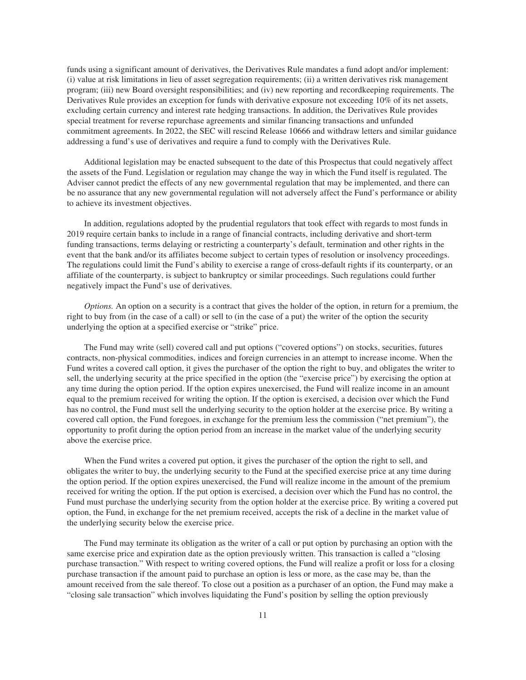funds using a significant amount of derivatives, the Derivatives Rule mandates a fund adopt and/or implement: (i) value at risk limitations in lieu of asset segregation requirements; (ii) a written derivatives risk management program; (iii) new Board oversight responsibilities; and (iv) new reporting and recordkeeping requirements. The Derivatives Rule provides an exception for funds with derivative exposure not exceeding 10% of its net assets, excluding certain currency and interest rate hedging transactions. In addition, the Derivatives Rule provides special treatment for reverse repurchase agreements and similar financing transactions and unfunded commitment agreements. In 2022, the SEC will rescind Release 10666 and withdraw letters and similar guidance addressing a fund's use of derivatives and require a fund to comply with the Derivatives Rule.

Additional legislation may be enacted subsequent to the date of this Prospectus that could negatively affect the assets of the Fund. Legislation or regulation may change the way in which the Fund itself is regulated. The Adviser cannot predict the effects of any new governmental regulation that may be implemented, and there can be no assurance that any new governmental regulation will not adversely affect the Fund's performance or ability to achieve its investment objectives.

In addition, regulations adopted by the prudential regulators that took effect with regards to most funds in 2019 require certain banks to include in a range of financial contracts, including derivative and short-term funding transactions, terms delaying or restricting a counterparty's default, termination and other rights in the event that the bank and/or its affiliates become subject to certain types of resolution or insolvency proceedings. The regulations could limit the Fund's ability to exercise a range of cross-default rights if its counterparty, or an affiliate of the counterparty, is subject to bankruptcy or similar proceedings. Such regulations could further negatively impact the Fund's use of derivatives.

*Options.* An option on a security is a contract that gives the holder of the option, in return for a premium, the right to buy from (in the case of a call) or sell to (in the case of a put) the writer of the option the security underlying the option at a specified exercise or "strike" price.

The Fund may write (sell) covered call and put options ("covered options") on stocks, securities, futures contracts, non-physical commodities, indices and foreign currencies in an attempt to increase income. When the Fund writes a covered call option, it gives the purchaser of the option the right to buy, and obligates the writer to sell, the underlying security at the price specified in the option (the "exercise price") by exercising the option at any time during the option period. If the option expires unexercised, the Fund will realize income in an amount equal to the premium received for writing the option. If the option is exercised, a decision over which the Fund has no control, the Fund must sell the underlying security to the option holder at the exercise price. By writing a covered call option, the Fund foregoes, in exchange for the premium less the commission ("net premium"), the opportunity to profit during the option period from an increase in the market value of the underlying security above the exercise price.

When the Fund writes a covered put option, it gives the purchaser of the option the right to sell, and obligates the writer to buy, the underlying security to the Fund at the specified exercise price at any time during the option period. If the option expires unexercised, the Fund will realize income in the amount of the premium received for writing the option. If the put option is exercised, a decision over which the Fund has no control, the Fund must purchase the underlying security from the option holder at the exercise price. By writing a covered put option, the Fund, in exchange for the net premium received, accepts the risk of a decline in the market value of the underlying security below the exercise price.

The Fund may terminate its obligation as the writer of a call or put option by purchasing an option with the same exercise price and expiration date as the option previously written. This transaction is called a "closing purchase transaction." With respect to writing covered options, the Fund will realize a profit or loss for a closing purchase transaction if the amount paid to purchase an option is less or more, as the case may be, than the amount received from the sale thereof. To close out a position as a purchaser of an option, the Fund may make a "closing sale transaction" which involves liquidating the Fund's position by selling the option previously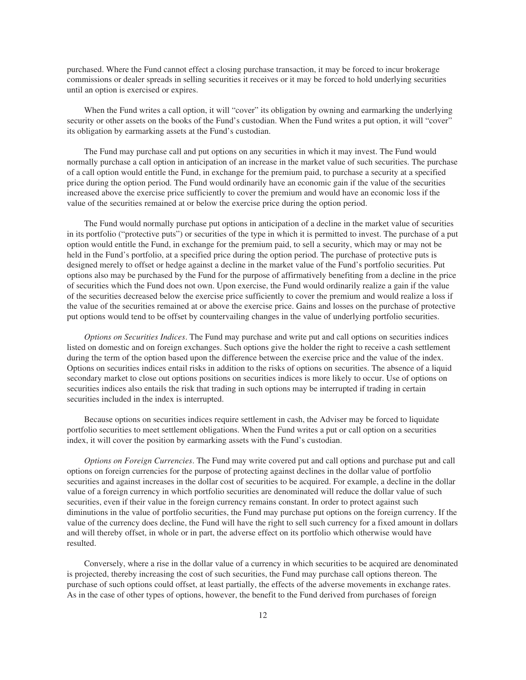purchased. Where the Fund cannot effect a closing purchase transaction, it may be forced to incur brokerage commissions or dealer spreads in selling securities it receives or it may be forced to hold underlying securities until an option is exercised or expires.

When the Fund writes a call option, it will "cover" its obligation by owning and earmarking the underlying security or other assets on the books of the Fund's custodian. When the Fund writes a put option, it will "cover" its obligation by earmarking assets at the Fund's custodian.

The Fund may purchase call and put options on any securities in which it may invest. The Fund would normally purchase a call option in anticipation of an increase in the market value of such securities. The purchase of a call option would entitle the Fund, in exchange for the premium paid, to purchase a security at a specified price during the option period. The Fund would ordinarily have an economic gain if the value of the securities increased above the exercise price sufficiently to cover the premium and would have an economic loss if the value of the securities remained at or below the exercise price during the option period.

The Fund would normally purchase put options in anticipation of a decline in the market value of securities in its portfolio ("protective puts") or securities of the type in which it is permitted to invest. The purchase of a put option would entitle the Fund, in exchange for the premium paid, to sell a security, which may or may not be held in the Fund's portfolio, at a specified price during the option period. The purchase of protective puts is designed merely to offset or hedge against a decline in the market value of the Fund's portfolio securities. Put options also may be purchased by the Fund for the purpose of affirmatively benefiting from a decline in the price of securities which the Fund does not own. Upon exercise, the Fund would ordinarily realize a gain if the value of the securities decreased below the exercise price sufficiently to cover the premium and would realize a loss if the value of the securities remained at or above the exercise price. Gains and losses on the purchase of protective put options would tend to be offset by countervailing changes in the value of underlying portfolio securities.

*Options on Securities Indices*. The Fund may purchase and write put and call options on securities indices listed on domestic and on foreign exchanges. Such options give the holder the right to receive a cash settlement during the term of the option based upon the difference between the exercise price and the value of the index. Options on securities indices entail risks in addition to the risks of options on securities. The absence of a liquid secondary market to close out options positions on securities indices is more likely to occur. Use of options on securities indices also entails the risk that trading in such options may be interrupted if trading in certain securities included in the index is interrupted.

Because options on securities indices require settlement in cash, the Adviser may be forced to liquidate portfolio securities to meet settlement obligations. When the Fund writes a put or call option on a securities index, it will cover the position by earmarking assets with the Fund's custodian.

*Options on Foreign Currencies*. The Fund may write covered put and call options and purchase put and call options on foreign currencies for the purpose of protecting against declines in the dollar value of portfolio securities and against increases in the dollar cost of securities to be acquired. For example, a decline in the dollar value of a foreign currency in which portfolio securities are denominated will reduce the dollar value of such securities, even if their value in the foreign currency remains constant. In order to protect against such diminutions in the value of portfolio securities, the Fund may purchase put options on the foreign currency. If the value of the currency does decline, the Fund will have the right to sell such currency for a fixed amount in dollars and will thereby offset, in whole or in part, the adverse effect on its portfolio which otherwise would have resulted.

Conversely, where a rise in the dollar value of a currency in which securities to be acquired are denominated is projected, thereby increasing the cost of such securities, the Fund may purchase call options thereon. The purchase of such options could offset, at least partially, the effects of the adverse movements in exchange rates. As in the case of other types of options, however, the benefit to the Fund derived from purchases of foreign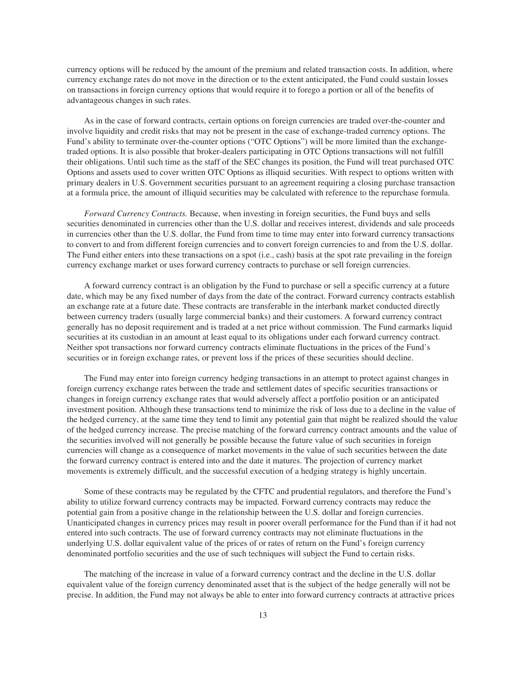currency options will be reduced by the amount of the premium and related transaction costs. In addition, where currency exchange rates do not move in the direction or to the extent anticipated, the Fund could sustain losses on transactions in foreign currency options that would require it to forego a portion or all of the benefits of advantageous changes in such rates.

As in the case of forward contracts, certain options on foreign currencies are traded over-the-counter and involve liquidity and credit risks that may not be present in the case of exchange-traded currency options. The Fund's ability to terminate over-the-counter options ("OTC Options") will be more limited than the exchangetraded options. It is also possible that broker-dealers participating in OTC Options transactions will not fulfill their obligations. Until such time as the staff of the SEC changes its position, the Fund will treat purchased OTC Options and assets used to cover written OTC Options as illiquid securities. With respect to options written with primary dealers in U.S. Government securities pursuant to an agreement requiring a closing purchase transaction at a formula price, the amount of illiquid securities may be calculated with reference to the repurchase formula.

*Forward Currency Contracts.* Because, when investing in foreign securities, the Fund buys and sells securities denominated in currencies other than the U.S. dollar and receives interest, dividends and sale proceeds in currencies other than the U.S. dollar, the Fund from time to time may enter into forward currency transactions to convert to and from different foreign currencies and to convert foreign currencies to and from the U.S. dollar. The Fund either enters into these transactions on a spot (i.e., cash) basis at the spot rate prevailing in the foreign currency exchange market or uses forward currency contracts to purchase or sell foreign currencies.

A forward currency contract is an obligation by the Fund to purchase or sell a specific currency at a future date, which may be any fixed number of days from the date of the contract. Forward currency contracts establish an exchange rate at a future date. These contracts are transferable in the interbank market conducted directly between currency traders (usually large commercial banks) and their customers. A forward currency contract generally has no deposit requirement and is traded at a net price without commission. The Fund earmarks liquid securities at its custodian in an amount at least equal to its obligations under each forward currency contract. Neither spot transactions nor forward currency contracts eliminate fluctuations in the prices of the Fund's securities or in foreign exchange rates, or prevent loss if the prices of these securities should decline.

The Fund may enter into foreign currency hedging transactions in an attempt to protect against changes in foreign currency exchange rates between the trade and settlement dates of specific securities transactions or changes in foreign currency exchange rates that would adversely affect a portfolio position or an anticipated investment position. Although these transactions tend to minimize the risk of loss due to a decline in the value of the hedged currency, at the same time they tend to limit any potential gain that might be realized should the value of the hedged currency increase. The precise matching of the forward currency contract amounts and the value of the securities involved will not generally be possible because the future value of such securities in foreign currencies will change as a consequence of market movements in the value of such securities between the date the forward currency contract is entered into and the date it matures. The projection of currency market movements is extremely difficult, and the successful execution of a hedging strategy is highly uncertain.

Some of these contracts may be regulated by the CFTC and prudential regulators, and therefore the Fund's ability to utilize forward currency contracts may be impacted. Forward currency contracts may reduce the potential gain from a positive change in the relationship between the U.S. dollar and foreign currencies. Unanticipated changes in currency prices may result in poorer overall performance for the Fund than if it had not entered into such contracts. The use of forward currency contracts may not eliminate fluctuations in the underlying U.S. dollar equivalent value of the prices of or rates of return on the Fund's foreign currency denominated portfolio securities and the use of such techniques will subject the Fund to certain risks.

The matching of the increase in value of a forward currency contract and the decline in the U.S. dollar equivalent value of the foreign currency denominated asset that is the subject of the hedge generally will not be precise. In addition, the Fund may not always be able to enter into forward currency contracts at attractive prices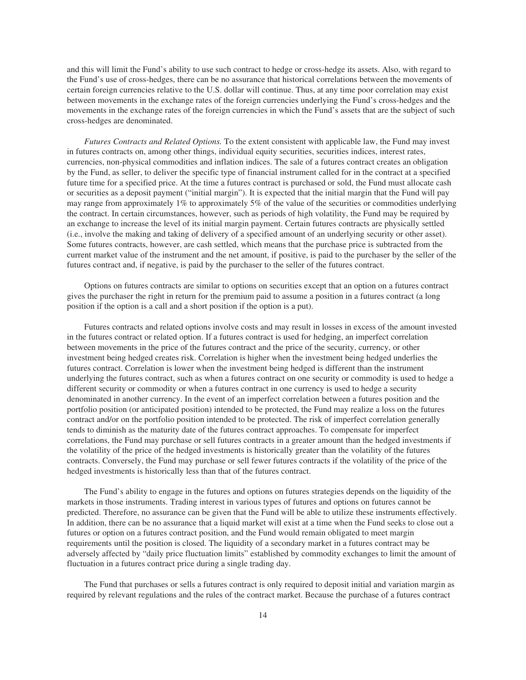and this will limit the Fund's ability to use such contract to hedge or cross-hedge its assets. Also, with regard to the Fund's use of cross-hedges, there can be no assurance that historical correlations between the movements of certain foreign currencies relative to the U.S. dollar will continue. Thus, at any time poor correlation may exist between movements in the exchange rates of the foreign currencies underlying the Fund's cross-hedges and the movements in the exchange rates of the foreign currencies in which the Fund's assets that are the subject of such cross-hedges are denominated.

*Futures Contracts and Related Options.* To the extent consistent with applicable law, the Fund may invest in futures contracts on, among other things, individual equity securities, securities indices, interest rates, currencies, non-physical commodities and inflation indices. The sale of a futures contract creates an obligation by the Fund, as seller, to deliver the specific type of financial instrument called for in the contract at a specified future time for a specified price. At the time a futures contract is purchased or sold, the Fund must allocate cash or securities as a deposit payment ("initial margin"). It is expected that the initial margin that the Fund will pay may range from approximately 1% to approximately 5% of the value of the securities or commodities underlying the contract. In certain circumstances, however, such as periods of high volatility, the Fund may be required by an exchange to increase the level of its initial margin payment. Certain futures contracts are physically settled (i.e., involve the making and taking of delivery of a specified amount of an underlying security or other asset). Some futures contracts, however, are cash settled, which means that the purchase price is subtracted from the current market value of the instrument and the net amount, if positive, is paid to the purchaser by the seller of the futures contract and, if negative, is paid by the purchaser to the seller of the futures contract.

Options on futures contracts are similar to options on securities except that an option on a futures contract gives the purchaser the right in return for the premium paid to assume a position in a futures contract (a long position if the option is a call and a short position if the option is a put).

Futures contracts and related options involve costs and may result in losses in excess of the amount invested in the futures contract or related option. If a futures contract is used for hedging, an imperfect correlation between movements in the price of the futures contract and the price of the security, currency, or other investment being hedged creates risk. Correlation is higher when the investment being hedged underlies the futures contract. Correlation is lower when the investment being hedged is different than the instrument underlying the futures contract, such as when a futures contract on one security or commodity is used to hedge a different security or commodity or when a futures contract in one currency is used to hedge a security denominated in another currency. In the event of an imperfect correlation between a futures position and the portfolio position (or anticipated position) intended to be protected, the Fund may realize a loss on the futures contract and/or on the portfolio position intended to be protected. The risk of imperfect correlation generally tends to diminish as the maturity date of the futures contract approaches. To compensate for imperfect correlations, the Fund may purchase or sell futures contracts in a greater amount than the hedged investments if the volatility of the price of the hedged investments is historically greater than the volatility of the futures contracts. Conversely, the Fund may purchase or sell fewer futures contracts if the volatility of the price of the hedged investments is historically less than that of the futures contract.

The Fund's ability to engage in the futures and options on futures strategies depends on the liquidity of the markets in those instruments. Trading interest in various types of futures and options on futures cannot be predicted. Therefore, no assurance can be given that the Fund will be able to utilize these instruments effectively. In addition, there can be no assurance that a liquid market will exist at a time when the Fund seeks to close out a futures or option on a futures contract position, and the Fund would remain obligated to meet margin requirements until the position is closed. The liquidity of a secondary market in a futures contract may be adversely affected by "daily price fluctuation limits" established by commodity exchanges to limit the amount of fluctuation in a futures contract price during a single trading day.

The Fund that purchases or sells a futures contract is only required to deposit initial and variation margin as required by relevant regulations and the rules of the contract market. Because the purchase of a futures contract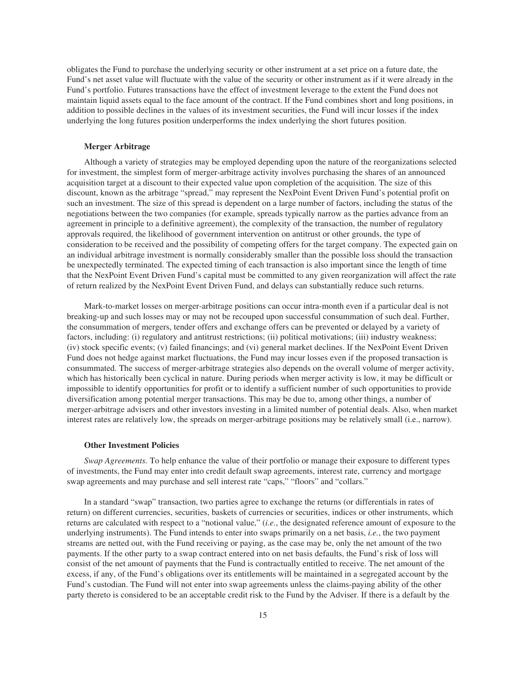obligates the Fund to purchase the underlying security or other instrument at a set price on a future date, the Fund's net asset value will fluctuate with the value of the security or other instrument as if it were already in the Fund's portfolio. Futures transactions have the effect of investment leverage to the extent the Fund does not maintain liquid assets equal to the face amount of the contract. If the Fund combines short and long positions, in addition to possible declines in the values of its investment securities, the Fund will incur losses if the index underlying the long futures position underperforms the index underlying the short futures position.

#### **Merger Arbitrage**

Although a variety of strategies may be employed depending upon the nature of the reorganizations selected for investment, the simplest form of merger-arbitrage activity involves purchasing the shares of an announced acquisition target at a discount to their expected value upon completion of the acquisition. The size of this discount, known as the arbitrage "spread," may represent the NexPoint Event Driven Fund's potential profit on such an investment. The size of this spread is dependent on a large number of factors, including the status of the negotiations between the two companies (for example, spreads typically narrow as the parties advance from an agreement in principle to a definitive agreement), the complexity of the transaction, the number of regulatory approvals required, the likelihood of government intervention on antitrust or other grounds, the type of consideration to be received and the possibility of competing offers for the target company. The expected gain on an individual arbitrage investment is normally considerably smaller than the possible loss should the transaction be unexpectedly terminated. The expected timing of each transaction is also important since the length of time that the NexPoint Event Driven Fund's capital must be committed to any given reorganization will affect the rate of return realized by the NexPoint Event Driven Fund, and delays can substantially reduce such returns.

Mark-to-market losses on merger-arbitrage positions can occur intra-month even if a particular deal is not breaking-up and such losses may or may not be recouped upon successful consummation of such deal. Further, the consummation of mergers, tender offers and exchange offers can be prevented or delayed by a variety of factors, including: (i) regulatory and antitrust restrictions; (ii) political motivations; (iii) industry weakness; (iv) stock specific events; (v) failed financings; and (vi) general market declines. If the NexPoint Event Driven Fund does not hedge against market fluctuations, the Fund may incur losses even if the proposed transaction is consummated. The success of merger-arbitrage strategies also depends on the overall volume of merger activity, which has historically been cyclical in nature. During periods when merger activity is low, it may be difficult or impossible to identify opportunities for profit or to identify a sufficient number of such opportunities to provide diversification among potential merger transactions. This may be due to, among other things, a number of merger-arbitrage advisers and other investors investing in a limited number of potential deals. Also, when market interest rates are relatively low, the spreads on merger-arbitrage positions may be relatively small (i.e., narrow).

#### **Other Investment Policies**

*Swap Agreements.* To help enhance the value of their portfolio or manage their exposure to different types of investments, the Fund may enter into credit default swap agreements, interest rate, currency and mortgage swap agreements and may purchase and sell interest rate "caps," "floors" and "collars."

In a standard "swap" transaction, two parties agree to exchange the returns (or differentials in rates of return) on different currencies, securities, baskets of currencies or securities, indices or other instruments, which returns are calculated with respect to a "notional value," (*i.e.*, the designated reference amount of exposure to the underlying instruments). The Fund intends to enter into swaps primarily on a net basis, *i.e.*, the two payment streams are netted out, with the Fund receiving or paying, as the case may be, only the net amount of the two payments. If the other party to a swap contract entered into on net basis defaults, the Fund's risk of loss will consist of the net amount of payments that the Fund is contractually entitled to receive. The net amount of the excess, if any, of the Fund's obligations over its entitlements will be maintained in a segregated account by the Fund's custodian. The Fund will not enter into swap agreements unless the claims-paying ability of the other party thereto is considered to be an acceptable credit risk to the Fund by the Adviser. If there is a default by the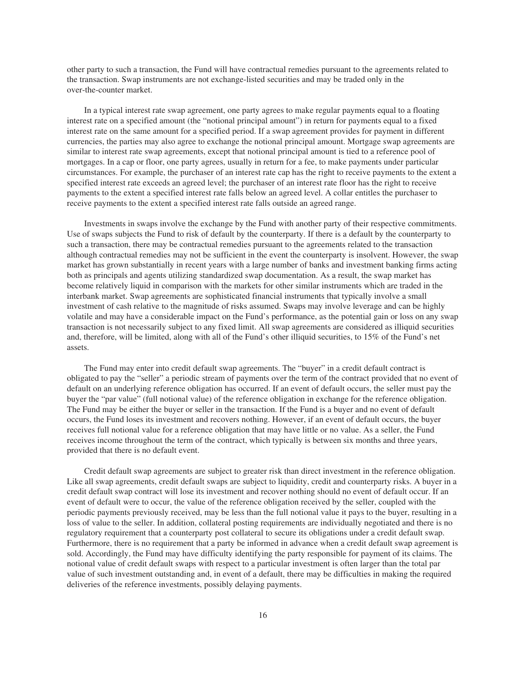other party to such a transaction, the Fund will have contractual remedies pursuant to the agreements related to the transaction. Swap instruments are not exchange-listed securities and may be traded only in the over-the-counter market.

In a typical interest rate swap agreement, one party agrees to make regular payments equal to a floating interest rate on a specified amount (the "notional principal amount") in return for payments equal to a fixed interest rate on the same amount for a specified period. If a swap agreement provides for payment in different currencies, the parties may also agree to exchange the notional principal amount. Mortgage swap agreements are similar to interest rate swap agreements, except that notional principal amount is tied to a reference pool of mortgages. In a cap or floor, one party agrees, usually in return for a fee, to make payments under particular circumstances. For example, the purchaser of an interest rate cap has the right to receive payments to the extent a specified interest rate exceeds an agreed level; the purchaser of an interest rate floor has the right to receive payments to the extent a specified interest rate falls below an agreed level. A collar entitles the purchaser to receive payments to the extent a specified interest rate falls outside an agreed range.

Investments in swaps involve the exchange by the Fund with another party of their respective commitments. Use of swaps subjects the Fund to risk of default by the counterparty. If there is a default by the counterparty to such a transaction, there may be contractual remedies pursuant to the agreements related to the transaction although contractual remedies may not be sufficient in the event the counterparty is insolvent. However, the swap market has grown substantially in recent years with a large number of banks and investment banking firms acting both as principals and agents utilizing standardized swap documentation. As a result, the swap market has become relatively liquid in comparison with the markets for other similar instruments which are traded in the interbank market. Swap agreements are sophisticated financial instruments that typically involve a small investment of cash relative to the magnitude of risks assumed. Swaps may involve leverage and can be highly volatile and may have a considerable impact on the Fund's performance, as the potential gain or loss on any swap transaction is not necessarily subject to any fixed limit. All swap agreements are considered as illiquid securities and, therefore, will be limited, along with all of the Fund's other illiquid securities, to 15% of the Fund's net assets.

The Fund may enter into credit default swap agreements. The "buyer" in a credit default contract is obligated to pay the "seller" a periodic stream of payments over the term of the contract provided that no event of default on an underlying reference obligation has occurred. If an event of default occurs, the seller must pay the buyer the "par value" (full notional value) of the reference obligation in exchange for the reference obligation. The Fund may be either the buyer or seller in the transaction. If the Fund is a buyer and no event of default occurs, the Fund loses its investment and recovers nothing. However, if an event of default occurs, the buyer receives full notional value for a reference obligation that may have little or no value. As a seller, the Fund receives income throughout the term of the contract, which typically is between six months and three years, provided that there is no default event.

Credit default swap agreements are subject to greater risk than direct investment in the reference obligation. Like all swap agreements, credit default swaps are subject to liquidity, credit and counterparty risks. A buyer in a credit default swap contract will lose its investment and recover nothing should no event of default occur. If an event of default were to occur, the value of the reference obligation received by the seller, coupled with the periodic payments previously received, may be less than the full notional value it pays to the buyer, resulting in a loss of value to the seller. In addition, collateral posting requirements are individually negotiated and there is no regulatory requirement that a counterparty post collateral to secure its obligations under a credit default swap. Furthermore, there is no requirement that a party be informed in advance when a credit default swap agreement is sold. Accordingly, the Fund may have difficulty identifying the party responsible for payment of its claims. The notional value of credit default swaps with respect to a particular investment is often larger than the total par value of such investment outstanding and, in event of a default, there may be difficulties in making the required deliveries of the reference investments, possibly delaying payments.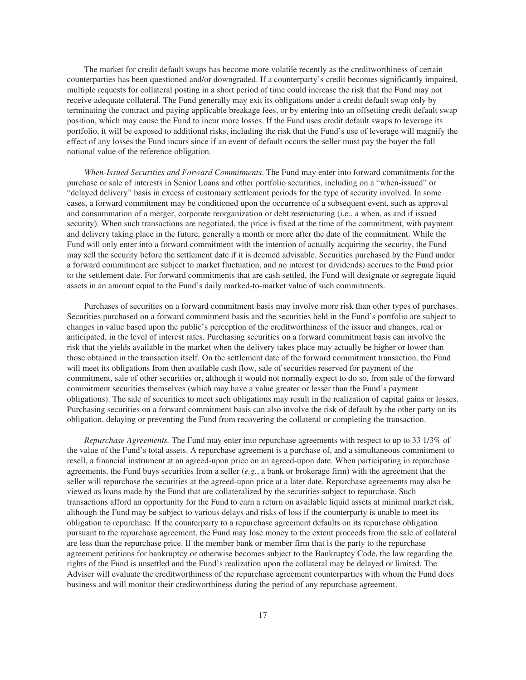The market for credit default swaps has become more volatile recently as the creditworthiness of certain counterparties has been questioned and/or downgraded. If a counterparty's credit becomes significantly impaired, multiple requests for collateral posting in a short period of time could increase the risk that the Fund may not receive adequate collateral. The Fund generally may exit its obligations under a credit default swap only by terminating the contract and paying applicable breakage fees, or by entering into an offsetting credit default swap position, which may cause the Fund to incur more losses. If the Fund uses credit default swaps to leverage its portfolio, it will be exposed to additional risks, including the risk that the Fund's use of leverage will magnify the effect of any losses the Fund incurs since if an event of default occurs the seller must pay the buyer the full notional value of the reference obligation.

*When-Issued Securities and Forward Commitments*. The Fund may enter into forward commitments for the purchase or sale of interests in Senior Loans and other portfolio securities, including on a "when-issued" or "delayed delivery" basis in excess of customary settlement periods for the type of security involved. In some cases, a forward commitment may be conditioned upon the occurrence of a subsequent event, such as approval and consummation of a merger, corporate reorganization or debt restructuring (i.e., a when, as and if issued security). When such transactions are negotiated, the price is fixed at the time of the commitment, with payment and delivery taking place in the future, generally a month or more after the date of the commitment. While the Fund will only enter into a forward commitment with the intention of actually acquiring the security, the Fund may sell the security before the settlement date if it is deemed advisable. Securities purchased by the Fund under a forward commitment are subject to market fluctuation, and no interest (or dividends) accrues to the Fund prior to the settlement date. For forward commitments that are cash settled, the Fund will designate or segregate liquid assets in an amount equal to the Fund's daily marked-to-market value of such commitments.

Purchases of securities on a forward commitment basis may involve more risk than other types of purchases. Securities purchased on a forward commitment basis and the securities held in the Fund's portfolio are subject to changes in value based upon the public's perception of the creditworthiness of the issuer and changes, real or anticipated, in the level of interest rates. Purchasing securities on a forward commitment basis can involve the risk that the yields available in the market when the delivery takes place may actually be higher or lower than those obtained in the transaction itself. On the settlement date of the forward commitment transaction, the Fund will meet its obligations from then available cash flow, sale of securities reserved for payment of the commitment, sale of other securities or, although it would not normally expect to do so, from sale of the forward commitment securities themselves (which may have a value greater or lesser than the Fund's payment obligations). The sale of securities to meet such obligations may result in the realization of capital gains or losses. Purchasing securities on a forward commitment basis can also involve the risk of default by the other party on its obligation, delaying or preventing the Fund from recovering the collateral or completing the transaction.

*Repurchase Agreements.* The Fund may enter into repurchase agreements with respect to up to 33 1/3% of the value of the Fund's total assets. A repurchase agreement is a purchase of, and a simultaneous commitment to resell, a financial instrument at an agreed-upon price on an agreed-upon date. When participating in repurchase agreements, the Fund buys securities from a seller (*e.g.*, a bank or brokerage firm) with the agreement that the seller will repurchase the securities at the agreed-upon price at a later date. Repurchase agreements may also be viewed as loans made by the Fund that are collateralized by the securities subject to repurchase. Such transactions afford an opportunity for the Fund to earn a return on available liquid assets at minimal market risk, although the Fund may be subject to various delays and risks of loss if the counterparty is unable to meet its obligation to repurchase. If the counterparty to a repurchase agreement defaults on its repurchase obligation pursuant to the repurchase agreement, the Fund may lose money to the extent proceeds from the sale of collateral are less than the repurchase price. If the member bank or member firm that is the party to the repurchase agreement petitions for bankruptcy or otherwise becomes subject to the Bankruptcy Code, the law regarding the rights of the Fund is unsettled and the Fund's realization upon the collateral may be delayed or limited. The Adviser will evaluate the creditworthiness of the repurchase agreement counterparties with whom the Fund does business and will monitor their creditworthiness during the period of any repurchase agreement.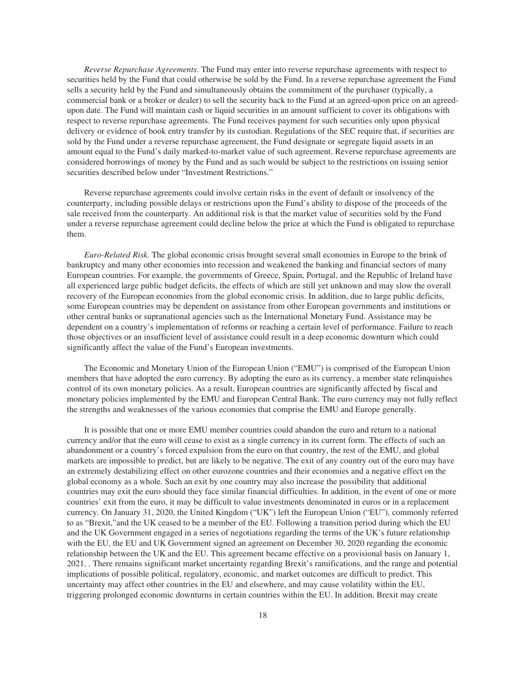*Reverse Repurchase Agreements*. The Fund may enter into reverse repurchase agreements with respect to securities held by the Fund that could otherwise be sold by the Fund. In a reverse repurchase agreement the Fund sells a security held by the Fund and simultaneously obtains the commitment of the purchaser (typically, a commercial bank or a broker or dealer) to sell the security back to the Fund at an agreed-upon price on an agreedupon date. The Fund will maintain cash or liquid securities in an amount sufficient to cover its obligations with respect to reverse repurchase agreements. The Fund receives payment for such securities only upon physical delivery or evidence of book entry transfer by its custodian. Regulations of the SEC require that, if securities are sold by the Fund under a reverse repurchase agreement, the Fund designate or segregate liquid assets in an amount equal to the Fund's daily marked-to-market value of such agreement. Reverse repurchase agreements are considered borrowings of money by the Fund and as such would be subject to the restrictions on issuing senior securities described below under "Investment Restrictions."

Reverse repurchase agreements could involve certain risks in the event of default or insolvency of the counterparty, including possible delays or restrictions upon the Fund's ability to dispose of the proceeds of the sale received from the counterparty. An additional risk is that the market value of securities sold by the Fund under a reverse repurchase agreement could decline below the price at which the Fund is obligated to repurchase them.

*Euro-Related Risk.* The global economic crisis brought several small economies in Europe to the brink of bankruptcy and many other economies into recession and weakened the banking and financial sectors of many European countries. For example, the governments of Greece, Spain, Portugal, and the Republic of Ireland have all experienced large public budget deficits, the effects of which are still yet unknown and may slow the overall recovery of the European economies from the global economic crisis. In addition, due to large public deficits, some European countries may be dependent on assistance from other European governments and institutions or other central banks or supranational agencies such as the International Monetary Fund. Assistance may be dependent on a country's implementation of reforms or reaching a certain level of performance. Failure to reach those objectives or an insufficient level of assistance could result in a deep economic downturn which could significantly affect the value of the Fund's European investments.

The Economic and Monetary Union of the European Union ("EMU") is comprised of the European Union members that have adopted the euro currency. By adopting the euro as its currency, a member state relinquishes control of its own monetary policies. As a result, European countries are significantly affected by fiscal and monetary policies implemented by the EMU and European Central Bank. The euro currency may not fully reflect the strengths and weaknesses of the various economies that comprise the EMU and Europe generally.

It is possible that one or more EMU member countries could abandon the euro and return to a national currency and/or that the euro will cease to exist as a single currency in its current form. The effects of such an abandonment or a country's forced expulsion from the euro on that country, the rest of the EMU, and global markets are impossible to predict, but are likely to be negative. The exit of any country out of the euro may have an extremely destabilizing effect on other eurozone countries and their economies and a negative effect on the global economy as a whole. Such an exit by one country may also increase the possibility that additional countries may exit the euro should they face similar financial difficulties. In addition, in the event of one or more countries' exit from the euro, it may be difficult to value investments denominated in euros or in a replacement currency. On January 31, 2020, the United Kingdom ("UK") left the European Union ("EU"), commonly referred to as "Brexit,"and the UK ceased to be a member of the EU. Following a transition period during which the EU and the UK Government engaged in a series of negotiations regarding the terms of the UK's future relationship with the EU, the EU and UK Government signed an agreement on December 30, 2020 regarding the economic relationship between the UK and the EU. This agreement became effective on a provisional basis on January 1, 2021. . There remains significant market uncertainty regarding Brexit's ramifications, and the range and potential implications of possible political, regulatory, economic, and market outcomes are difficult to predict. This uncertainty may affect other countries in the EU and elsewhere, and may cause volatility within the EU, triggering prolonged economic downturns in certain countries within the EU. In addition, Brexit may create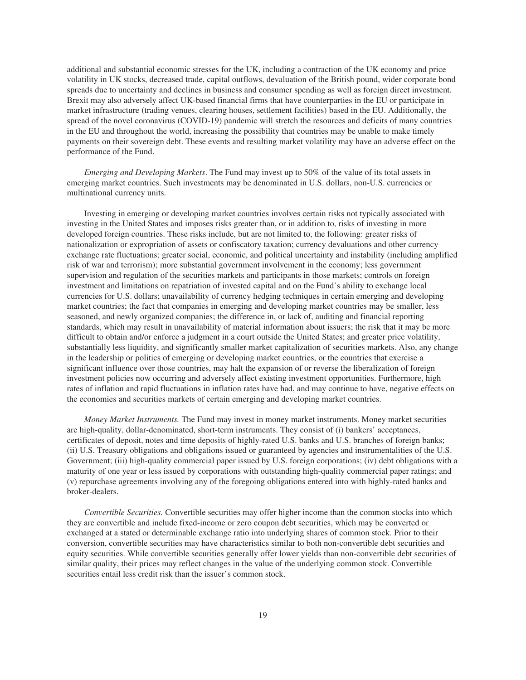additional and substantial economic stresses for the UK, including a contraction of the UK economy and price volatility in UK stocks, decreased trade, capital outflows, devaluation of the British pound, wider corporate bond spreads due to uncertainty and declines in business and consumer spending as well as foreign direct investment. Brexit may also adversely affect UK-based financial firms that have counterparties in the EU or participate in market infrastructure (trading venues, clearing houses, settlement facilities) based in the EU. Additionally, the spread of the novel coronavirus (COVID-19) pandemic will stretch the resources and deficits of many countries in the EU and throughout the world, increasing the possibility that countries may be unable to make timely payments on their sovereign debt. These events and resulting market volatility may have an adverse effect on the performance of the Fund.

*Emerging and Developing Markets*. The Fund may invest up to 50% of the value of its total assets in emerging market countries. Such investments may be denominated in U.S. dollars, non-U.S. currencies or multinational currency units.

Investing in emerging or developing market countries involves certain risks not typically associated with investing in the United States and imposes risks greater than, or in addition to, risks of investing in more developed foreign countries. These risks include, but are not limited to, the following: greater risks of nationalization or expropriation of assets or confiscatory taxation; currency devaluations and other currency exchange rate fluctuations; greater social, economic, and political uncertainty and instability (including amplified risk of war and terrorism); more substantial government involvement in the economy; less government supervision and regulation of the securities markets and participants in those markets; controls on foreign investment and limitations on repatriation of invested capital and on the Fund's ability to exchange local currencies for U.S. dollars; unavailability of currency hedging techniques in certain emerging and developing market countries; the fact that companies in emerging and developing market countries may be smaller, less seasoned, and newly organized companies; the difference in, or lack of, auditing and financial reporting standards, which may result in unavailability of material information about issuers; the risk that it may be more difficult to obtain and/or enforce a judgment in a court outside the United States; and greater price volatility, substantially less liquidity, and significantly smaller market capitalization of securities markets. Also, any change in the leadership or politics of emerging or developing market countries, or the countries that exercise a significant influence over those countries, may halt the expansion of or reverse the liberalization of foreign investment policies now occurring and adversely affect existing investment opportunities. Furthermore, high rates of inflation and rapid fluctuations in inflation rates have had, and may continue to have, negative effects on the economies and securities markets of certain emerging and developing market countries.

*Money Market Instruments.* The Fund may invest in money market instruments. Money market securities are high-quality, dollar-denominated, short-term instruments. They consist of (i) bankers' acceptances, certificates of deposit, notes and time deposits of highly-rated U.S. banks and U.S. branches of foreign banks; (ii) U.S. Treasury obligations and obligations issued or guaranteed by agencies and instrumentalities of the U.S. Government; (iii) high-quality commercial paper issued by U.S. foreign corporations; (iv) debt obligations with a maturity of one year or less issued by corporations with outstanding high-quality commercial paper ratings; and (v) repurchase agreements involving any of the foregoing obligations entered into with highly-rated banks and broker-dealers.

*Convertible Securities.* Convertible securities may offer higher income than the common stocks into which they are convertible and include fixed-income or zero coupon debt securities, which may be converted or exchanged at a stated or determinable exchange ratio into underlying shares of common stock. Prior to their conversion, convertible securities may have characteristics similar to both non-convertible debt securities and equity securities. While convertible securities generally offer lower yields than non-convertible debt securities of similar quality, their prices may reflect changes in the value of the underlying common stock. Convertible securities entail less credit risk than the issuer's common stock.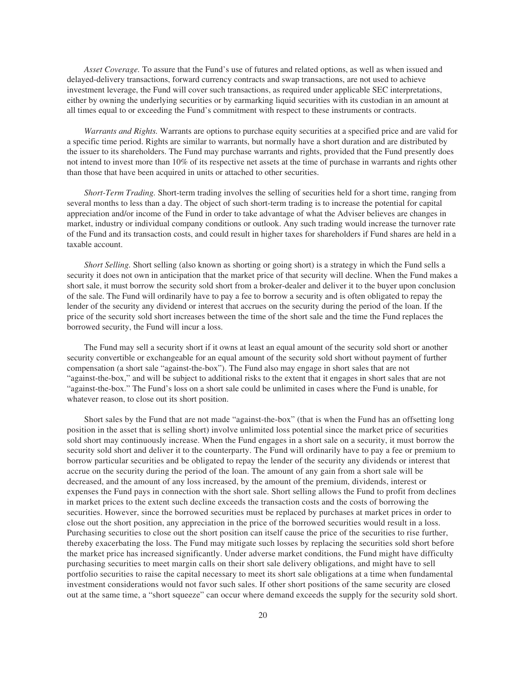*Asset Coverage.* To assure that the Fund's use of futures and related options, as well as when issued and delayed-delivery transactions, forward currency contracts and swap transactions, are not used to achieve investment leverage, the Fund will cover such transactions, as required under applicable SEC interpretations, either by owning the underlying securities or by earmarking liquid securities with its custodian in an amount at all times equal to or exceeding the Fund's commitment with respect to these instruments or contracts.

*Warrants and Rights.* Warrants are options to purchase equity securities at a specified price and are valid for a specific time period. Rights are similar to warrants, but normally have a short duration and are distributed by the issuer to its shareholders. The Fund may purchase warrants and rights, provided that the Fund presently does not intend to invest more than 10% of its respective net assets at the time of purchase in warrants and rights other than those that have been acquired in units or attached to other securities.

*Short-Term Trading.* Short-term trading involves the selling of securities held for a short time, ranging from several months to less than a day. The object of such short-term trading is to increase the potential for capital appreciation and/or income of the Fund in order to take advantage of what the Adviser believes are changes in market, industry or individual company conditions or outlook. Any such trading would increase the turnover rate of the Fund and its transaction costs, and could result in higher taxes for shareholders if Fund shares are held in a taxable account.

*Short Selling.* Short selling (also known as shorting or going short) is a strategy in which the Fund sells a security it does not own in anticipation that the market price of that security will decline. When the Fund makes a short sale, it must borrow the security sold short from a broker-dealer and deliver it to the buyer upon conclusion of the sale. The Fund will ordinarily have to pay a fee to borrow a security and is often obligated to repay the lender of the security any dividend or interest that accrues on the security during the period of the loan. If the price of the security sold short increases between the time of the short sale and the time the Fund replaces the borrowed security, the Fund will incur a loss.

The Fund may sell a security short if it owns at least an equal amount of the security sold short or another security convertible or exchangeable for an equal amount of the security sold short without payment of further compensation (a short sale "against-the-box"). The Fund also may engage in short sales that are not "against-the-box," and will be subject to additional risks to the extent that it engages in short sales that are not "against-the-box." The Fund's loss on a short sale could be unlimited in cases where the Fund is unable, for whatever reason, to close out its short position.

Short sales by the Fund that are not made "against-the-box" (that is when the Fund has an offsetting long position in the asset that is selling short) involve unlimited loss potential since the market price of securities sold short may continuously increase. When the Fund engages in a short sale on a security, it must borrow the security sold short and deliver it to the counterparty. The Fund will ordinarily have to pay a fee or premium to borrow particular securities and be obligated to repay the lender of the security any dividends or interest that accrue on the security during the period of the loan. The amount of any gain from a short sale will be decreased, and the amount of any loss increased, by the amount of the premium, dividends, interest or expenses the Fund pays in connection with the short sale. Short selling allows the Fund to profit from declines in market prices to the extent such decline exceeds the transaction costs and the costs of borrowing the securities. However, since the borrowed securities must be replaced by purchases at market prices in order to close out the short position, any appreciation in the price of the borrowed securities would result in a loss. Purchasing securities to close out the short position can itself cause the price of the securities to rise further, thereby exacerbating the loss. The Fund may mitigate such losses by replacing the securities sold short before the market price has increased significantly. Under adverse market conditions, the Fund might have difficulty purchasing securities to meet margin calls on their short sale delivery obligations, and might have to sell portfolio securities to raise the capital necessary to meet its short sale obligations at a time when fundamental investment considerations would not favor such sales. If other short positions of the same security are closed out at the same time, a "short squeeze" can occur where demand exceeds the supply for the security sold short.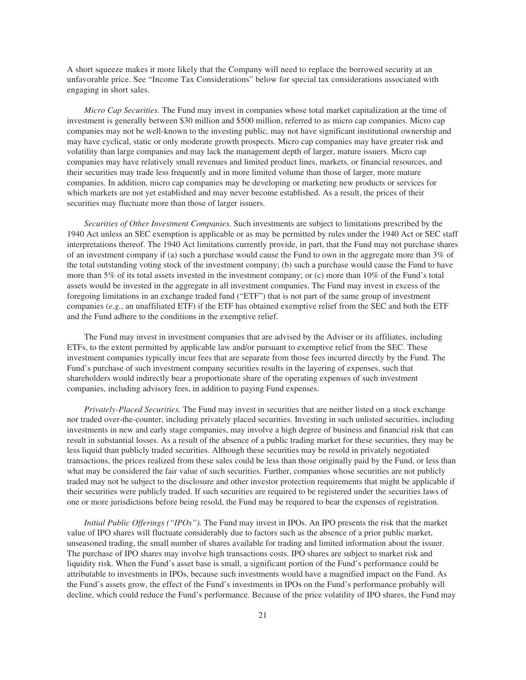A short squeeze makes it more likely that the Company will need to replace the borrowed security at an unfavorable price. See "Income Tax Considerations" below for special tax considerations associated with engaging in short sales.

*Micro Cap Securities.* The Fund may invest in companies whose total market capitalization at the time of investment is generally between \$30 million and \$500 million, referred to as micro cap companies. Micro cap companies may not be well-known to the investing public, may not have significant institutional ownership and may have cyclical, static or only moderate growth prospects. Micro cap companies may have greater risk and volatility than large companies and may lack the management depth of larger, mature issuers. Micro cap companies may have relatively small revenues and limited product lines, markets, or financial resources, and their securities may trade less frequently and in more limited volume than those of larger, more mature companies. In addition, micro cap companies may be developing or marketing new products or services for which markets are not yet established and may never become established. As a result, the prices of their securities may fluctuate more than those of larger issuers.

*Securities of Other Investment Companies.* Such investments are subject to limitations prescribed by the 1940 Act unless an SEC exemption is applicable or as may be permitted by rules under the 1940 Act or SEC staff interpretations thereof. The 1940 Act limitations currently provide, in part, that the Fund may not purchase shares of an investment company if (a) such a purchase would cause the Fund to own in the aggregate more than 3% of the total outstanding voting stock of the investment company; (b) such a purchase would cause the Fund to have more than 5% of its total assets invested in the investment company; or (c) more than 10% of the Fund's total assets would be invested in the aggregate in all investment companies. The Fund may invest in excess of the foregoing limitations in an exchange traded fund ("ETF") that is not part of the same group of investment companies (*e.g.*, an unaffiliated ETF) if the ETF has obtained exemptive relief from the SEC and both the ETF and the Fund adhere to the conditions in the exemptive relief*.*

The Fund may invest in investment companies that are advised by the Adviser or its affiliates, including ETFs, to the extent permitted by applicable law and/or pursuant to exemptive relief from the SEC. These investment companies typically incur fees that are separate from those fees incurred directly by the Fund. The Fund's purchase of such investment company securities results in the layering of expenses, such that shareholders would indirectly bear a proportionate share of the operating expenses of such investment companies, including advisory fees, in addition to paying Fund expenses.

*Privately-Placed Securities.* The Fund may invest in securities that are neither listed on a stock exchange nor traded over-the-counter, including privately placed securities. Investing in such unlisted securities, including investments in new and early stage companies, may involve a high degree of business and financial risk that can result in substantial losses. As a result of the absence of a public trading market for these securities, they may be less liquid than publicly traded securities. Although these securities may be resold in privately negotiated transactions, the prices realized from these sales could be less than those originally paid by the Fund, or less than what may be considered the fair value of such securities. Further, companies whose securities are not publicly traded may not be subject to the disclosure and other investor protection requirements that might be applicable if their securities were publicly traded. If such securities are required to be registered under the securities laws of one or more jurisdictions before being resold, the Fund may be required to bear the expenses of registration.

*Initial Public Offerings ("IPOs")*. The Fund may invest in IPOs. An IPO presents the risk that the market value of IPO shares will fluctuate considerably due to factors such as the absence of a prior public market, unseasoned trading, the small number of shares available for trading and limited information about the issuer. The purchase of IPO shares may involve high transactions costs. IPO shares are subject to market risk and liquidity risk. When the Fund's asset base is small, a significant portion of the Fund's performance could be attributable to investments in IPOs, because such investments would have a magnified impact on the Fund. As the Fund's assets grow, the effect of the Fund's investments in IPOs on the Fund's performance probably will decline, which could reduce the Fund's performance. Because of the price volatility of IPO shares, the Fund may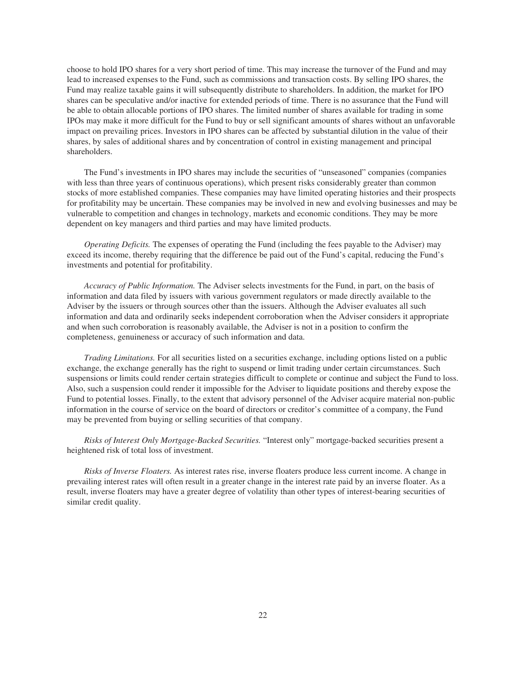choose to hold IPO shares for a very short period of time. This may increase the turnover of the Fund and may lead to increased expenses to the Fund, such as commissions and transaction costs. By selling IPO shares, the Fund may realize taxable gains it will subsequently distribute to shareholders. In addition, the market for IPO shares can be speculative and/or inactive for extended periods of time. There is no assurance that the Fund will be able to obtain allocable portions of IPO shares. The limited number of shares available for trading in some IPOs may make it more difficult for the Fund to buy or sell significant amounts of shares without an unfavorable impact on prevailing prices. Investors in IPO shares can be affected by substantial dilution in the value of their shares, by sales of additional shares and by concentration of control in existing management and principal shareholders.

The Fund's investments in IPO shares may include the securities of "unseasoned" companies (companies with less than three years of continuous operations), which present risks considerably greater than common stocks of more established companies. These companies may have limited operating histories and their prospects for profitability may be uncertain. These companies may be involved in new and evolving businesses and may be vulnerable to competition and changes in technology, markets and economic conditions. They may be more dependent on key managers and third parties and may have limited products.

*Operating Deficits.* The expenses of operating the Fund (including the fees payable to the Adviser) may exceed its income, thereby requiring that the difference be paid out of the Fund's capital, reducing the Fund's investments and potential for profitability.

*Accuracy of Public Information.* The Adviser selects investments for the Fund, in part, on the basis of information and data filed by issuers with various government regulators or made directly available to the Adviser by the issuers or through sources other than the issuers. Although the Adviser evaluates all such information and data and ordinarily seeks independent corroboration when the Adviser considers it appropriate and when such corroboration is reasonably available, the Adviser is not in a position to confirm the completeness, genuineness or accuracy of such information and data.

*Trading Limitations.* For all securities listed on a securities exchange, including options listed on a public exchange, the exchange generally has the right to suspend or limit trading under certain circumstances. Such suspensions or limits could render certain strategies difficult to complete or continue and subject the Fund to loss. Also, such a suspension could render it impossible for the Adviser to liquidate positions and thereby expose the Fund to potential losses. Finally, to the extent that advisory personnel of the Adviser acquire material non-public information in the course of service on the board of directors or creditor's committee of a company, the Fund may be prevented from buying or selling securities of that company.

*Risks of Interest Only Mortgage-Backed Securities.* "Interest only" mortgage-backed securities present a heightened risk of total loss of investment.

*Risks of Inverse Floaters.* As interest rates rise, inverse floaters produce less current income. A change in prevailing interest rates will often result in a greater change in the interest rate paid by an inverse floater. As a result, inverse floaters may have a greater degree of volatility than other types of interest-bearing securities of similar credit quality.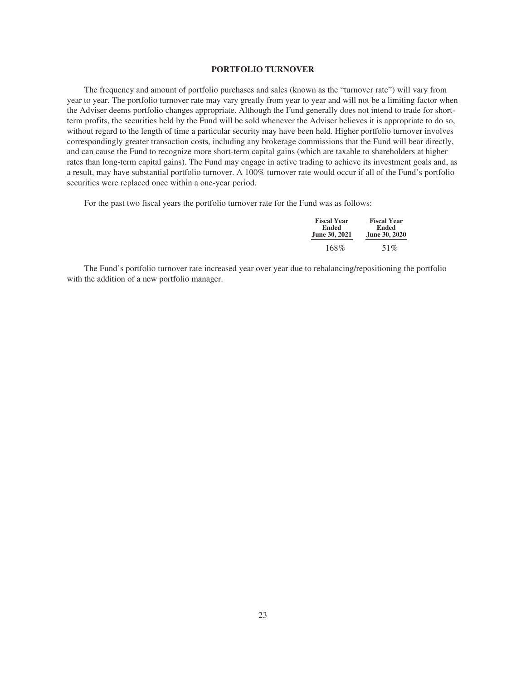#### **PORTFOLIO TURNOVER**

<span id="page-28-0"></span>The frequency and amount of portfolio purchases and sales (known as the "turnover rate") will vary from year to year. The portfolio turnover rate may vary greatly from year to year and will not be a limiting factor when the Adviser deems portfolio changes appropriate. Although the Fund generally does not intend to trade for shortterm profits, the securities held by the Fund will be sold whenever the Adviser believes it is appropriate to do so, without regard to the length of time a particular security may have been held. Higher portfolio turnover involves correspondingly greater transaction costs, including any brokerage commissions that the Fund will bear directly, and can cause the Fund to recognize more short-term capital gains (which are taxable to shareholders at higher rates than long-term capital gains). The Fund may engage in active trading to achieve its investment goals and, as a result, may have substantial portfolio turnover. A 100% turnover rate would occur if all of the Fund's portfolio securities were replaced once within a one-year period.

For the past two fiscal years the portfolio turnover rate for the Fund was as follows:

| <b>Fiscal Year</b> | <b>Fiscal Year</b> |  |  |
|--------------------|--------------------|--|--|
| Ended              | Ended              |  |  |
| June 30, 2021      | June 30, 2020      |  |  |
| 168%               | 51%                |  |  |

The Fund's portfolio turnover rate increased year over year due to rebalancing/repositioning the portfolio with the addition of a new portfolio manager.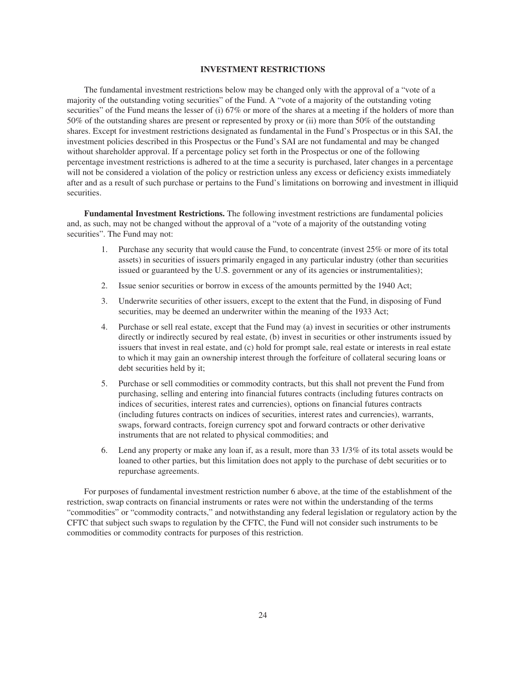### **INVESTMENT RESTRICTIONS**

<span id="page-29-0"></span>The fundamental investment restrictions below may be changed only with the approval of a "vote of a majority of the outstanding voting securities" of the Fund. A "vote of a majority of the outstanding voting securities" of the Fund means the lesser of (i) 67% or more of the shares at a meeting if the holders of more than 50% of the outstanding shares are present or represented by proxy or (ii) more than 50% of the outstanding shares. Except for investment restrictions designated as fundamental in the Fund's Prospectus or in this SAI, the investment policies described in this Prospectus or the Fund's SAI are not fundamental and may be changed without shareholder approval. If a percentage policy set forth in the Prospectus or one of the following percentage investment restrictions is adhered to at the time a security is purchased, later changes in a percentage will not be considered a violation of the policy or restriction unless any excess or deficiency exists immediately after and as a result of such purchase or pertains to the Fund's limitations on borrowing and investment in illiquid securities.

**Fundamental Investment Restrictions.** The following investment restrictions are fundamental policies and, as such, may not be changed without the approval of a "vote of a majority of the outstanding voting securities". The Fund may not:

- 1. Purchase any security that would cause the Fund, to concentrate (invest 25% or more of its total assets) in securities of issuers primarily engaged in any particular industry (other than securities issued or guaranteed by the U.S. government or any of its agencies or instrumentalities);
- 2. Issue senior securities or borrow in excess of the amounts permitted by the 1940 Act;
- 3. Underwrite securities of other issuers, except to the extent that the Fund, in disposing of Fund securities, may be deemed an underwriter within the meaning of the 1933 Act;
- 4. Purchase or sell real estate, except that the Fund may (a) invest in securities or other instruments directly or indirectly secured by real estate, (b) invest in securities or other instruments issued by issuers that invest in real estate, and (c) hold for prompt sale, real estate or interests in real estate to which it may gain an ownership interest through the forfeiture of collateral securing loans or debt securities held by it;
- 5. Purchase or sell commodities or commodity contracts, but this shall not prevent the Fund from purchasing, selling and entering into financial futures contracts (including futures contracts on indices of securities, interest rates and currencies), options on financial futures contracts (including futures contracts on indices of securities, interest rates and currencies), warrants, swaps, forward contracts, foreign currency spot and forward contracts or other derivative instruments that are not related to physical commodities; and
- 6. Lend any property or make any loan if, as a result, more than 33 1/3% of its total assets would be loaned to other parties, but this limitation does not apply to the purchase of debt securities or to repurchase agreements.

For purposes of fundamental investment restriction number 6 above, at the time of the establishment of the restriction, swap contracts on financial instruments or rates were not within the understanding of the terms "commodities" or "commodity contracts," and notwithstanding any federal legislation or regulatory action by the CFTC that subject such swaps to regulation by the CFTC, the Fund will not consider such instruments to be commodities or commodity contracts for purposes of this restriction.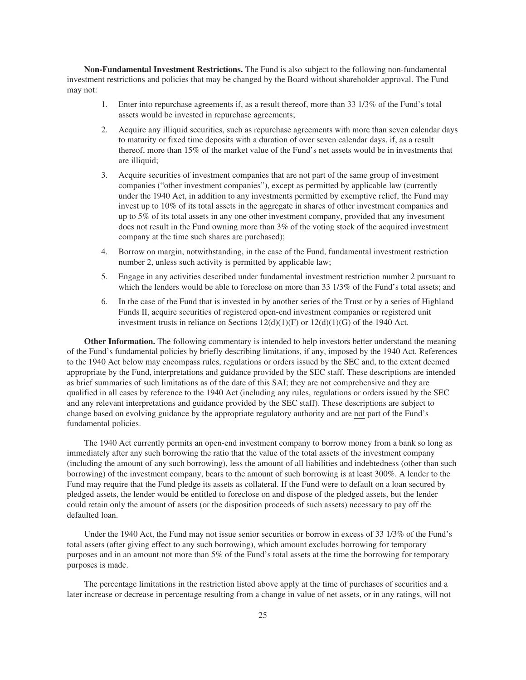**Non-Fundamental Investment Restrictions.** The Fund is also subject to the following non-fundamental investment restrictions and policies that may be changed by the Board without shareholder approval. The Fund may not:

- 1. Enter into repurchase agreements if, as a result thereof, more than 33 1/3% of the Fund's total assets would be invested in repurchase agreements;
- 2. Acquire any illiquid securities, such as repurchase agreements with more than seven calendar days to maturity or fixed time deposits with a duration of over seven calendar days, if, as a result thereof, more than 15% of the market value of the Fund's net assets would be in investments that are illiquid;
- 3. Acquire securities of investment companies that are not part of the same group of investment companies ("other investment companies"), except as permitted by applicable law (currently under the 1940 Act, in addition to any investments permitted by exemptive relief, the Fund may invest up to 10% of its total assets in the aggregate in shares of other investment companies and up to 5% of its total assets in any one other investment company, provided that any investment does not result in the Fund owning more than 3% of the voting stock of the acquired investment company at the time such shares are purchased);
- 4. Borrow on margin, notwithstanding, in the case of the Fund, fundamental investment restriction number 2, unless such activity is permitted by applicable law;
- 5. Engage in any activities described under fundamental investment restriction number 2 pursuant to which the lenders would be able to foreclose on more than 33 1/3% of the Fund's total assets; and
- 6. In the case of the Fund that is invested in by another series of the Trust or by a series of Highland Funds II, acquire securities of registered open-end investment companies or registered unit investment trusts in reliance on Sections  $12(d)(1)(F)$  or  $12(d)(1)(G)$  of the 1940 Act.

**Other Information.** The following commentary is intended to help investors better understand the meaning of the Fund's fundamental policies by briefly describing limitations, if any, imposed by the 1940 Act. References to the 1940 Act below may encompass rules, regulations or orders issued by the SEC and, to the extent deemed appropriate by the Fund, interpretations and guidance provided by the SEC staff. These descriptions are intended as brief summaries of such limitations as of the date of this SAI; they are not comprehensive and they are qualified in all cases by reference to the 1940 Act (including any rules, regulations or orders issued by the SEC and any relevant interpretations and guidance provided by the SEC staff). These descriptions are subject to change based on evolving guidance by the appropriate regulatory authority and are not part of the Fund's fundamental policies.

The 1940 Act currently permits an open-end investment company to borrow money from a bank so long as immediately after any such borrowing the ratio that the value of the total assets of the investment company (including the amount of any such borrowing), less the amount of all liabilities and indebtedness (other than such borrowing) of the investment company, bears to the amount of such borrowing is at least 300%. A lender to the Fund may require that the Fund pledge its assets as collateral. If the Fund were to default on a loan secured by pledged assets, the lender would be entitled to foreclose on and dispose of the pledged assets, but the lender could retain only the amount of assets (or the disposition proceeds of such assets) necessary to pay off the defaulted loan.

Under the 1940 Act, the Fund may not issue senior securities or borrow in excess of 33 1/3% of the Fund's total assets (after giving effect to any such borrowing), which amount excludes borrowing for temporary purposes and in an amount not more than 5% of the Fund's total assets at the time the borrowing for temporary purposes is made.

The percentage limitations in the restriction listed above apply at the time of purchases of securities and a later increase or decrease in percentage resulting from a change in value of net assets, or in any ratings, will not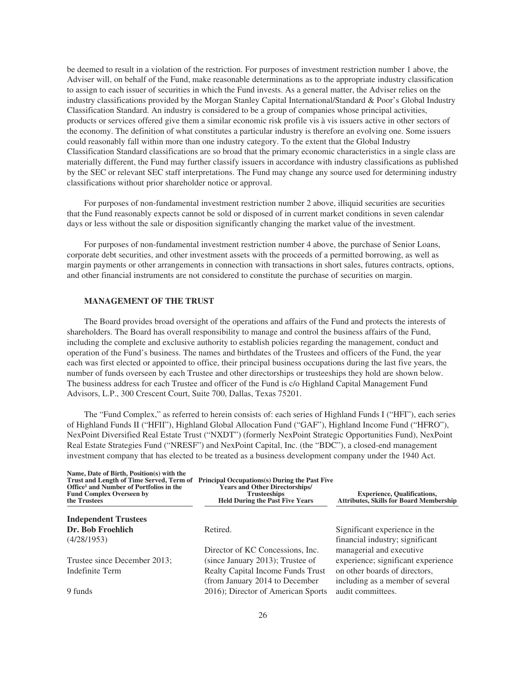be deemed to result in a violation of the restriction. For purposes of investment restriction number 1 above, the Adviser will, on behalf of the Fund, make reasonable determinations as to the appropriate industry classification to assign to each issuer of securities in which the Fund invests. As a general matter, the Adviser relies on the industry classifications provided by the Morgan Stanley Capital International/Standard & Poor's Global Industry Classification Standard. An industry is considered to be a group of companies whose principal activities, products or services offered give them a similar economic risk profile vis à vis issuers active in other sectors of the economy. The definition of what constitutes a particular industry is therefore an evolving one. Some issuers could reasonably fall within more than one industry category. To the extent that the Global Industry Classification Standard classifications are so broad that the primary economic characteristics in a single class are materially different, the Fund may further classify issuers in accordance with industry classifications as published by the SEC or relevant SEC staff interpretations. The Fund may change any source used for determining industry classifications without prior shareholder notice or approval.

For purposes of non-fundamental investment restriction number 2 above, illiquid securities are securities that the Fund reasonably expects cannot be sold or disposed of in current market conditions in seven calendar days or less without the sale or disposition significantly changing the market value of the investment.

For purposes of non-fundamental investment restriction number 4 above, the purchase of Senior Loans, corporate debt securities, and other investment assets with the proceeds of a permitted borrowing, as well as margin payments or other arrangements in connection with transactions in short sales, futures contracts, options, and other financial instruments are not considered to constitute the purchase of securities on margin.

# **MANAGEMENT OF THE TRUST**

<span id="page-31-0"></span>The Board provides broad oversight of the operations and affairs of the Fund and protects the interests of shareholders. The Board has overall responsibility to manage and control the business affairs of the Fund, including the complete and exclusive authority to establish policies regarding the management, conduct and operation of the Fund's business. The names and birthdates of the Trustees and officers of the Fund, the year each was first elected or appointed to office, their principal business occupations during the last five years, the number of funds overseen by each Trustee and other directorships or trusteeships they hold are shown below. The business address for each Trustee and officer of the Fund is c/o Highland Capital Management Fund Advisors, L.P., 300 Crescent Court, Suite 700, Dallas, Texas 75201.

The "Fund Complex," as referred to herein consists of: each series of Highland Funds I ("HFI"), each series of Highland Funds II ("HFII"), Highland Global Allocation Fund ("GAF"), Highland Income Fund ("HFRO"), NexPoint Diversified Real Estate Trust ("NXDT") (formerly NexPoint Strategic Opportunities Fund), NexPoint Real Estate Strategies Fund ("NRESF") and NexPoint Capital, Inc. (the "BDC"), a closed-end management investment company that has elected to be treated as a business development company under the 1940 Act.

| Name, Date of Birth, Position(s) with the<br>Trust and Length of Time Served, Term of<br>Office <sup>1</sup> and Number of Portfolios in the<br><b>Fund Complex Overseen by</b><br>the Trustees | <b>Principal Occupations(s) During the Past Five</b><br><b>Years and Other Directorships/</b><br><b>Trusteeships</b><br><b>Held During the Past Five Years</b> | <b>Experience, Qualifications,</b><br><b>Attributes, Skills for Board Membership</b> |  |
|-------------------------------------------------------------------------------------------------------------------------------------------------------------------------------------------------|----------------------------------------------------------------------------------------------------------------------------------------------------------------|--------------------------------------------------------------------------------------|--|
| <b>Independent Trustees</b>                                                                                                                                                                     |                                                                                                                                                                |                                                                                      |  |
| Dr. Bob Froehlich                                                                                                                                                                               | Retired.                                                                                                                                                       | Significant experience in the                                                        |  |
| (4/28/1953)                                                                                                                                                                                     |                                                                                                                                                                | financial industry; significant                                                      |  |
|                                                                                                                                                                                                 | Director of KC Concessions, Inc.                                                                                                                               | managerial and executive                                                             |  |
| Trustee since December 2013;                                                                                                                                                                    | (since January 2013); Trustee of                                                                                                                               | experience; significant experience                                                   |  |
| Indefinite Term                                                                                                                                                                                 | Realty Capital Income Funds Trust                                                                                                                              | on other boards of directors,                                                        |  |
|                                                                                                                                                                                                 | (from January 2014 to December)                                                                                                                                | including as a member of several                                                     |  |
| 9 funds                                                                                                                                                                                         | 2016); Director of American Sports                                                                                                                             | audit committees.                                                                    |  |
|                                                                                                                                                                                                 |                                                                                                                                                                |                                                                                      |  |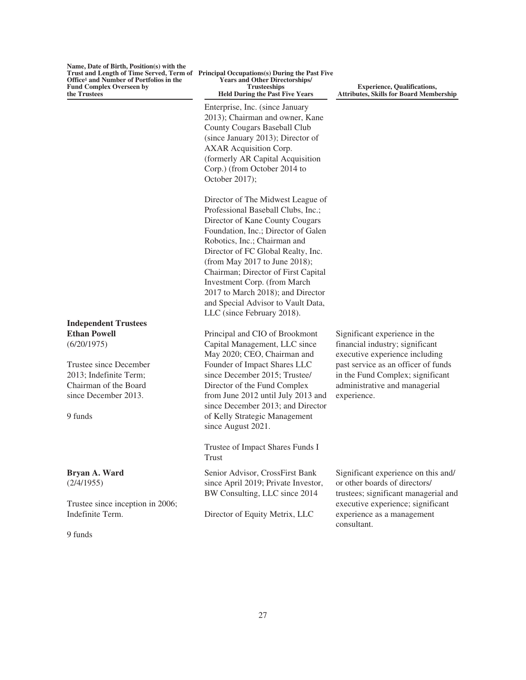**Name, Date of Birth, Position(s) with the Office1 and Number of Portfolios in the Fund Complex Overseen by the Trustees**

Enterprise, Inc. (since January 2013); Chairman and owner, Kane County Cougars Baseball Club (since January 2013); Director of AXAR Acquisition Corp. (formerly AR Capital Acquisition Corp.) (from October 2014 to October 2017);

Director of The Midwest League of Professional Baseball Clubs, Inc.; Director of Kane County Cougars Foundation, Inc.; Director of Galen Robotics, Inc.; Chairman and Director of FC Global Realty, Inc. (from May 2017 to June 2018); Chairman; Director of First Capital Investment Corp. (from March 2017 to March 2018); and Director and Special Advisor to Vault Data, LLC (since February 2018).

Principal and CIO of Brookmont Capital Management, LLC since May 2020; CEO, Chairman and Founder of Impact Shares LLC since December 2015; Trustee/ Director of the Fund Complex from June 2012 until July 2013 and since December 2013; and Director of Kelly Strategic Management since August 2021.

Trustee of Impact Shares Funds I Trust

Senior Advisor, CrossFirst Bank since April 2019; Private Investor, BW Consulting, LLC since 2014

Director of Equity Metrix, LLC

Significant experience on this and/ or other boards of directors/ trustees; significant managerial and executive experience; significant experience as a management consultant.

Significant experience in the financial industry; significant executive experience including past service as an officer of funds in the Fund Complex; significant administrative and managerial experience.

**Experience, Qualifications, Attributes, Skills for Board Membership**

# **Independent Trustees Ethan Powell** (6/20/1975)

Trustee since December 2013; Indefinite Term; Chairman of the Board since December 2013.

9 funds

**Bryan A. Ward** (2/4/1955)

Trustee since inception in 2006; Indefinite Term.

9 funds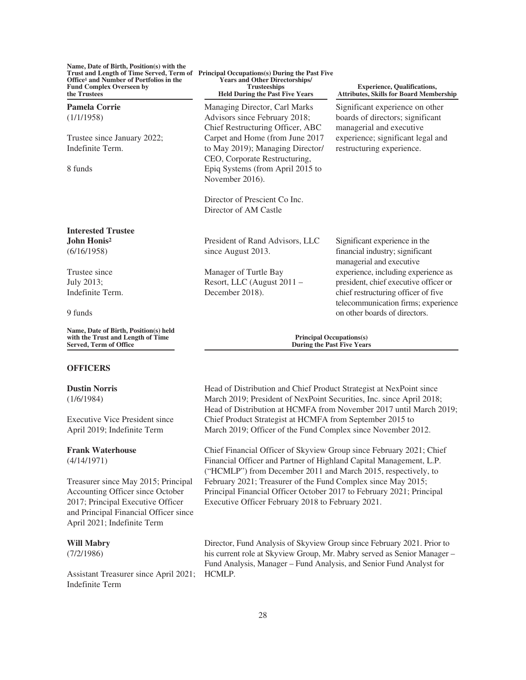| Office <sup>1</sup> and Number of Portfolios in the<br><b>Fund Complex Overseen by</b><br>the Trustees      | Trust and Length of Time Served, Term of Principal Occupations(s) During the Past Five<br><b>Years and Other Directorships/</b><br><b>Trusteeships</b><br><b>Held During the Past Five Years</b> | <b>Experience, Qualifications,</b><br><b>Attributes, Skills for Board Membership</b> |  |
|-------------------------------------------------------------------------------------------------------------|--------------------------------------------------------------------------------------------------------------------------------------------------------------------------------------------------|--------------------------------------------------------------------------------------|--|
| Pamela Corrie                                                                                               | Managing Director, Carl Marks                                                                                                                                                                    | Significant experience on other                                                      |  |
| (1/1/1958)                                                                                                  | Advisors since February 2018;<br>Chief Restructuring Officer, ABC                                                                                                                                | boards of directors; significant<br>managerial and executive                         |  |
| Trustee since January 2022;                                                                                 | Carpet and Home (from June 2017                                                                                                                                                                  | experience; significant legal and                                                    |  |
| Indefinite Term.                                                                                            | to May 2019); Managing Director/<br>restructuring experience.<br>CEO, Corporate Restructuring,                                                                                                   |                                                                                      |  |
| 8 funds                                                                                                     | Epiq Systems (from April 2015 to<br>November 2016).                                                                                                                                              |                                                                                      |  |
|                                                                                                             | Director of Prescient Co Inc.                                                                                                                                                                    |                                                                                      |  |
|                                                                                                             | Director of AM Castle                                                                                                                                                                            |                                                                                      |  |
| <b>Interested Trustee</b>                                                                                   |                                                                                                                                                                                                  |                                                                                      |  |
| John Honis <sup>2</sup>                                                                                     | President of Rand Advisors, LLC                                                                                                                                                                  | Significant experience in the                                                        |  |
| (6/16/1958)                                                                                                 | since August 2013.                                                                                                                                                                               | financial industry; significant<br>managerial and executive                          |  |
| Trustee since                                                                                               | Manager of Turtle Bay                                                                                                                                                                            | experience, including experience as                                                  |  |
| July 2013;                                                                                                  | Resort, LLC (August 2011 -                                                                                                                                                                       | president, chief executive officer or                                                |  |
| Indefinite Term.                                                                                            | December 2018).                                                                                                                                                                                  | chief restructuring officer of five<br>telecommunication firms; experience           |  |
| 9 funds                                                                                                     |                                                                                                                                                                                                  | on other boards of directors.                                                        |  |
| Name, Date of Birth, Position(s) held<br>with the Trust and Length of Time<br><b>Served, Term of Office</b> | <b>Principal Occupations(s)</b><br><b>During the Past Five Years</b>                                                                                                                             |                                                                                      |  |
| <b>OFFICERS</b>                                                                                             |                                                                                                                                                                                                  |                                                                                      |  |

**Dustin Norris** (1/6/1984)

Executive Vice President since April 2019; Indefinite Term

**Name, Date of Birth, Position(s) with the**

#### **Frank Waterhouse**

(4/14/1971)

Treasurer since May 2015; Principal Accounting Officer since October 2017; Principal Executive Officer and Principal Financial Officer since April 2021; Indefinite Term

## **Will Mabry**

(7/2/1986)

Assistant Treasurer since April 2021; HCMLP. Indefinite Term

Head of Distribution and Chief Product Strategist at NexPoint since March 2019; President of NexPoint Securities, Inc. since April 2018; Head of Distribution at HCMFA from November 2017 until March 2019; Chief Product Strategist at HCMFA from September 2015 to March 2019; Officer of the Fund Complex since November 2012.

Chief Financial Officer of Skyview Group since February 2021; Chief Financial Officer and Partner of Highland Capital Management, L.P. ("HCMLP") from December 2011 and March 2015, respectively, to February 2021; Treasurer of the Fund Complex since May 2015; Principal Financial Officer October 2017 to February 2021; Principal Executive Officer February 2018 to February 2021.

Director, Fund Analysis of Skyview Group since February 2021. Prior to his current role at Skyview Group, Mr. Mabry served as Senior Manager – Fund Analysis, Manager – Fund Analysis, and Senior Fund Analyst for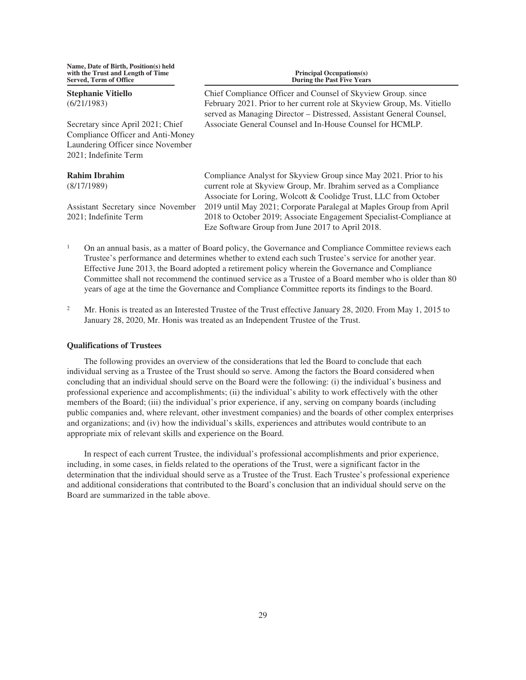| Name, Date of Birth, Position(s) held<br>with the Trust and Length of Time<br>Served, Term of Office                                 | <b>Principal Occupations(s)</b><br><b>During the Past Five Years</b>                                                                                                                                            |
|--------------------------------------------------------------------------------------------------------------------------------------|-----------------------------------------------------------------------------------------------------------------------------------------------------------------------------------------------------------------|
| <b>Stephanie Vitiello</b><br>(6/21/1983)                                                                                             | Chief Compliance Officer and Counsel of Skyview Group. since<br>February 2021. Prior to her current role at Skyview Group, Ms. Vitiello<br>served as Managing Director – Distressed, Assistant General Counsel, |
| Secretary since April 2021; Chief<br>Compliance Officer and Anti-Money<br>Laundering Officer since November<br>2021; Indefinite Term | Associate General Counsel and In-House Counsel for HCMLP.                                                                                                                                                       |
| Rahim Ibrahim<br>(8/17/1989)                                                                                                         | Compliance Analyst for Skyview Group since May 2021. Prior to his<br>current role at Skyview Group, Mr. Ibrahim served as a Compliance<br>Associate for Loring, Wolcott & Coolidge Trust, LLC from October      |
| Assistant Secretary since November                                                                                                   | 2019 until May 2021; Corporate Paralegal at Maples Group from April                                                                                                                                             |
| 2021; Indefinite Term                                                                                                                | 2018 to October 2019; Associate Engagement Specialist-Compliance at<br>Eze Software Group from June 2017 to April 2018.                                                                                         |
| 1                                                                                                                                    | On an annual basis, as a matter of Board policy, the Governance and Compliance Committee reviews each                                                                                                           |

- Trustee's performance and determines whether to extend each such Trustee's service for another year. Effective June 2013, the Board adopted a retirement policy wherein the Governance and Compliance Committee shall not recommend the continued service as a Trustee of a Board member who is older than 80 years of age at the time the Governance and Compliance Committee reports its findings to the Board.
- <sup>2</sup> Mr. Honis is treated as an Interested Trustee of the Trust effective January 28, 2020. From May 1, 2015 to January 28, 2020, Mr. Honis was treated as an Independent Trustee of the Trust.

#### **Qualifications of Trustees**

The following provides an overview of the considerations that led the Board to conclude that each individual serving as a Trustee of the Trust should so serve. Among the factors the Board considered when concluding that an individual should serve on the Board were the following: (i) the individual's business and professional experience and accomplishments; (ii) the individual's ability to work effectively with the other members of the Board; (iii) the individual's prior experience, if any, serving on company boards (including public companies and, where relevant, other investment companies) and the boards of other complex enterprises and organizations; and (iv) how the individual's skills, experiences and attributes would contribute to an appropriate mix of relevant skills and experience on the Board.

In respect of each current Trustee, the individual's professional accomplishments and prior experience, including, in some cases, in fields related to the operations of the Trust, were a significant factor in the determination that the individual should serve as a Trustee of the Trust. Each Trustee's professional experience and additional considerations that contributed to the Board's conclusion that an individual should serve on the Board are summarized in the table above.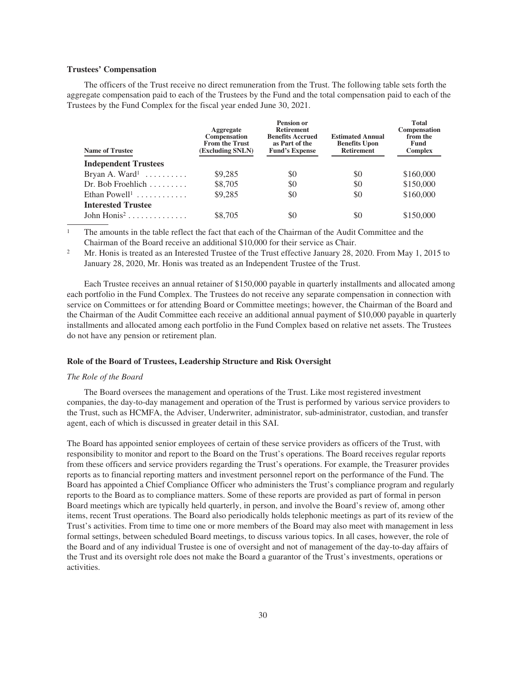#### **Trustees' Compensation**

The officers of the Trust receive no direct remuneration from the Trust. The following table sets forth the aggregate compensation paid to each of the Trustees by the Fund and the total compensation paid to each of the Trustees by the Fund Complex for the fiscal year ended June 30, 2021.

| <b>Name of Trustee</b>      | Aggregate<br><b>Compensation</b><br><b>From the Trust</b><br>(Excluding SNLN) | <b>Pension or</b><br><b>Retirement</b><br><b>Benefits Accrued</b><br>as Part of the<br><b>Fund's Expense</b> | <b>Estimated Annual</b><br><b>Benefits Upon</b><br><b>Retirement</b> | <b>Total</b><br>Compensation<br>from the<br>Fund<br><b>Complex</b> |
|-----------------------------|-------------------------------------------------------------------------------|--------------------------------------------------------------------------------------------------------------|----------------------------------------------------------------------|--------------------------------------------------------------------|
| <b>Independent Trustees</b> |                                                                               |                                                                                                              |                                                                      |                                                                    |
| Bryan A. Ward <sup>1</sup>  | \$9,285                                                                       | \$0                                                                                                          | \$0                                                                  | \$160,000                                                          |
| Dr. Bob Froehlich $\ldots$  | \$8,705                                                                       | \$0                                                                                                          | \$0                                                                  | \$150,000                                                          |
| Ethan Powell <sup>1</sup>   | \$9,285                                                                       | \$0                                                                                                          | \$0                                                                  | \$160,000                                                          |
| <b>Interested Trustee</b>   |                                                                               |                                                                                                              |                                                                      |                                                                    |
| John Honis <sup>2</sup>     | \$8,705                                                                       | \$0                                                                                                          | \$0                                                                  | \$150,000                                                          |

<sup>1</sup> The amounts in the table reflect the fact that each of the Chairman of the Audit Committee and the Chairman of the Board receive an additional \$10,000 for their service as Chair.

<sup>2</sup> Mr. Honis is treated as an Interested Trustee of the Trust effective January 28, 2020. From May 1, 2015 to January 28, 2020, Mr. Honis was treated as an Independent Trustee of the Trust.

Each Trustee receives an annual retainer of \$150,000 payable in quarterly installments and allocated among each portfolio in the Fund Complex. The Trustees do not receive any separate compensation in connection with service on Committees or for attending Board or Committee meetings; however, the Chairman of the Board and the Chairman of the Audit Committee each receive an additional annual payment of \$10,000 payable in quarterly installments and allocated among each portfolio in the Fund Complex based on relative net assets. The Trustees do not have any pension or retirement plan.

#### **Role of the Board of Trustees, Leadership Structure and Risk Oversight**

#### *The Role of the Board*

The Board oversees the management and operations of the Trust. Like most registered investment companies, the day-to-day management and operation of the Trust is performed by various service providers to the Trust, such as HCMFA, the Adviser, Underwriter, administrator, sub-administrator, custodian, and transfer agent, each of which is discussed in greater detail in this SAI.

The Board has appointed senior employees of certain of these service providers as officers of the Trust, with responsibility to monitor and report to the Board on the Trust's operations. The Board receives regular reports from these officers and service providers regarding the Trust's operations. For example, the Treasurer provides reports as to financial reporting matters and investment personnel report on the performance of the Fund. The Board has appointed a Chief Compliance Officer who administers the Trust's compliance program and regularly reports to the Board as to compliance matters. Some of these reports are provided as part of formal in person Board meetings which are typically held quarterly, in person, and involve the Board's review of, among other items, recent Trust operations. The Board also periodically holds telephonic meetings as part of its review of the Trust's activities. From time to time one or more members of the Board may also meet with management in less formal settings, between scheduled Board meetings, to discuss various topics. In all cases, however, the role of the Board and of any individual Trustee is one of oversight and not of management of the day-to-day affairs of the Trust and its oversight role does not make the Board a guarantor of the Trust's investments, operations or activities.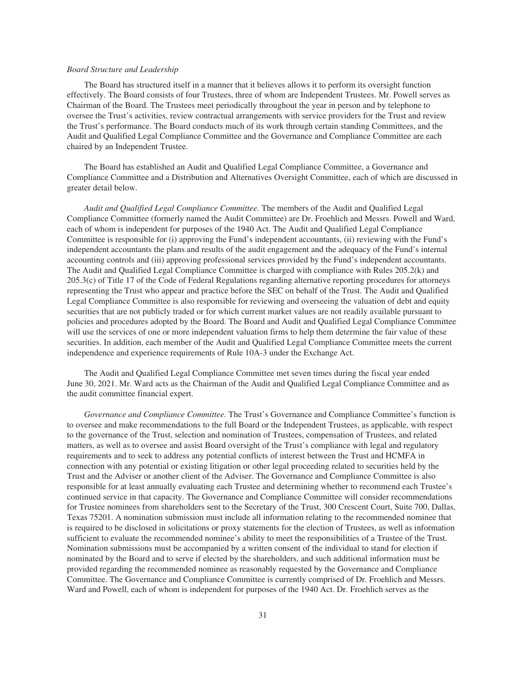#### *Board Structure and Leadership*

The Board has structured itself in a manner that it believes allows it to perform its oversight function effectively. The Board consists of four Trustees, three of whom are Independent Trustees. Mr. Powell serves as Chairman of the Board. The Trustees meet periodically throughout the year in person and by telephone to oversee the Trust's activities, review contractual arrangements with service providers for the Trust and review the Trust's performance. The Board conducts much of its work through certain standing Committees, and the Audit and Qualified Legal Compliance Committee and the Governance and Compliance Committee are each chaired by an Independent Trustee.

The Board has established an Audit and Qualified Legal Compliance Committee, a Governance and Compliance Committee and a Distribution and Alternatives Oversight Committee, each of which are discussed in greater detail below.

*Audit and Qualified Legal Compliance Committee.* The members of the Audit and Qualified Legal Compliance Committee (formerly named the Audit Committee) are Dr. Froehlich and Messrs. Powell and Ward, each of whom is independent for purposes of the 1940 Act. The Audit and Qualified Legal Compliance Committee is responsible for (i) approving the Fund's independent accountants, (ii) reviewing with the Fund's independent accountants the plans and results of the audit engagement and the adequacy of the Fund's internal accounting controls and (iii) approving professional services provided by the Fund's independent accountants. The Audit and Qualified Legal Compliance Committee is charged with compliance with Rules 205.2(k) and 205.3(c) of Title 17 of the Code of Federal Regulations regarding alternative reporting procedures for attorneys representing the Trust who appear and practice before the SEC on behalf of the Trust. The Audit and Qualified Legal Compliance Committee is also responsible for reviewing and overseeing the valuation of debt and equity securities that are not publicly traded or for which current market values are not readily available pursuant to policies and procedures adopted by the Board. The Board and Audit and Qualified Legal Compliance Committee will use the services of one or more independent valuation firms to help them determine the fair value of these securities. In addition, each member of the Audit and Qualified Legal Compliance Committee meets the current independence and experience requirements of Rule 10A-3 under the Exchange Act.

The Audit and Qualified Legal Compliance Committee met seven times during the fiscal year ended June 30, 2021. Mr. Ward acts as the Chairman of the Audit and Qualified Legal Compliance Committee and as the audit committee financial expert.

*Governance and Compliance Committee.* The Trust's Governance and Compliance Committee's function is to oversee and make recommendations to the full Board or the Independent Trustees, as applicable, with respect to the governance of the Trust, selection and nomination of Trustees, compensation of Trustees, and related matters, as well as to oversee and assist Board oversight of the Trust's compliance with legal and regulatory requirements and to seek to address any potential conflicts of interest between the Trust and HCMFA in connection with any potential or existing litigation or other legal proceeding related to securities held by the Trust and the Adviser or another client of the Adviser. The Governance and Compliance Committee is also responsible for at least annually evaluating each Trustee and determining whether to recommend each Trustee's continued service in that capacity. The Governance and Compliance Committee will consider recommendations for Trustee nominees from shareholders sent to the Secretary of the Trust, 300 Crescent Court, Suite 700, Dallas, Texas 75201. A nomination submission must include all information relating to the recommended nominee that is required to be disclosed in solicitations or proxy statements for the election of Trustees, as well as information sufficient to evaluate the recommended nominee's ability to meet the responsibilities of a Trustee of the Trust. Nomination submissions must be accompanied by a written consent of the individual to stand for election if nominated by the Board and to serve if elected by the shareholders, and such additional information must be provided regarding the recommended nominee as reasonably requested by the Governance and Compliance Committee. The Governance and Compliance Committee is currently comprised of Dr. Froehlich and Messrs. Ward and Powell, each of whom is independent for purposes of the 1940 Act. Dr. Froehlich serves as the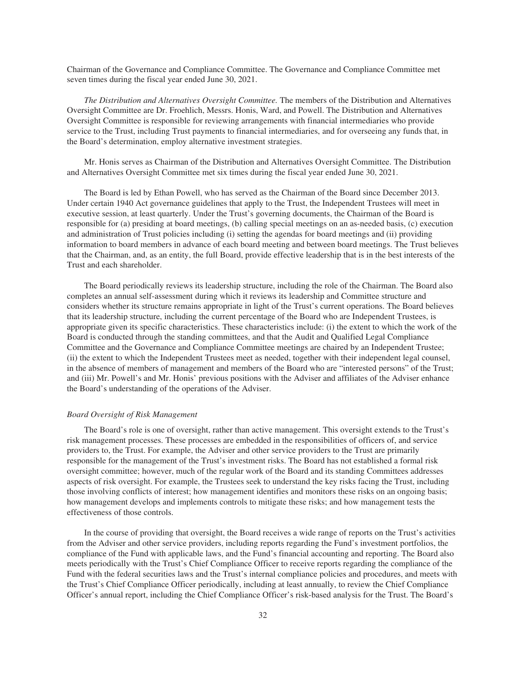Chairman of the Governance and Compliance Committee. The Governance and Compliance Committee met seven times during the fiscal year ended June 30, 2021.

*The Distribution and Alternatives Oversight Committee.* The members of the Distribution and Alternatives Oversight Committee are Dr. Froehlich, Messrs. Honis, Ward, and Powell. The Distribution and Alternatives Oversight Committee is responsible for reviewing arrangements with financial intermediaries who provide service to the Trust, including Trust payments to financial intermediaries, and for overseeing any funds that, in the Board's determination, employ alternative investment strategies.

Mr. Honis serves as Chairman of the Distribution and Alternatives Oversight Committee. The Distribution and Alternatives Oversight Committee met six times during the fiscal year ended June 30, 2021.

The Board is led by Ethan Powell, who has served as the Chairman of the Board since December 2013. Under certain 1940 Act governance guidelines that apply to the Trust, the Independent Trustees will meet in executive session, at least quarterly. Under the Trust's governing documents, the Chairman of the Board is responsible for (a) presiding at board meetings, (b) calling special meetings on an as-needed basis, (c) execution and administration of Trust policies including (i) setting the agendas for board meetings and (ii) providing information to board members in advance of each board meeting and between board meetings. The Trust believes that the Chairman, and, as an entity, the full Board, provide effective leadership that is in the best interests of the Trust and each shareholder.

The Board periodically reviews its leadership structure, including the role of the Chairman. The Board also completes an annual self-assessment during which it reviews its leadership and Committee structure and considers whether its structure remains appropriate in light of the Trust's current operations. The Board believes that its leadership structure, including the current percentage of the Board who are Independent Trustees, is appropriate given its specific characteristics. These characteristics include: (i) the extent to which the work of the Board is conducted through the standing committees, and that the Audit and Qualified Legal Compliance Committee and the Governance and Compliance Committee meetings are chaired by an Independent Trustee; (ii) the extent to which the Independent Trustees meet as needed, together with their independent legal counsel, in the absence of members of management and members of the Board who are "interested persons" of the Trust; and (iii) Mr. Powell's and Mr. Honis' previous positions with the Adviser and affiliates of the Adviser enhance the Board's understanding of the operations of the Adviser.

## *Board Oversight of Risk Management*

The Board's role is one of oversight, rather than active management. This oversight extends to the Trust's risk management processes. These processes are embedded in the responsibilities of officers of, and service providers to, the Trust. For example, the Adviser and other service providers to the Trust are primarily responsible for the management of the Trust's investment risks. The Board has not established a formal risk oversight committee; however, much of the regular work of the Board and its standing Committees addresses aspects of risk oversight. For example, the Trustees seek to understand the key risks facing the Trust, including those involving conflicts of interest; how management identifies and monitors these risks on an ongoing basis; how management develops and implements controls to mitigate these risks; and how management tests the effectiveness of those controls.

In the course of providing that oversight, the Board receives a wide range of reports on the Trust's activities from the Adviser and other service providers, including reports regarding the Fund's investment portfolios, the compliance of the Fund with applicable laws, and the Fund's financial accounting and reporting. The Board also meets periodically with the Trust's Chief Compliance Officer to receive reports regarding the compliance of the Fund with the federal securities laws and the Trust's internal compliance policies and procedures, and meets with the Trust's Chief Compliance Officer periodically, including at least annually, to review the Chief Compliance Officer's annual report, including the Chief Compliance Officer's risk-based analysis for the Trust. The Board's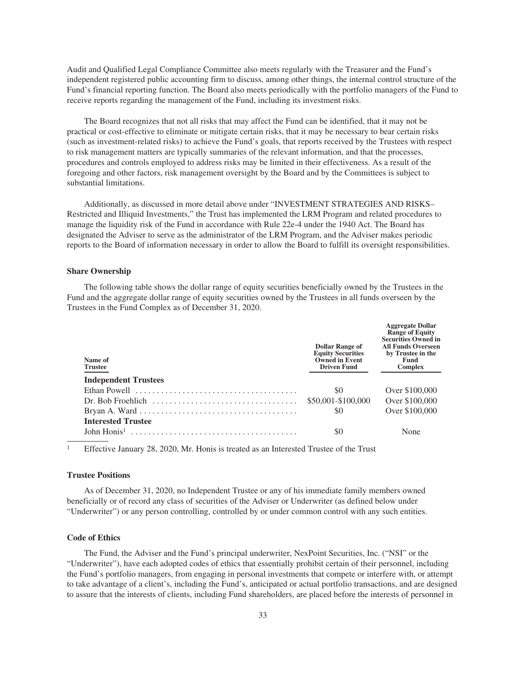Audit and Qualified Legal Compliance Committee also meets regularly with the Treasurer and the Fund's independent registered public accounting firm to discuss, among other things, the internal control structure of the Fund's financial reporting function. The Board also meets periodically with the portfolio managers of the Fund to receive reports regarding the management of the Fund, including its investment risks.

The Board recognizes that not all risks that may affect the Fund can be identified, that it may not be practical or cost-effective to eliminate or mitigate certain risks, that it may be necessary to bear certain risks (such as investment-related risks) to achieve the Fund's goals, that reports received by the Trustees with respect to risk management matters are typically summaries of the relevant information, and that the processes, procedures and controls employed to address risks may be limited in their effectiveness. As a result of the foregoing and other factors, risk management oversight by the Board and by the Committees is subject to substantial limitations.

Additionally, as discussed in more detail above under "INVESTMENT STRATEGIES AND RISKS– Restricted and Illiquid Investments," the Trust has implemented the LRM Program and related procedures to manage the liquidity risk of the Fund in accordance with Rule 22e-4 under the 1940 Act. The Board has designated the Adviser to serve as the administrator of the LRM Program, and the Adviser makes periodic reports to the Board of information necessary in order to allow the Board to fulfill its oversight responsibilities.

#### **Share Ownership**

The following table shows the dollar range of equity securities beneficially owned by the Trustees in the Fund and the aggregate dollar range of equity securities owned by the Trustees in all funds overseen by the Trustees in the Fund Complex as of December 31, 2020.

| Name of<br><b>Trustee</b>                                                                     | <b>Dollar Range of</b><br><b>Equity Securities</b><br><b>Owned in Event</b><br><b>Driven Fund</b> | <b>Aggregate Dollar</b><br><b>Range of Equity</b><br><b>Securities Owned in</b><br><b>All Funds Overseen</b><br>by Trustee in the<br>Fund<br><b>Complex</b> |
|-----------------------------------------------------------------------------------------------|---------------------------------------------------------------------------------------------------|-------------------------------------------------------------------------------------------------------------------------------------------------------------|
| <b>Independent Trustees</b>                                                                   |                                                                                                   |                                                                                                                                                             |
| Ethan Powell $\ldots, \ldots, \ldots, \ldots, \ldots, \ldots, \ldots, \ldots, \ldots, \ldots$ | \$0                                                                                               | Over \$100,000                                                                                                                                              |
|                                                                                               | \$50,001-\$100,000                                                                                | Over \$100,000                                                                                                                                              |
|                                                                                               | \$0                                                                                               | Over \$100,000                                                                                                                                              |
| <b>Interested Trustee</b>                                                                     |                                                                                                   |                                                                                                                                                             |
| John Honis <sup>1</sup>                                                                       | \$0                                                                                               | None                                                                                                                                                        |

<sup>1</sup> Effective January 28, 2020, Mr. Honis is treated as an Interested Trustee of the Trust

# **Trustee Positions**

As of December 31, 2020, no Independent Trustee or any of his immediate family members owned beneficially or of record any class of securities of the Adviser or Underwriter (as defined below under "Underwriter") or any person controlling, controlled by or under common control with any such entities.

# **Code of Ethics**

The Fund, the Adviser and the Fund's principal underwriter, NexPoint Securities, Inc. ("NSI" or the "Underwriter"), have each adopted codes of ethics that essentially prohibit certain of their personnel, including the Fund's portfolio managers, from engaging in personal investments that compete or interfere with, or attempt to take advantage of a client's, including the Fund's, anticipated or actual portfolio transactions, and are designed to assure that the interests of clients, including Fund shareholders, are placed before the interests of personnel in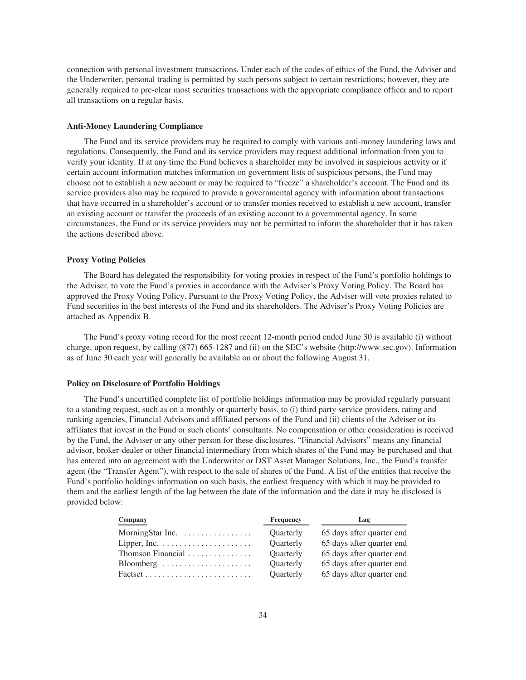connection with personal investment transactions. Under each of the codes of ethics of the Fund, the Adviser and the Underwriter, personal trading is permitted by such persons subject to certain restrictions; however, they are generally required to pre-clear most securities transactions with the appropriate compliance officer and to report all transactions on a regular basis.

## **Anti-Money Laundering Compliance**

The Fund and its service providers may be required to comply with various anti-money laundering laws and regulations. Consequently, the Fund and its service providers may request additional information from you to verify your identity. If at any time the Fund believes a shareholder may be involved in suspicious activity or if certain account information matches information on government lists of suspicious persons, the Fund may choose not to establish a new account or may be required to "freeze" a shareholder's account. The Fund and its service providers also may be required to provide a governmental agency with information about transactions that have occurred in a shareholder's account or to transfer monies received to establish a new account, transfer an existing account or transfer the proceeds of an existing account to a governmental agency. In some circumstances, the Fund or its service providers may not be permitted to inform the shareholder that it has taken the actions described above.

#### **Proxy Voting Policies**

The Board has delegated the responsibility for voting proxies in respect of the Fund's portfolio holdings to the Adviser, to vote the Fund's proxies in accordance with the Adviser's Proxy Voting Policy. The Board has approved the Proxy Voting Policy. Pursuant to the Proxy Voting Policy, the Adviser will vote proxies related to Fund securities in the best interests of the Fund and its shareholders. The Adviser's Proxy Voting Policies are attached as Appendix B.

The Fund's proxy voting record for the most recent 12-month period ended June 30 is available (i) without charge, upon request, by calling (877) 665-1287 and (ii) on the SEC's website (http://www.sec.gov). Information as of June 30 each year will generally be available on or about the following August 31.

#### **Policy on Disclosure of Portfolio Holdings**

The Fund's uncertified complete list of portfolio holdings information may be provided regularly pursuant to a standing request, such as on a monthly or quarterly basis, to (i) third party service providers, rating and ranking agencies, Financial Advisors and affiliated persons of the Fund and (ii) clients of the Adviser or its affiliates that invest in the Fund or such clients' consultants. No compensation or other consideration is received by the Fund, the Adviser or any other person for these disclosures. "Financial Advisors" means any financial advisor, broker-dealer or other financial intermediary from which shares of the Fund may be purchased and that has entered into an agreement with the Underwriter or DST Asset Manager Solutions, Inc., the Fund's transfer agent (the "Transfer Agent"), with respect to the sale of shares of the Fund. A list of the entities that receive the Fund's portfolio holdings information on such basis, the earliest frequency with which it may be provided to them and the earliest length of the lag between the date of the information and the date it may be disclosed is provided below:

| Company                                                     | Frequency | Lag                       |
|-------------------------------------------------------------|-----------|---------------------------|
| MorningStar Inc.                                            | Quarterly | 65 days after quarter end |
| Lipper, Inc. $\dots \dots \dots \dots \dots \dots$          | Quarterly | 65 days after quarter end |
| Thomson Financial $\ldots \ldots \ldots \ldots$             | Quarterly | 65 days after quarter end |
| $\mathbf{B}$ loomberg $\dots\dots\dots\dots\dots\dots\dots$ | Quarterly | 65 days after quarter end |
|                                                             | Quarterly | 65 days after quarter end |
|                                                             |           |                           |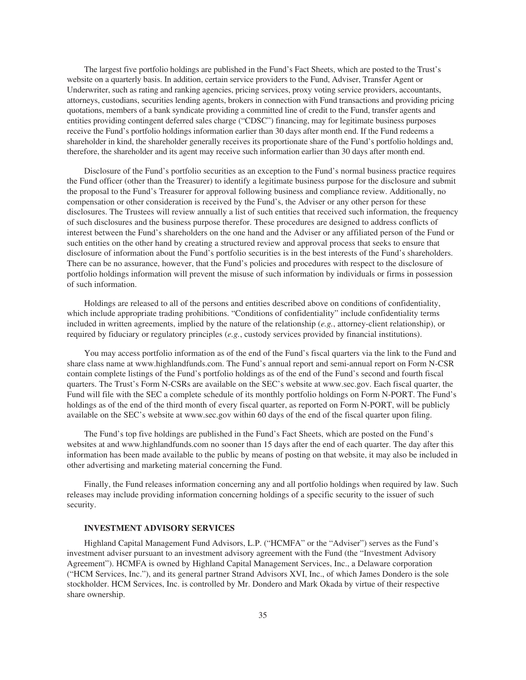The largest five portfolio holdings are published in the Fund's Fact Sheets, which are posted to the Trust's website on a quarterly basis. In addition, certain service providers to the Fund, Adviser, Transfer Agent or Underwriter, such as rating and ranking agencies, pricing services, proxy voting service providers, accountants, attorneys, custodians, securities lending agents, brokers in connection with Fund transactions and providing pricing quotations, members of a bank syndicate providing a committed line of credit to the Fund, transfer agents and entities providing contingent deferred sales charge ("CDSC") financing, may for legitimate business purposes receive the Fund's portfolio holdings information earlier than 30 days after month end. If the Fund redeems a shareholder in kind, the shareholder generally receives its proportionate share of the Fund's portfolio holdings and, therefore, the shareholder and its agent may receive such information earlier than 30 days after month end.

Disclosure of the Fund's portfolio securities as an exception to the Fund's normal business practice requires the Fund officer (other than the Treasurer) to identify a legitimate business purpose for the disclosure and submit the proposal to the Fund's Treasurer for approval following business and compliance review. Additionally, no compensation or other consideration is received by the Fund's, the Adviser or any other person for these disclosures. The Trustees will review annually a list of such entities that received such information, the frequency of such disclosures and the business purpose therefor. These procedures are designed to address conflicts of interest between the Fund's shareholders on the one hand and the Adviser or any affiliated person of the Fund or such entities on the other hand by creating a structured review and approval process that seeks to ensure that disclosure of information about the Fund's portfolio securities is in the best interests of the Fund's shareholders. There can be no assurance, however, that the Fund's policies and procedures with respect to the disclosure of portfolio holdings information will prevent the misuse of such information by individuals or firms in possession of such information.

Holdings are released to all of the persons and entities described above on conditions of confidentiality, which include appropriate trading prohibitions. "Conditions of confidentiality" include confidentiality terms included in written agreements, implied by the nature of the relationship (*e.g.*, attorney-client relationship), or required by fiduciary or regulatory principles (*e.g.*, custody services provided by financial institutions).

You may access portfolio information as of the end of the Fund's fiscal quarters via the link to the Fund and share class name at www.highlandfunds.com. The Fund's annual report and semi-annual report on Form N-CSR contain complete listings of the Fund's portfolio holdings as of the end of the Fund's second and fourth fiscal quarters. The Trust's Form N-CSRs are available on the SEC's website at www.sec.gov. Each fiscal quarter, the Fund will file with the SEC a complete schedule of its monthly portfolio holdings on Form N-PORT. The Fund's holdings as of the end of the third month of every fiscal quarter, as reported on Form N-PORT, will be publicly available on the SEC's website at www.sec.gov within 60 days of the end of the fiscal quarter upon filing.

The Fund's top five holdings are published in the Fund's Fact Sheets, which are posted on the Fund's websites at and www.highlandfunds.com no sooner than 15 days after the end of each quarter. The day after this information has been made available to the public by means of posting on that website, it may also be included in other advertising and marketing material concerning the Fund.

Finally, the Fund releases information concerning any and all portfolio holdings when required by law. Such releases may include providing information concerning holdings of a specific security to the issuer of such security.

# **INVESTMENT ADVISORY SERVICES**

Highland Capital Management Fund Advisors, L.P. ("HCMFA" or the "Adviser") serves as the Fund's investment adviser pursuant to an investment advisory agreement with the Fund (the "Investment Advisory Agreement"). HCMFA is owned by Highland Capital Management Services, Inc., a Delaware corporation ("HCM Services, Inc."), and its general partner Strand Advisors XVI, Inc., of which James Dondero is the sole stockholder. HCM Services, Inc. is controlled by Mr. Dondero and Mark Okada by virtue of their respective share ownership.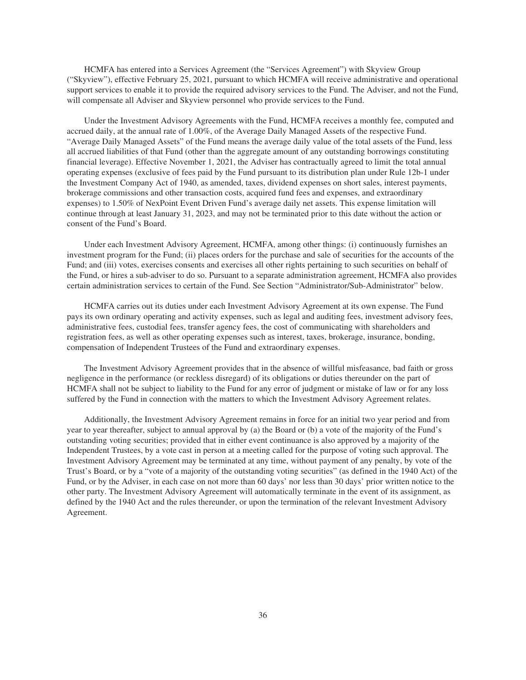HCMFA has entered into a Services Agreement (the "Services Agreement") with Skyview Group ("Skyview"), effective February 25, 2021, pursuant to which HCMFA will receive administrative and operational support services to enable it to provide the required advisory services to the Fund. The Adviser, and not the Fund, will compensate all Adviser and Skyview personnel who provide services to the Fund.

Under the Investment Advisory Agreements with the Fund, HCMFA receives a monthly fee, computed and accrued daily, at the annual rate of 1.00%, of the Average Daily Managed Assets of the respective Fund. "Average Daily Managed Assets" of the Fund means the average daily value of the total assets of the Fund, less all accrued liabilities of that Fund (other than the aggregate amount of any outstanding borrowings constituting financial leverage). Effective November 1, 2021, the Adviser has contractually agreed to limit the total annual operating expenses (exclusive of fees paid by the Fund pursuant to its distribution plan under Rule 12b-1 under the Investment Company Act of 1940, as amended, taxes, dividend expenses on short sales, interest payments, brokerage commissions and other transaction costs, acquired fund fees and expenses, and extraordinary expenses) to 1.50% of NexPoint Event Driven Fund's average daily net assets. This expense limitation will continue through at least January 31, 2023, and may not be terminated prior to this date without the action or consent of the Fund's Board.

Under each Investment Advisory Agreement, HCMFA, among other things: (i) continuously furnishes an investment program for the Fund; (ii) places orders for the purchase and sale of securities for the accounts of the Fund; and (iii) votes, exercises consents and exercises all other rights pertaining to such securities on behalf of the Fund, or hires a sub-adviser to do so. Pursuant to a separate administration agreement, HCMFA also provides certain administration services to certain of the Fund. See Section "Administrator/Sub-Administrator" below.

HCMFA carries out its duties under each Investment Advisory Agreement at its own expense. The Fund pays its own ordinary operating and activity expenses, such as legal and auditing fees, investment advisory fees, administrative fees, custodial fees, transfer agency fees, the cost of communicating with shareholders and registration fees, as well as other operating expenses such as interest, taxes, brokerage, insurance, bonding, compensation of Independent Trustees of the Fund and extraordinary expenses.

The Investment Advisory Agreement provides that in the absence of willful misfeasance, bad faith or gross negligence in the performance (or reckless disregard) of its obligations or duties thereunder on the part of HCMFA shall not be subject to liability to the Fund for any error of judgment or mistake of law or for any loss suffered by the Fund in connection with the matters to which the Investment Advisory Agreement relates.

Additionally, the Investment Advisory Agreement remains in force for an initial two year period and from year to year thereafter, subject to annual approval by (a) the Board or (b) a vote of the majority of the Fund's outstanding voting securities; provided that in either event continuance is also approved by a majority of the Independent Trustees, by a vote cast in person at a meeting called for the purpose of voting such approval. The Investment Advisory Agreement may be terminated at any time, without payment of any penalty, by vote of the Trust's Board, or by a "vote of a majority of the outstanding voting securities" (as defined in the 1940 Act) of the Fund, or by the Adviser, in each case on not more than 60 days' nor less than 30 days' prior written notice to the other party. The Investment Advisory Agreement will automatically terminate in the event of its assignment, as defined by the 1940 Act and the rules thereunder, or upon the termination of the relevant Investment Advisory Agreement.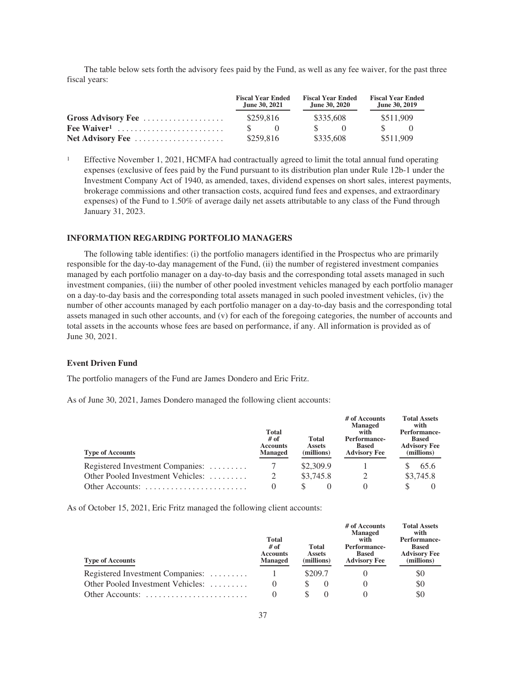The table below sets forth the advisory fees paid by the Fund, as well as any fee waiver, for the past three fiscal years:

|                         | <b>Fiscal Year Ended</b><br>June 30, 2021 |  | <b>Fiscal Year Ended</b><br>June 30, 2020 | <b>Fiscal Year Ended</b><br>June 30, 2019 |  |
|-------------------------|-------------------------------------------|--|-------------------------------------------|-------------------------------------------|--|
| Gross Advisory Fee      | \$259.816                                 |  | \$335,608                                 | \$511.909                                 |  |
| Fee Waiver <sup>1</sup> |                                           |  |                                           |                                           |  |
| Net Advisory Fee        | \$259.816                                 |  | \$335,608                                 | \$511,909                                 |  |

<sup>1</sup> Effective November 1, 2021, HCMFA had contractually agreed to limit the total annual fund operating expenses (exclusive of fees paid by the Fund pursuant to its distribution plan under Rule 12b-1 under the Investment Company Act of 1940, as amended, taxes, dividend expenses on short sales, interest payments, brokerage commissions and other transaction costs, acquired fund fees and expenses, and extraordinary expenses) of the Fund to 1.50% of average daily net assets attributable to any class of the Fund through January 31, 2023.

#### **INFORMATION REGARDING PORTFOLIO MANAGERS**

The following table identifies: (i) the portfolio managers identified in the Prospectus who are primarily responsible for the day-to-day management of the Fund, (ii) the number of registered investment companies managed by each portfolio manager on a day-to-day basis and the corresponding total assets managed in such investment companies, (iii) the number of other pooled investment vehicles managed by each portfolio manager on a day-to-day basis and the corresponding total assets managed in such pooled investment vehicles, (iv) the number of other accounts managed by each portfolio manager on a day-to-day basis and the corresponding total assets managed in such other accounts, and (v) for each of the foregoing categories, the number of accounts and total assets in the accounts whose fees are based on performance, if any. All information is provided as of June 30, 2021.

## **Event Driven Fund**

The portfolio managers of the Fund are James Dondero and Eric Fritz.

As of June 30, 2021, James Dondero managed the following client accounts:

| <b>Type of Accounts</b>           | <b>Total</b><br># of<br><b>Accounts</b><br><b>Managed</b> | Total<br><b>Assets</b><br>(millions) | # of Accounts<br><b>Managed</b><br>with<br>Performance-<br><b>Based</b><br><b>Advisory Fee</b> | <b>Total Assets</b><br>with<br>Performance-<br><b>Based</b><br><b>Advisory Fee</b><br>(millions) |
|-----------------------------------|-----------------------------------------------------------|--------------------------------------|------------------------------------------------------------------------------------------------|--------------------------------------------------------------------------------------------------|
| Registered Investment Companies:  |                                                           | \$2,309.9                            |                                                                                                | 65.6                                                                                             |
| Other Pooled Investment Vehicles: |                                                           | \$3,745.8                            |                                                                                                | \$3,745.8                                                                                        |
| Other Accounts:                   |                                                           |                                      |                                                                                                |                                                                                                  |

As of October 15, 2021, Eric Fritz managed the following client accounts:

| <b>Type of Accounts</b>           | Total<br># of<br><b>Accounts</b><br><b>Managed</b> | Total<br><b>Assets</b><br>(millions) | # of Accounts<br><b>Managed</b><br>with<br>Performance-<br><b>Based</b><br><b>Advisory Fee</b> | <b>Total Assets</b><br>with<br>Performance-<br><b>Based</b><br><b>Advisory Fee</b><br>(millions) |  |
|-----------------------------------|----------------------------------------------------|--------------------------------------|------------------------------------------------------------------------------------------------|--------------------------------------------------------------------------------------------------|--|
| Registered Investment Companies:  |                                                    | \$209.7                              |                                                                                                | \$0                                                                                              |  |
| Other Pooled Investment Vehicles: |                                                    |                                      |                                                                                                | \$0                                                                                              |  |
| Other Accounts:                   |                                                    |                                      |                                                                                                | \$0                                                                                              |  |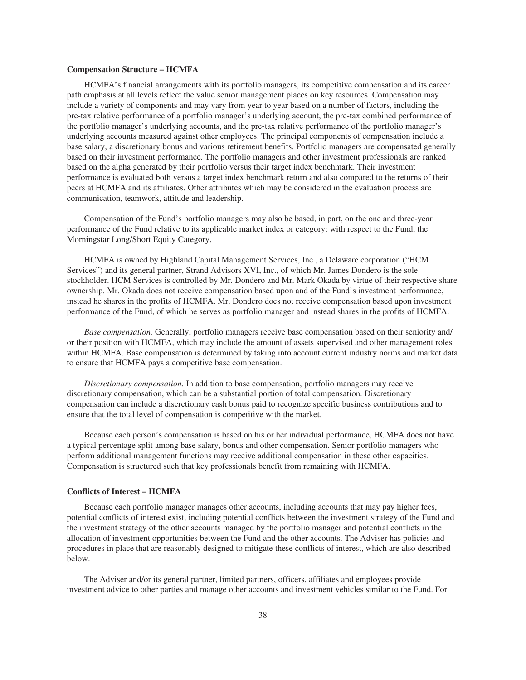#### **Compensation Structure – HCMFA**

HCMFA's financial arrangements with its portfolio managers, its competitive compensation and its career path emphasis at all levels reflect the value senior management places on key resources. Compensation may include a variety of components and may vary from year to year based on a number of factors, including the pre-tax relative performance of a portfolio manager's underlying account, the pre-tax combined performance of the portfolio manager's underlying accounts, and the pre-tax relative performance of the portfolio manager's underlying accounts measured against other employees. The principal components of compensation include a base salary, a discretionary bonus and various retirement benefits. Portfolio managers are compensated generally based on their investment performance. The portfolio managers and other investment professionals are ranked based on the alpha generated by their portfolio versus their target index benchmark. Their investment performance is evaluated both versus a target index benchmark return and also compared to the returns of their peers at HCMFA and its affiliates. Other attributes which may be considered in the evaluation process are communication, teamwork, attitude and leadership.

Compensation of the Fund's portfolio managers may also be based, in part, on the one and three-year performance of the Fund relative to its applicable market index or category: with respect to the Fund, the Morningstar Long/Short Equity Category.

HCMFA is owned by Highland Capital Management Services, Inc., a Delaware corporation ("HCM Services") and its general partner, Strand Advisors XVI, Inc., of which Mr. James Dondero is the sole stockholder. HCM Services is controlled by Mr. Dondero and Mr. Mark Okada by virtue of their respective share ownership. Mr. Okada does not receive compensation based upon and of the Fund's investment performance, instead he shares in the profits of HCMFA. Mr. Dondero does not receive compensation based upon investment performance of the Fund, of which he serves as portfolio manager and instead shares in the profits of HCMFA.

*Base compensation.* Generally, portfolio managers receive base compensation based on their seniority and/ or their position with HCMFA, which may include the amount of assets supervised and other management roles within HCMFA. Base compensation is determined by taking into account current industry norms and market data to ensure that HCMFA pays a competitive base compensation.

*Discretionary compensation.* In addition to base compensation, portfolio managers may receive discretionary compensation, which can be a substantial portion of total compensation. Discretionary compensation can include a discretionary cash bonus paid to recognize specific business contributions and to ensure that the total level of compensation is competitive with the market.

Because each person's compensation is based on his or her individual performance, HCMFA does not have a typical percentage split among base salary, bonus and other compensation. Senior portfolio managers who perform additional management functions may receive additional compensation in these other capacities. Compensation is structured such that key professionals benefit from remaining with HCMFA.

## **Conflicts of Interest – HCMFA**

Because each portfolio manager manages other accounts, including accounts that may pay higher fees, potential conflicts of interest exist, including potential conflicts between the investment strategy of the Fund and the investment strategy of the other accounts managed by the portfolio manager and potential conflicts in the allocation of investment opportunities between the Fund and the other accounts. The Adviser has policies and procedures in place that are reasonably designed to mitigate these conflicts of interest, which are also described below.

The Adviser and/or its general partner, limited partners, officers, affiliates and employees provide investment advice to other parties and manage other accounts and investment vehicles similar to the Fund. For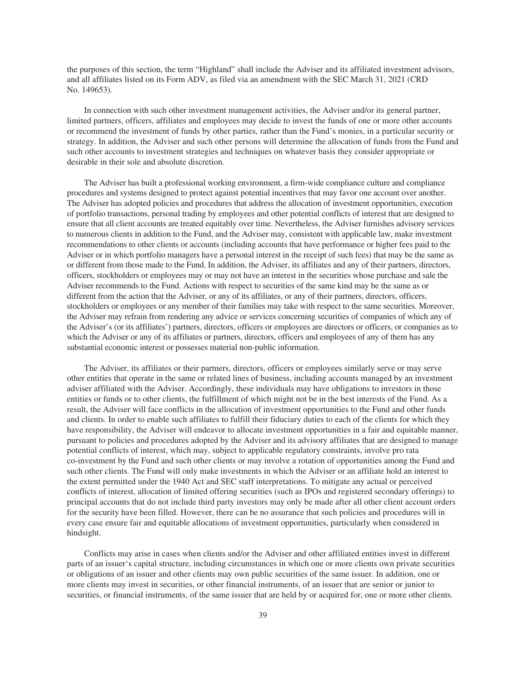the purposes of this section, the term "Highland" shall include the Adviser and its affiliated investment advisors, and all affiliates listed on its Form ADV, as filed via an amendment with the SEC March 31, 2021 (CRD No. 149653).

In connection with such other investment management activities, the Adviser and/or its general partner, limited partners, officers, affiliates and employees may decide to invest the funds of one or more other accounts or recommend the investment of funds by other parties, rather than the Fund's monies, in a particular security or strategy. In addition, the Adviser and such other persons will determine the allocation of funds from the Fund and such other accounts to investment strategies and techniques on whatever basis they consider appropriate or desirable in their sole and absolute discretion.

The Adviser has built a professional working environment, a firm-wide compliance culture and compliance procedures and systems designed to protect against potential incentives that may favor one account over another. The Adviser has adopted policies and procedures that address the allocation of investment opportunities, execution of portfolio transactions, personal trading by employees and other potential conflicts of interest that are designed to ensure that all client accounts are treated equitably over time. Nevertheless, the Adviser furnishes advisory services to numerous clients in addition to the Fund, and the Adviser may, consistent with applicable law, make investment recommendations to other clients or accounts (including accounts that have performance or higher fees paid to the Adviser or in which portfolio managers have a personal interest in the receipt of such fees) that may be the same as or different from those made to the Fund. In addition, the Adviser, its affiliates and any of their partners, directors, officers, stockholders or employees may or may not have an interest in the securities whose purchase and sale the Adviser recommends to the Fund. Actions with respect to securities of the same kind may be the same as or different from the action that the Adviser, or any of its affiliates, or any of their partners, directors, officers, stockholders or employees or any member of their families may take with respect to the same securities. Moreover, the Adviser may refrain from rendering any advice or services concerning securities of companies of which any of the Adviser's (or its affiliates') partners, directors, officers or employees are directors or officers, or companies as to which the Adviser or any of its affiliates or partners, directors, officers and employees of any of them has any substantial economic interest or possesses material non-public information.

The Adviser, its affiliates or their partners, directors, officers or employees similarly serve or may serve other entities that operate in the same or related lines of business, including accounts managed by an investment adviser affiliated with the Adviser. Accordingly, these individuals may have obligations to investors in those entities or funds or to other clients, the fulfillment of which might not be in the best interests of the Fund. As a result, the Adviser will face conflicts in the allocation of investment opportunities to the Fund and other funds and clients. In order to enable such affiliates to fulfill their fiduciary duties to each of the clients for which they have responsibility, the Adviser will endeavor to allocate investment opportunities in a fair and equitable manner, pursuant to policies and procedures adopted by the Adviser and its advisory affiliates that are designed to manage potential conflicts of interest, which may, subject to applicable regulatory constraints, involve pro rata co-investment by the Fund and such other clients or may involve a rotation of opportunities among the Fund and such other clients. The Fund will only make investments in which the Adviser or an affiliate hold an interest to the extent permitted under the 1940 Act and SEC staff interpretations. To mitigate any actual or perceived conflicts of interest, allocation of limited offering securities (such as IPOs and registered secondary offerings) to principal accounts that do not include third party investors may only be made after all other client account orders for the security have been filled. However, there can be no assurance that such policies and procedures will in every case ensure fair and equitable allocations of investment opportunities, particularly when considered in hindsight.

Conflicts may arise in cases when clients and/or the Adviser and other affiliated entities invest in different parts of an issuer's capital structure, including circumstances in which one or more clients own private securities or obligations of an issuer and other clients may own public securities of the same issuer. In addition, one or more clients may invest in securities, or other financial instruments, of an issuer that are senior or junior to securities, or financial instruments, of the same issuer that are held by or acquired for, one or more other clients.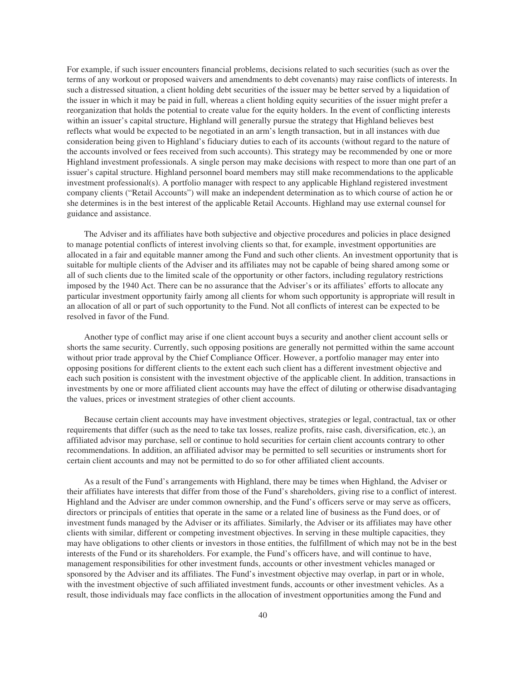For example, if such issuer encounters financial problems, decisions related to such securities (such as over the terms of any workout or proposed waivers and amendments to debt covenants) may raise conflicts of interests. In such a distressed situation, a client holding debt securities of the issuer may be better served by a liquidation of the issuer in which it may be paid in full, whereas a client holding equity securities of the issuer might prefer a reorganization that holds the potential to create value for the equity holders. In the event of conflicting interests within an issuer's capital structure, Highland will generally pursue the strategy that Highland believes best reflects what would be expected to be negotiated in an arm's length transaction, but in all instances with due consideration being given to Highland's fiduciary duties to each of its accounts (without regard to the nature of the accounts involved or fees received from such accounts). This strategy may be recommended by one or more Highland investment professionals. A single person may make decisions with respect to more than one part of an issuer's capital structure. Highland personnel board members may still make recommendations to the applicable investment professional(s). A portfolio manager with respect to any applicable Highland registered investment company clients ("Retail Accounts") will make an independent determination as to which course of action he or she determines is in the best interest of the applicable Retail Accounts. Highland may use external counsel for guidance and assistance.

The Adviser and its affiliates have both subjective and objective procedures and policies in place designed to manage potential conflicts of interest involving clients so that, for example, investment opportunities are allocated in a fair and equitable manner among the Fund and such other clients. An investment opportunity that is suitable for multiple clients of the Adviser and its affiliates may not be capable of being shared among some or all of such clients due to the limited scale of the opportunity or other factors, including regulatory restrictions imposed by the 1940 Act. There can be no assurance that the Adviser's or its affiliates' efforts to allocate any particular investment opportunity fairly among all clients for whom such opportunity is appropriate will result in an allocation of all or part of such opportunity to the Fund. Not all conflicts of interest can be expected to be resolved in favor of the Fund.

Another type of conflict may arise if one client account buys a security and another client account sells or shorts the same security. Currently, such opposing positions are generally not permitted within the same account without prior trade approval by the Chief Compliance Officer. However, a portfolio manager may enter into opposing positions for different clients to the extent each such client has a different investment objective and each such position is consistent with the investment objective of the applicable client. In addition, transactions in investments by one or more affiliated client accounts may have the effect of diluting or otherwise disadvantaging the values, prices or investment strategies of other client accounts.

Because certain client accounts may have investment objectives, strategies or legal, contractual, tax or other requirements that differ (such as the need to take tax losses, realize profits, raise cash, diversification, etc.), an affiliated advisor may purchase, sell or continue to hold securities for certain client accounts contrary to other recommendations. In addition, an affiliated advisor may be permitted to sell securities or instruments short for certain client accounts and may not be permitted to do so for other affiliated client accounts.

As a result of the Fund's arrangements with Highland, there may be times when Highland, the Adviser or their affiliates have interests that differ from those of the Fund's shareholders, giving rise to a conflict of interest. Highland and the Adviser are under common ownership, and the Fund's officers serve or may serve as officers, directors or principals of entities that operate in the same or a related line of business as the Fund does, or of investment funds managed by the Adviser or its affiliates. Similarly, the Adviser or its affiliates may have other clients with similar, different or competing investment objectives. In serving in these multiple capacities, they may have obligations to other clients or investors in those entities, the fulfillment of which may not be in the best interests of the Fund or its shareholders. For example, the Fund's officers have, and will continue to have, management responsibilities for other investment funds, accounts or other investment vehicles managed or sponsored by the Adviser and its affiliates. The Fund's investment objective may overlap, in part or in whole, with the investment objective of such affiliated investment funds, accounts or other investment vehicles. As a result, those individuals may face conflicts in the allocation of investment opportunities among the Fund and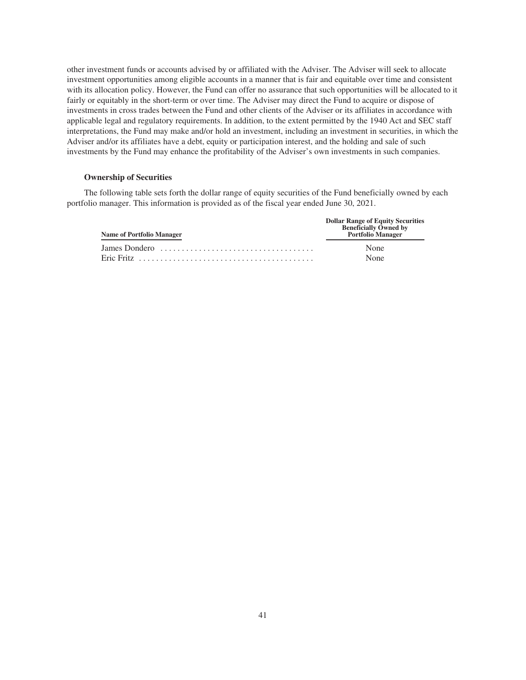other investment funds or accounts advised by or affiliated with the Adviser. The Adviser will seek to allocate investment opportunities among eligible accounts in a manner that is fair and equitable over time and consistent with its allocation policy. However, the Fund can offer no assurance that such opportunities will be allocated to it fairly or equitably in the short-term or over time. The Adviser may direct the Fund to acquire or dispose of investments in cross trades between the Fund and other clients of the Adviser or its affiliates in accordance with applicable legal and regulatory requirements. In addition, to the extent permitted by the 1940 Act and SEC staff interpretations, the Fund may make and/or hold an investment, including an investment in securities, in which the Adviser and/or its affiliates have a debt, equity or participation interest, and the holding and sale of such investments by the Fund may enhance the profitability of the Adviser's own investments in such companies.

# **Ownership of Securities**

The following table sets forth the dollar range of equity securities of the Fund beneficially owned by each portfolio manager. This information is provided as of the fiscal year ended June 30, 2021.

| Name of Portfolio Manager                                                              | <b>Dollar Range of Equity Securities</b><br><b>Beneficially Owned by</b><br><b>Portfolio Manager</b> |
|----------------------------------------------------------------------------------------|------------------------------------------------------------------------------------------------------|
| James Dondero $\ldots, \ldots, \ldots, \ldots, \ldots, \ldots, \ldots, \ldots, \ldots$ | None                                                                                                 |
|                                                                                        | None                                                                                                 |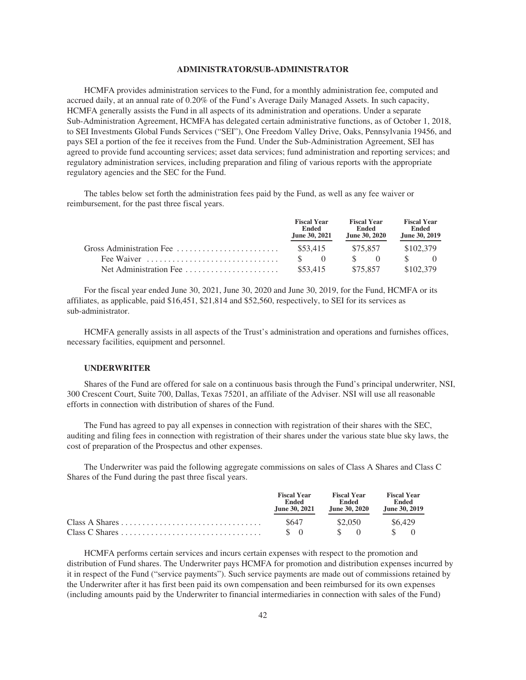## **ADMINISTRATOR/SUB-ADMINISTRATOR**

HCMFA provides administration services to the Fund, for a monthly administration fee, computed and accrued daily, at an annual rate of 0.20% of the Fund's Average Daily Managed Assets. In such capacity, HCMFA generally assists the Fund in all aspects of its administration and operations. Under a separate Sub-Administration Agreement, HCMFA has delegated certain administrative functions, as of October 1, 2018, to SEI Investments Global Funds Services ("SEI"), One Freedom Valley Drive, Oaks, Pennsylvania 19456, and pays SEI a portion of the fee it receives from the Fund. Under the Sub-Administration Agreement, SEI has agreed to provide fund accounting services; asset data services; fund administration and reporting services; and regulatory administration services, including preparation and filing of various reports with the appropriate regulatory agencies and the SEC for the Fund.

The tables below set forth the administration fees paid by the Fund, as well as any fee waiver or reimbursement, for the past three fiscal years.

|                                                                             | <b>Fiscal Year</b><br>Ended<br>June 30, 2021 | <b>Fiscal Year</b><br>Ended<br><b>June 30, 2020</b> | <b>Fiscal Year</b><br>Ended<br>June 30, 2019 |
|-----------------------------------------------------------------------------|----------------------------------------------|-----------------------------------------------------|----------------------------------------------|
| Gross Administration Fee                                                    | \$53.415                                     | \$75.857                                            | \$102.379                                    |
| Fee Waiver $\ldots, \ldots, \ldots, \ldots, \ldots, \ldots, \ldots, \ldots$ | $\mathcal{L}$ 0                              | $\sim$ $\sim$ 0                                     |                                              |
|                                                                             | \$53.415                                     | \$75.857                                            | \$102.379                                    |

For the fiscal year ended June 30, 2021, June 30, 2020 and June 30, 2019, for the Fund, HCMFA or its affiliates, as applicable, paid \$16,451, \$21,814 and \$52,560, respectively, to SEI for its services as sub-administrator.

HCMFA generally assists in all aspects of the Trust's administration and operations and furnishes offices, necessary facilities, equipment and personnel.

# **UNDERWRITER**

Shares of the Fund are offered for sale on a continuous basis through the Fund's principal underwriter, NSI, 300 Crescent Court, Suite 700, Dallas, Texas 75201, an affiliate of the Adviser. NSI will use all reasonable efforts in connection with distribution of shares of the Fund.

The Fund has agreed to pay all expenses in connection with registration of their shares with the SEC, auditing and filing fees in connection with registration of their shares under the various state blue sky laws, the cost of preparation of the Prospectus and other expenses.

The Underwriter was paid the following aggregate commissions on sales of Class A Shares and Class C Shares of the Fund during the past three fiscal years.

| <b>Fiscal Year</b><br>Ended<br>June 30, 2021 | <b>Fiscal Year</b><br>Ended<br><b>June 30, 2020</b> | <b>Fiscal Year</b><br>Ended<br>June 30, 2019 |
|----------------------------------------------|-----------------------------------------------------|----------------------------------------------|
| \$647                                        | \$2.050                                             | \$6.429                                      |
| $\mathcal{S}$ 0                              | $\mathbb{S} \quad 0$                                | $\mathcal{S} = 0$                            |

HCMFA performs certain services and incurs certain expenses with respect to the promotion and distribution of Fund shares. The Underwriter pays HCMFA for promotion and distribution expenses incurred by it in respect of the Fund ("service payments"). Such service payments are made out of commissions retained by the Underwriter after it has first been paid its own compensation and been reimbursed for its own expenses (including amounts paid by the Underwriter to financial intermediaries in connection with sales of the Fund)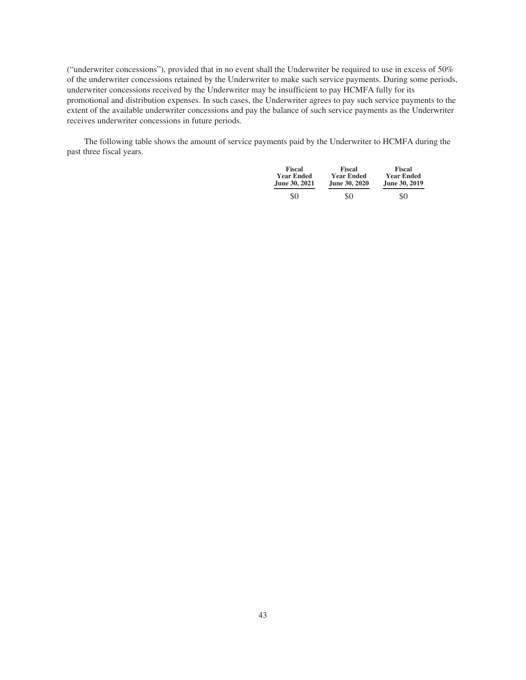("underwriter concessions"), provided that in no event shall the Underwriter be required to use in excess of 50% of the underwriter concessions retained by the Underwriter to make such service payments. During some periods, underwriter concessions received by the Underwriter may be insufficient to pay HCMFA fully for its promotional and distribution expenses. In such cases, the Underwriter agrees to pay such service payments to the extent of the available underwriter concessions and pay the balance of such service payments as the Underwriter receives underwriter concessions in future periods.

The following table shows the amount of service payments paid by the Underwriter to HCMFA during the past three fiscal years.

| Fiscal                             | Fiscal                             | Fiscal                             |
|------------------------------------|------------------------------------|------------------------------------|
| <b>Year Ended</b><br>June 30, 2021 | <b>Year Ended</b><br>June 30, 2020 | <b>Year Ended</b><br>June 30, 2019 |
| 80                                 | \$0                                | \$0                                |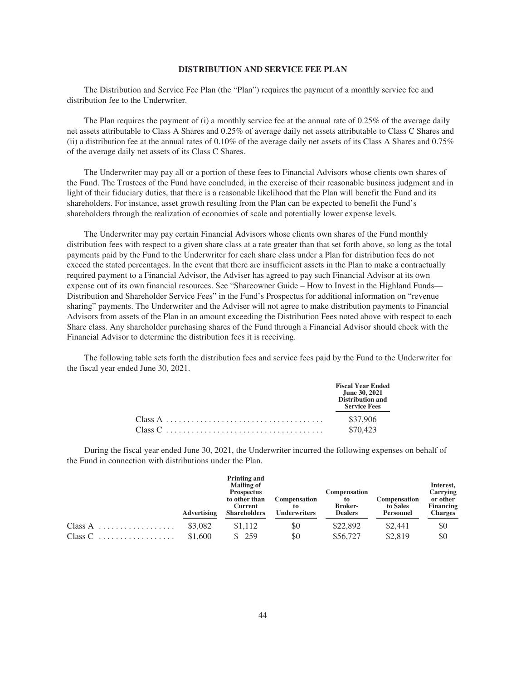## **DISTRIBUTION AND SERVICE FEE PLAN**

The Distribution and Service Fee Plan (the "Plan") requires the payment of a monthly service fee and distribution fee to the Underwriter.

The Plan requires the payment of (i) a monthly service fee at the annual rate of 0.25% of the average daily net assets attributable to Class A Shares and 0.25% of average daily net assets attributable to Class C Shares and (ii) a distribution fee at the annual rates of 0.10% of the average daily net assets of its Class A Shares and  $0.75%$ of the average daily net assets of its Class C Shares.

The Underwriter may pay all or a portion of these fees to Financial Advisors whose clients own shares of the Fund. The Trustees of the Fund have concluded, in the exercise of their reasonable business judgment and in light of their fiduciary duties, that there is a reasonable likelihood that the Plan will benefit the Fund and its shareholders. For instance, asset growth resulting from the Plan can be expected to benefit the Fund's shareholders through the realization of economies of scale and potentially lower expense levels.

The Underwriter may pay certain Financial Advisors whose clients own shares of the Fund monthly distribution fees with respect to a given share class at a rate greater than that set forth above, so long as the total payments paid by the Fund to the Underwriter for each share class under a Plan for distribution fees do not exceed the stated percentages. In the event that there are insufficient assets in the Plan to make a contractually required payment to a Financial Advisor, the Adviser has agreed to pay such Financial Advisor at its own expense out of its own financial resources. See "Shareowner Guide – How to Invest in the Highland Funds— Distribution and Shareholder Service Fees" in the Fund's Prospectus for additional information on "revenue sharing" payments. The Underwriter and the Adviser will not agree to make distribution payments to Financial Advisors from assets of the Plan in an amount exceeding the Distribution Fees noted above with respect to each Share class. Any shareholder purchasing shares of the Fund through a Financial Advisor should check with the Financial Advisor to determine the distribution fees it is receiving.

The following table sets forth the distribution fees and service fees paid by the Fund to the Underwriter for the fiscal year ended June 30, 2021.

| <b>Fiscal Year Ended</b><br>June 30, 2021<br><b>Distribution and</b><br><b>Service Fees</b> |
|---------------------------------------------------------------------------------------------|
| \$37,906                                                                                    |
| \$70.423                                                                                    |

During the fiscal year ended June 30, 2021, the Underwriter incurred the following expenses on behalf of the Fund in connection with distributions under the Plan.

| Advertising | <b>Printing and</b><br>Mailing of<br><b>Prospectus</b><br>to other than<br><b>Current</b><br><b>Shareholders</b> | <b>Compensation</b><br><b>Underwriters</b> | <b>Compensation</b><br>to<br><b>Broker-</b><br><b>Dealers</b> | <b>Compensation</b><br>to Sales<br><b>Personnel</b> | Interest,<br>Carrying<br>or other<br>Financing<br><b>Charges</b> |
|-------------|------------------------------------------------------------------------------------------------------------------|--------------------------------------------|---------------------------------------------------------------|-----------------------------------------------------|------------------------------------------------------------------|
| \$3,082     | \$1,112                                                                                                          | \$0                                        | \$22,892                                                      | \$2,441                                             | \$0                                                              |
| \$1,600     | 259                                                                                                              | \$0                                        | \$56,727                                                      | \$2,819                                             | \$0                                                              |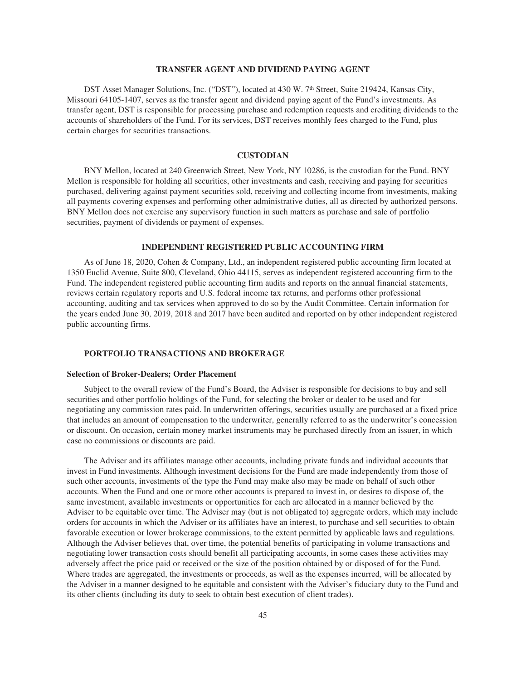## **TRANSFER AGENT AND DIVIDEND PAYING AGENT**

DST Asset Manager Solutions, Inc. ("DST"), located at 430 W. 7<sup>th</sup> Street, Suite 219424, Kansas City, Missouri 64105-1407, serves as the transfer agent and dividend paying agent of the Fund's investments. As transfer agent, DST is responsible for processing purchase and redemption requests and crediting dividends to the accounts of shareholders of the Fund. For its services, DST receives monthly fees charged to the Fund, plus certain charges for securities transactions.

## **CUSTODIAN**

BNY Mellon, located at 240 Greenwich Street, New York, NY 10286, is the custodian for the Fund. BNY Mellon is responsible for holding all securities, other investments and cash, receiving and paying for securities purchased, delivering against payment securities sold, receiving and collecting income from investments, making all payments covering expenses and performing other administrative duties, all as directed by authorized persons. BNY Mellon does not exercise any supervisory function in such matters as purchase and sale of portfolio securities, payment of dividends or payment of expenses.

#### **INDEPENDENT REGISTERED PUBLIC ACCOUNTING FIRM**

As of June 18, 2020, Cohen & Company, Ltd., an independent registered public accounting firm located at 1350 Euclid Avenue, Suite 800, Cleveland, Ohio 44115, serves as independent registered accounting firm to the Fund. The independent registered public accounting firm audits and reports on the annual financial statements, reviews certain regulatory reports and U.S. federal income tax returns, and performs other professional accounting, auditing and tax services when approved to do so by the Audit Committee. Certain information for the years ended June 30, 2019, 2018 and 2017 have been audited and reported on by other independent registered public accounting firms.

# **PORTFOLIO TRANSACTIONS AND BROKERAGE**

#### **Selection of Broker-Dealers; Order Placement**

Subject to the overall review of the Fund's Board, the Adviser is responsible for decisions to buy and sell securities and other portfolio holdings of the Fund, for selecting the broker or dealer to be used and for negotiating any commission rates paid. In underwritten offerings, securities usually are purchased at a fixed price that includes an amount of compensation to the underwriter, generally referred to as the underwriter's concession or discount. On occasion, certain money market instruments may be purchased directly from an issuer, in which case no commissions or discounts are paid.

The Adviser and its affiliates manage other accounts, including private funds and individual accounts that invest in Fund investments. Although investment decisions for the Fund are made independently from those of such other accounts, investments of the type the Fund may make also may be made on behalf of such other accounts. When the Fund and one or more other accounts is prepared to invest in, or desires to dispose of, the same investment, available investments or opportunities for each are allocated in a manner believed by the Adviser to be equitable over time. The Adviser may (but is not obligated to) aggregate orders, which may include orders for accounts in which the Adviser or its affiliates have an interest, to purchase and sell securities to obtain favorable execution or lower brokerage commissions, to the extent permitted by applicable laws and regulations. Although the Adviser believes that, over time, the potential benefits of participating in volume transactions and negotiating lower transaction costs should benefit all participating accounts, in some cases these activities may adversely affect the price paid or received or the size of the position obtained by or disposed of for the Fund. Where trades are aggregated, the investments or proceeds, as well as the expenses incurred, will be allocated by the Adviser in a manner designed to be equitable and consistent with the Adviser's fiduciary duty to the Fund and its other clients (including its duty to seek to obtain best execution of client trades).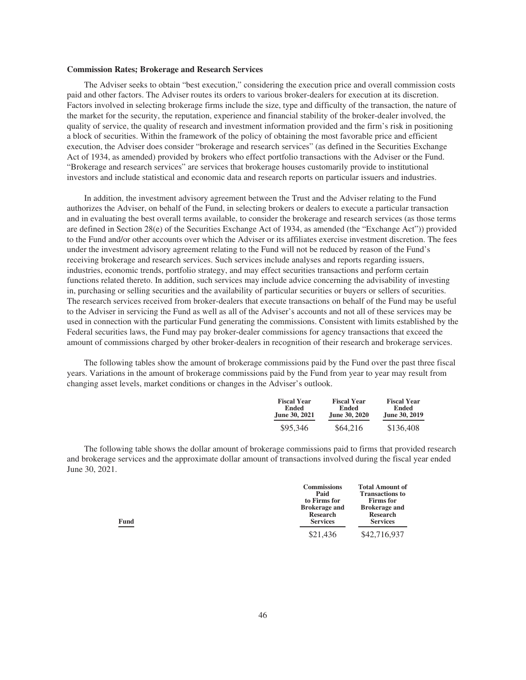#### **Commission Rates; Brokerage and Research Services**

The Adviser seeks to obtain "best execution," considering the execution price and overall commission costs paid and other factors. The Adviser routes its orders to various broker-dealers for execution at its discretion. Factors involved in selecting brokerage firms include the size, type and difficulty of the transaction, the nature of the market for the security, the reputation, experience and financial stability of the broker-dealer involved, the quality of service, the quality of research and investment information provided and the firm's risk in positioning a block of securities. Within the framework of the policy of obtaining the most favorable price and efficient execution, the Adviser does consider "brokerage and research services" (as defined in the Securities Exchange Act of 1934, as amended) provided by brokers who effect portfolio transactions with the Adviser or the Fund. "Brokerage and research services" are services that brokerage houses customarily provide to institutional investors and include statistical and economic data and research reports on particular issuers and industries.

In addition, the investment advisory agreement between the Trust and the Adviser relating to the Fund authorizes the Adviser, on behalf of the Fund, in selecting brokers or dealers to execute a particular transaction and in evaluating the best overall terms available, to consider the brokerage and research services (as those terms are defined in Section 28(e) of the Securities Exchange Act of 1934, as amended (the "Exchange Act")) provided to the Fund and/or other accounts over which the Adviser or its affiliates exercise investment discretion. The fees under the investment advisory agreement relating to the Fund will not be reduced by reason of the Fund's receiving brokerage and research services. Such services include analyses and reports regarding issuers, industries, economic trends, portfolio strategy, and may effect securities transactions and perform certain functions related thereto. In addition, such services may include advice concerning the advisability of investing in, purchasing or selling securities and the availability of particular securities or buyers or sellers of securities. The research services received from broker-dealers that execute transactions on behalf of the Fund may be useful to the Adviser in servicing the Fund as well as all of the Adviser's accounts and not all of these services may be used in connection with the particular Fund generating the commissions. Consistent with limits established by the Federal securities laws, the Fund may pay broker-dealer commissions for agency transactions that exceed the amount of commissions charged by other broker-dealers in recognition of their research and brokerage services.

The following tables show the amount of brokerage commissions paid by the Fund over the past three fiscal years. Variations in the amount of brokerage commissions paid by the Fund from year to year may result from changing asset levels, market conditions or changes in the Adviser's outlook.

| <b>Fiscal Year</b> | <b>Fiscal Year</b> | <b>Fiscal Year</b> |
|--------------------|--------------------|--------------------|
| Ended              | Ended              | Ended              |
| June 30, 2021      | June 30, 2020      | June 30, 2019      |
| \$95,346           | \$64,216           | \$136,408          |

The following table shows the dollar amount of brokerage commissions paid to firms that provided research and brokerage services and the approximate dollar amount of transactions involved during the fiscal year ended June 30, 2021.

| <b>Fund</b> | <b>Commissions</b><br>Paid<br>to Firms for<br><b>Brokerage and</b><br>Research<br><b>Services</b> | <b>Total Amount of</b><br><b>Transactions to</b><br><b>Firms</b> for<br><b>Brokerage and</b><br><b>Research</b><br><b>Services</b> |
|-------------|---------------------------------------------------------------------------------------------------|------------------------------------------------------------------------------------------------------------------------------------|
|             | \$21,436                                                                                          | \$42,716,937                                                                                                                       |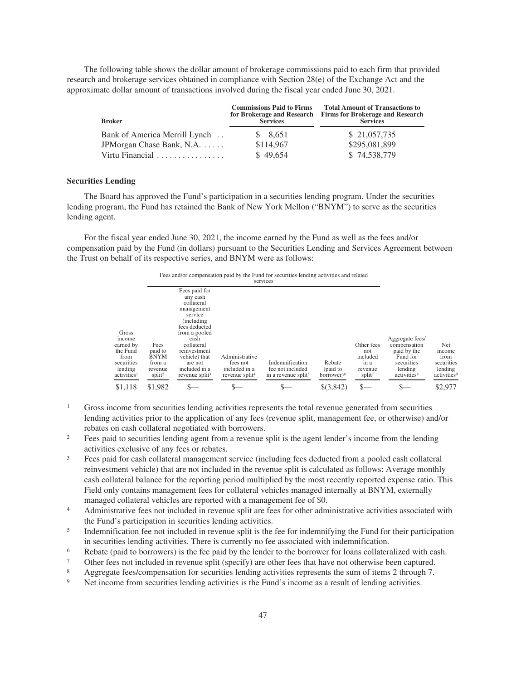The following table shows the dollar amount of brokerage commissions paid to each firm that provided research and brokerage services obtained in compliance with Section 28(e) of the Exchange Act and the approximate dollar amount of transactions involved during the fiscal year ended June 30, 2021.

| <b>Broker</b>                 | <b>Commissions Paid to Firms</b><br><b>Services</b> | <b>Total Amount of Transactions to</b><br>for Brokerage and Research Firms for Brokerage and Research<br><b>Services</b> |
|-------------------------------|-----------------------------------------------------|--------------------------------------------------------------------------------------------------------------------------|
| Bank of America Merrill Lynch | \$8,651                                             | \$21,057,735                                                                                                             |
| JPM organ Chase Bank, N.A.    | \$114,967                                           | \$295,081,899                                                                                                            |
| Virtu Financial               | \$49.654                                            | \$74,538,779                                                                                                             |

#### **Securities Lending**

 $\mathcal{L}^{\pm}$ 

The Board has approved the Fund's participation in a securities lending program. Under the securities lending program, the Fund has retained the Bank of New York Mellon ("BNYM") to serve as the securities lending agent.

For the fiscal year ended June 30, 2021, the income earned by the Fund as well as the fees and/or compensation paid by the Fund (in dollars) pursuant to the Securities Lending and Services Agreement between the Trust on behalf of its respective series, and BNYM were as follows:

Fees and/or compensation paid by the Fund for securities lending activities and related

|                                                                                                      |                                                                           |                                                                                                                                |                                                                           | Tecs and/or compensation paid by the Fund for securities ichumg activities and related<br>services |                                              |                                                                        |                                                                                                                |                                                                           |
|------------------------------------------------------------------------------------------------------|---------------------------------------------------------------------------|--------------------------------------------------------------------------------------------------------------------------------|---------------------------------------------------------------------------|----------------------------------------------------------------------------------------------------|----------------------------------------------|------------------------------------------------------------------------|----------------------------------------------------------------------------------------------------------------|---------------------------------------------------------------------------|
|                                                                                                      |                                                                           | Fees paid for<br>any cash<br>collateral<br>management<br>service<br>(including)<br>fees deducted                               |                                                                           |                                                                                                    |                                              |                                                                        |                                                                                                                |                                                                           |
| Gross<br>income<br>earned by<br>the Fund<br>from<br>securities<br>lending<br>activities <sup>1</sup> | Fees<br>paid to<br><b>BNYM</b><br>from a<br>revenue<br>split <sup>2</sup> | from a pooled<br>cash<br>collateral<br>reinvestment<br>vehicle) that<br>are not<br>included in a<br>revenue split <sup>3</sup> | Administrative<br>fees not<br>included in a<br>revenue split <sup>4</sup> | Indemnification<br>fee not included<br>in a revenue split <sup>5</sup>                             | Rebate<br>(paid to<br>borrower) <sup>6</sup> | Other fees<br>not<br>included<br>in a<br>revenue<br>split <sup>7</sup> | Aggregate fees/<br>compensation<br>paid by the<br>Fund for<br>securities<br>lending<br>activities <sup>8</sup> | Net<br>income<br>from<br>securities<br>lending<br>activities <sup>9</sup> |
| \$1,118                                                                                              | \$1,982                                                                   |                                                                                                                                |                                                                           |                                                                                                    | \$(3,842)                                    |                                                                        |                                                                                                                | \$2,977                                                                   |

- <sup>1</sup> Gross income from securities lending activities represents the total revenue generated from securities lending activities prior to the application of any fees (revenue split, management fee, or otherwise) and/or rebates on cash collateral negotiated with borrowers.
- <sup>2</sup> Fees paid to securities lending agent from a revenue split is the agent lender's income from the lending activities exclusive of any fees or rebates.
- <sup>3</sup> Fees paid for cash collateral management service (including fees deducted from a pooled cash collateral reinvestment vehicle) that are not included in the revenue split is calculated as follows: Average monthly cash collateral balance for the reporting period multiplied by the most recently reported expense ratio. This Field only contains management fees for collateral vehicles managed internally at BNYM, externally managed collateral vehicles are reported with a management fee of \$0.
- <sup>4</sup> Administrative fees not included in revenue split are fees for other administrative activities associated with the Fund's participation in securities lending activities.
- <sup>5</sup> Indemnification fee not included in revenue split is the fee for indemnifying the Fund for their participation in securities lending activities. There is currently no fee associated with indemnification.
- <sup>6</sup> Rebate (paid to borrowers) is the fee paid by the lender to the borrower for loans collateralized with cash.
- 7 Other fees not included in revenue split (specify) are other fees that have not otherwise been captured.<br>8 Aggregate fees/compensation for securities lending activities represents the sum of items 2 through 7
- <sup>8</sup> Aggregate fees/compensation for securities lending activities represents the sum of items 2 through 7.
- <sup>9</sup> Net income from securities lending activities is the Fund's income as a result of lending activities.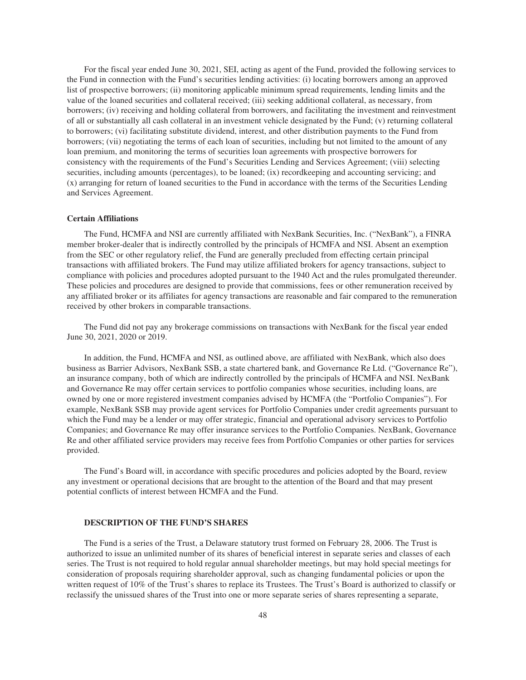For the fiscal year ended June 30, 2021, SEI, acting as agent of the Fund, provided the following services to the Fund in connection with the Fund's securities lending activities: (i) locating borrowers among an approved list of prospective borrowers; (ii) monitoring applicable minimum spread requirements, lending limits and the value of the loaned securities and collateral received; (iii) seeking additional collateral, as necessary, from borrowers; (iv) receiving and holding collateral from borrowers, and facilitating the investment and reinvestment of all or substantially all cash collateral in an investment vehicle designated by the Fund; (v) returning collateral to borrowers; (vi) facilitating substitute dividend, interest, and other distribution payments to the Fund from borrowers; (vii) negotiating the terms of each loan of securities, including but not limited to the amount of any loan premium, and monitoring the terms of securities loan agreements with prospective borrowers for consistency with the requirements of the Fund's Securities Lending and Services Agreement; (viii) selecting securities, including amounts (percentages), to be loaned; (ix) recordkeeping and accounting servicing; and (x) arranging for return of loaned securities to the Fund in accordance with the terms of the Securities Lending and Services Agreement.

#### **Certain Affiliations**

The Fund, HCMFA and NSI are currently affiliated with NexBank Securities, Inc. ("NexBank"), a FINRA member broker-dealer that is indirectly controlled by the principals of HCMFA and NSI. Absent an exemption from the SEC or other regulatory relief, the Fund are generally precluded from effecting certain principal transactions with affiliated brokers. The Fund may utilize affiliated brokers for agency transactions, subject to compliance with policies and procedures adopted pursuant to the 1940 Act and the rules promulgated thereunder. These policies and procedures are designed to provide that commissions, fees or other remuneration received by any affiliated broker or its affiliates for agency transactions are reasonable and fair compared to the remuneration received by other brokers in comparable transactions.

The Fund did not pay any brokerage commissions on transactions with NexBank for the fiscal year ended June 30, 2021, 2020 or 2019.

In addition, the Fund, HCMFA and NSI, as outlined above, are affiliated with NexBank, which also does business as Barrier Advisors, NexBank SSB, a state chartered bank, and Governance Re Ltd. ("Governance Re"), an insurance company, both of which are indirectly controlled by the principals of HCMFA and NSI. NexBank and Governance Re may offer certain services to portfolio companies whose securities, including loans, are owned by one or more registered investment companies advised by HCMFA (the "Portfolio Companies"). For example, NexBank SSB may provide agent services for Portfolio Companies under credit agreements pursuant to which the Fund may be a lender or may offer strategic, financial and operational advisory services to Portfolio Companies; and Governance Re may offer insurance services to the Portfolio Companies. NexBank, Governance Re and other affiliated service providers may receive fees from Portfolio Companies or other parties for services provided.

The Fund's Board will, in accordance with specific procedures and policies adopted by the Board, review any investment or operational decisions that are brought to the attention of the Board and that may present potential conflicts of interest between HCMFA and the Fund.

#### **DESCRIPTION OF THE FUND'S SHARES**

The Fund is a series of the Trust, a Delaware statutory trust formed on February 28, 2006. The Trust is authorized to issue an unlimited number of its shares of beneficial interest in separate series and classes of each series. The Trust is not required to hold regular annual shareholder meetings, but may hold special meetings for consideration of proposals requiring shareholder approval, such as changing fundamental policies or upon the written request of 10% of the Trust's shares to replace its Trustees. The Trust's Board is authorized to classify or reclassify the unissued shares of the Trust into one or more separate series of shares representing a separate,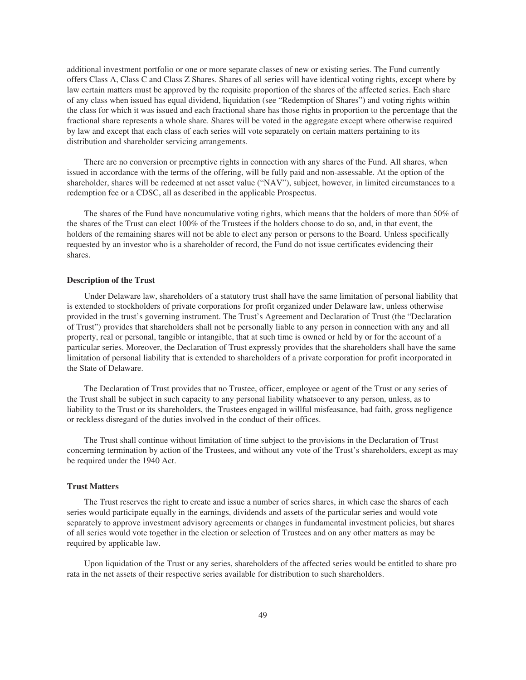additional investment portfolio or one or more separate classes of new or existing series. The Fund currently offers Class A, Class C and Class Z Shares. Shares of all series will have identical voting rights, except where by law certain matters must be approved by the requisite proportion of the shares of the affected series. Each share of any class when issued has equal dividend, liquidation (see "Redemption of Shares") and voting rights within the class for which it was issued and each fractional share has those rights in proportion to the percentage that the fractional share represents a whole share. Shares will be voted in the aggregate except where otherwise required by law and except that each class of each series will vote separately on certain matters pertaining to its distribution and shareholder servicing arrangements.

There are no conversion or preemptive rights in connection with any shares of the Fund. All shares, when issued in accordance with the terms of the offering, will be fully paid and non-assessable. At the option of the shareholder, shares will be redeemed at net asset value ("NAV"), subject, however, in limited circumstances to a redemption fee or a CDSC, all as described in the applicable Prospectus.

The shares of the Fund have noncumulative voting rights, which means that the holders of more than 50% of the shares of the Trust can elect 100% of the Trustees if the holders choose to do so, and, in that event, the holders of the remaining shares will not be able to elect any person or persons to the Board. Unless specifically requested by an investor who is a shareholder of record, the Fund do not issue certificates evidencing their shares.

#### **Description of the Trust**

Under Delaware law, shareholders of a statutory trust shall have the same limitation of personal liability that is extended to stockholders of private corporations for profit organized under Delaware law, unless otherwise provided in the trust's governing instrument. The Trust's Agreement and Declaration of Trust (the "Declaration of Trust") provides that shareholders shall not be personally liable to any person in connection with any and all property, real or personal, tangible or intangible, that at such time is owned or held by or for the account of a particular series. Moreover, the Declaration of Trust expressly provides that the shareholders shall have the same limitation of personal liability that is extended to shareholders of a private corporation for profit incorporated in the State of Delaware.

The Declaration of Trust provides that no Trustee, officer, employee or agent of the Trust or any series of the Trust shall be subject in such capacity to any personal liability whatsoever to any person, unless, as to liability to the Trust or its shareholders, the Trustees engaged in willful misfeasance, bad faith, gross negligence or reckless disregard of the duties involved in the conduct of their offices.

The Trust shall continue without limitation of time subject to the provisions in the Declaration of Trust concerning termination by action of the Trustees, and without any vote of the Trust's shareholders, except as may be required under the 1940 Act.

## **Trust Matters**

The Trust reserves the right to create and issue a number of series shares, in which case the shares of each series would participate equally in the earnings, dividends and assets of the particular series and would vote separately to approve investment advisory agreements or changes in fundamental investment policies, but shares of all series would vote together in the election or selection of Trustees and on any other matters as may be required by applicable law.

Upon liquidation of the Trust or any series, shareholders of the affected series would be entitled to share pro rata in the net assets of their respective series available for distribution to such shareholders.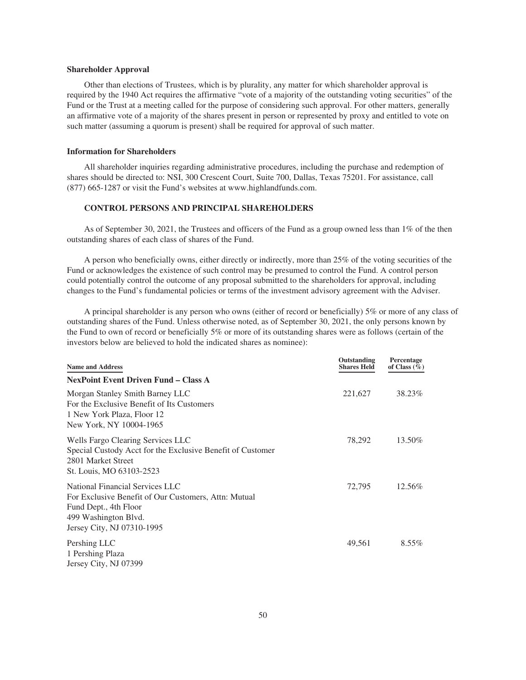## **Shareholder Approval**

Other than elections of Trustees, which is by plurality, any matter for which shareholder approval is required by the 1940 Act requires the affirmative "vote of a majority of the outstanding voting securities" of the Fund or the Trust at a meeting called for the purpose of considering such approval. For other matters, generally an affirmative vote of a majority of the shares present in person or represented by proxy and entitled to vote on such matter (assuming a quorum is present) shall be required for approval of such matter.

#### **Information for Shareholders**

All shareholder inquiries regarding administrative procedures, including the purchase and redemption of shares should be directed to: NSI, 300 Crescent Court, Suite 700, Dallas, Texas 75201. For assistance, call (877) 665-1287 or visit the Fund's websites at www.highlandfunds.com.

## **CONTROL PERSONS AND PRINCIPAL SHAREHOLDERS**

As of September 30, 2021, the Trustees and officers of the Fund as a group owned less than 1% of the then outstanding shares of each class of shares of the Fund.

A person who beneficially owns, either directly or indirectly, more than 25% of the voting securities of the Fund or acknowledges the existence of such control may be presumed to control the Fund. A control person could potentially control the outcome of any proposal submitted to the shareholders for approval, including changes to the Fund's fundamental policies or terms of the investment advisory agreement with the Adviser.

A principal shareholder is any person who owns (either of record or beneficially) 5% or more of any class of outstanding shares of the Fund. Unless otherwise noted, as of September 30, 2021, the only persons known by the Fund to own of record or beneficially 5% or more of its outstanding shares were as follows (certain of the investors below are believed to hold the indicated shares as nominee):

| <b>Name and Address</b>                                                                                                                                                | Outstanding<br><b>Shares Held</b> | Percentage<br>of Class $(\% )$ |
|------------------------------------------------------------------------------------------------------------------------------------------------------------------------|-----------------------------------|--------------------------------|
| <b>NexPoint Event Driven Fund – Class A</b>                                                                                                                            |                                   |                                |
| Morgan Stanley Smith Barney LLC<br>For the Exclusive Benefit of Its Customers<br>1 New York Plaza, Floor 12<br>New York, NY 10004-1965                                 | 221,627                           | 38.23%                         |
| Wells Fargo Clearing Services LLC<br>Special Custody Acct for the Exclusive Benefit of Customer<br>2801 Market Street<br>St. Louis, MO 63103-2523                      | 78,292                            | 13.50%                         |
| National Financial Services LLC<br>For Exclusive Benefit of Our Customers, Attn: Mutual<br>Fund Dept., 4th Floor<br>499 Washington Blvd.<br>Jersey City, NJ 07310-1995 | 72,795                            | 12.56%                         |
| Pershing LLC<br>1 Pershing Plaza<br>Jersey City, NJ 07399                                                                                                              | 49,561                            | $8.55\%$                       |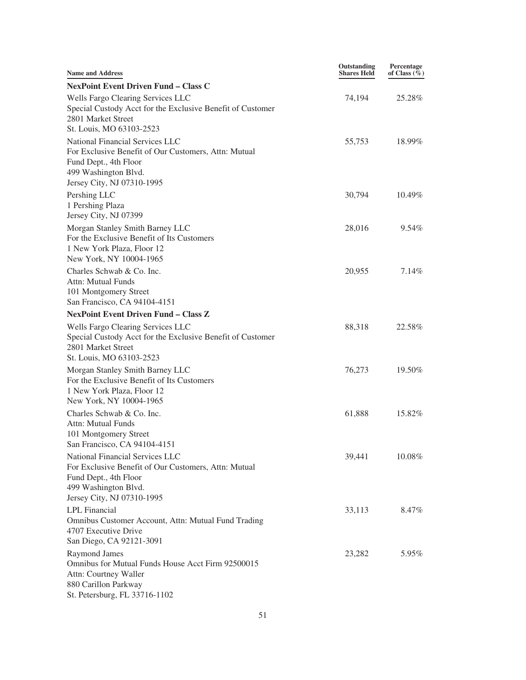| <b>Name and Address</b>                                                                                                                                                | Outstanding<br><b>Shares Held</b> | Percentage<br>of Class $(\%)$ |
|------------------------------------------------------------------------------------------------------------------------------------------------------------------------|-----------------------------------|-------------------------------|
| <b>NexPoint Event Driven Fund – Class C</b>                                                                                                                            |                                   |                               |
| Wells Fargo Clearing Services LLC<br>Special Custody Acct for the Exclusive Benefit of Customer<br>2801 Market Street<br>St. Louis, MO 63103-2523                      | 74,194                            | 25.28%                        |
| National Financial Services LLC<br>For Exclusive Benefit of Our Customers, Attn: Mutual<br>Fund Dept., 4th Floor<br>499 Washington Blvd.                               | 55,753                            | 18.99%                        |
| Jersey City, NJ 07310-1995<br>Pershing LLC<br>1 Pershing Plaza<br>Jersey City, NJ 07399                                                                                | 30,794                            | 10.49%                        |
| Morgan Stanley Smith Barney LLC<br>For the Exclusive Benefit of Its Customers<br>1 New York Plaza, Floor 12<br>New York, NY 10004-1965                                 | 28,016                            | 9.54%                         |
| Charles Schwab & Co. Inc.<br><b>Attn: Mutual Funds</b><br>101 Montgomery Street<br>San Francisco, CA 94104-4151                                                        | 20,955                            | 7.14%                         |
| <b>NexPoint Event Driven Fund - Class Z</b>                                                                                                                            |                                   |                               |
| Wells Fargo Clearing Services LLC<br>Special Custody Acct for the Exclusive Benefit of Customer<br>2801 Market Street<br>St. Louis, MO 63103-2523                      | 88,318<br>76,273                  | 22.58%<br>19.50%              |
| Morgan Stanley Smith Barney LLC<br>For the Exclusive Benefit of Its Customers<br>1 New York Plaza, Floor 12<br>New York, NY 10004-1965                                 |                                   |                               |
| Charles Schwab & Co. Inc.<br><b>Attn: Mutual Funds</b><br>101 Montgomery Street<br>San Francisco, CA 94104-4151                                                        | 61,888                            | 15.82%                        |
| National Financial Services LLC<br>For Exclusive Benefit of Our Customers, Attn: Mutual<br>Fund Dept., 4th Floor<br>499 Washington Blvd.<br>Jersey City, NJ 07310-1995 | 39,441                            | 10.08%                        |
| LPL Financial<br>Omnibus Customer Account, Attn: Mutual Fund Trading<br>4707 Executive Drive<br>San Diego, CA 92121-3091                                               | 33,113                            | 8.47%                         |
| Raymond James<br>Omnibus for Mutual Funds House Acct Firm 92500015<br>Attn: Courtney Waller<br>880 Carillon Parkway<br>St. Petersburg, FL 33716-1102                   | 23,282                            | 5.95%                         |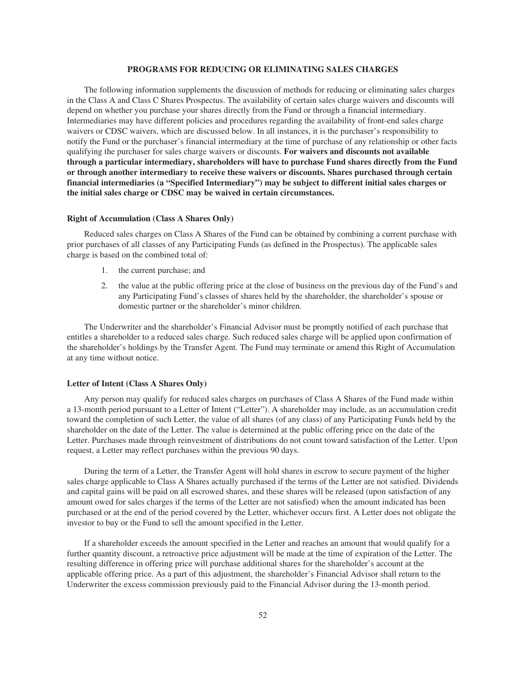## **PROGRAMS FOR REDUCING OR ELIMINATING SALES CHARGES**

The following information supplements the discussion of methods for reducing or eliminating sales charges in the Class A and Class C Shares Prospectus. The availability of certain sales charge waivers and discounts will depend on whether you purchase your shares directly from the Fund or through a financial intermediary. Intermediaries may have different policies and procedures regarding the availability of front-end sales charge waivers or CDSC waivers, which are discussed below. In all instances, it is the purchaser's responsibility to notify the Fund or the purchaser's financial intermediary at the time of purchase of any relationship or other facts qualifying the purchaser for sales charge waivers or discounts. **For waivers and discounts not available through a particular intermediary, shareholders will have to purchase Fund shares directly from the Fund or through another intermediary to receive these waivers or discounts. Shares purchased through certain financial intermediaries (a "Specified Intermediary") may be subject to different initial sales charges or the initial sales charge or CDSC may be waived in certain circumstances.**

#### **Right of Accumulation (Class A Shares Only)**

Reduced sales charges on Class A Shares of the Fund can be obtained by combining a current purchase with prior purchases of all classes of any Participating Funds (as defined in the Prospectus). The applicable sales charge is based on the combined total of:

- 1. the current purchase; and
- 2. the value at the public offering price at the close of business on the previous day of the Fund's and any Participating Fund's classes of shares held by the shareholder, the shareholder's spouse or domestic partner or the shareholder's minor children.

The Underwriter and the shareholder's Financial Advisor must be promptly notified of each purchase that entitles a shareholder to a reduced sales charge. Such reduced sales charge will be applied upon confirmation of the shareholder's holdings by the Transfer Agent. The Fund may terminate or amend this Right of Accumulation at any time without notice.

## **Letter of Intent (Class A Shares Only)**

Any person may qualify for reduced sales charges on purchases of Class A Shares of the Fund made within a 13-month period pursuant to a Letter of Intent ("Letter"). A shareholder may include, as an accumulation credit toward the completion of such Letter, the value of all shares (of any class) of any Participating Funds held by the shareholder on the date of the Letter. The value is determined at the public offering price on the date of the Letter. Purchases made through reinvestment of distributions do not count toward satisfaction of the Letter. Upon request, a Letter may reflect purchases within the previous 90 days.

During the term of a Letter, the Transfer Agent will hold shares in escrow to secure payment of the higher sales charge applicable to Class A Shares actually purchased if the terms of the Letter are not satisfied. Dividends and capital gains will be paid on all escrowed shares, and these shares will be released (upon satisfaction of any amount owed for sales charges if the terms of the Letter are not satisfied) when the amount indicated has been purchased or at the end of the period covered by the Letter, whichever occurs first. A Letter does not obligate the investor to buy or the Fund to sell the amount specified in the Letter.

If a shareholder exceeds the amount specified in the Letter and reaches an amount that would qualify for a further quantity discount, a retroactive price adjustment will be made at the time of expiration of the Letter. The resulting difference in offering price will purchase additional shares for the shareholder's account at the applicable offering price. As a part of this adjustment, the shareholder's Financial Advisor shall return to the Underwriter the excess commission previously paid to the Financial Advisor during the 13-month period.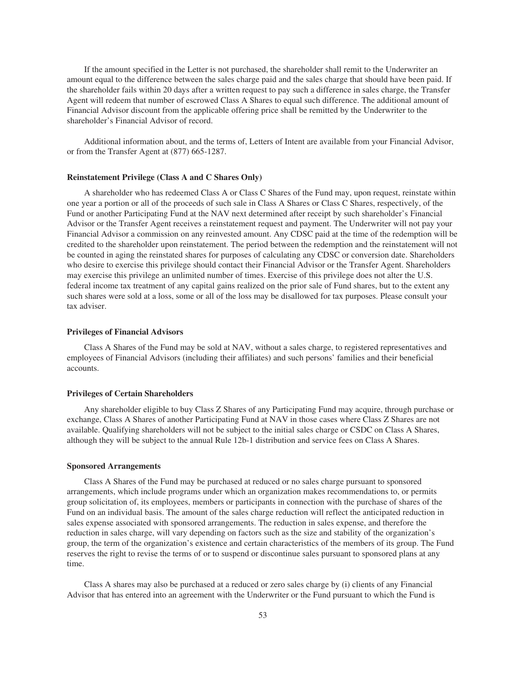If the amount specified in the Letter is not purchased, the shareholder shall remit to the Underwriter an amount equal to the difference between the sales charge paid and the sales charge that should have been paid. If the shareholder fails within 20 days after a written request to pay such a difference in sales charge, the Transfer Agent will redeem that number of escrowed Class A Shares to equal such difference. The additional amount of Financial Advisor discount from the applicable offering price shall be remitted by the Underwriter to the shareholder's Financial Advisor of record.

Additional information about, and the terms of, Letters of Intent are available from your Financial Advisor, or from the Transfer Agent at (877) 665-1287.

#### **Reinstatement Privilege (Class A and C Shares Only)**

A shareholder who has redeemed Class A or Class C Shares of the Fund may, upon request, reinstate within one year a portion or all of the proceeds of such sale in Class A Shares or Class C Shares, respectively, of the Fund or another Participating Fund at the NAV next determined after receipt by such shareholder's Financial Advisor or the Transfer Agent receives a reinstatement request and payment. The Underwriter will not pay your Financial Advisor a commission on any reinvested amount. Any CDSC paid at the time of the redemption will be credited to the shareholder upon reinstatement. The period between the redemption and the reinstatement will not be counted in aging the reinstated shares for purposes of calculating any CDSC or conversion date. Shareholders who desire to exercise this privilege should contact their Financial Advisor or the Transfer Agent. Shareholders may exercise this privilege an unlimited number of times. Exercise of this privilege does not alter the U.S. federal income tax treatment of any capital gains realized on the prior sale of Fund shares, but to the extent any such shares were sold at a loss, some or all of the loss may be disallowed for tax purposes. Please consult your tax adviser.

#### **Privileges of Financial Advisors**

Class A Shares of the Fund may be sold at NAV, without a sales charge, to registered representatives and employees of Financial Advisors (including their affiliates) and such persons' families and their beneficial accounts.

#### **Privileges of Certain Shareholders**

Any shareholder eligible to buy Class Z Shares of any Participating Fund may acquire, through purchase or exchange, Class A Shares of another Participating Fund at NAV in those cases where Class Z Shares are not available. Qualifying shareholders will not be subject to the initial sales charge or CSDC on Class A Shares, although they will be subject to the annual Rule 12b-1 distribution and service fees on Class A Shares.

#### **Sponsored Arrangements**

Class A Shares of the Fund may be purchased at reduced or no sales charge pursuant to sponsored arrangements, which include programs under which an organization makes recommendations to, or permits group solicitation of, its employees, members or participants in connection with the purchase of shares of the Fund on an individual basis. The amount of the sales charge reduction will reflect the anticipated reduction in sales expense associated with sponsored arrangements. The reduction in sales expense, and therefore the reduction in sales charge, will vary depending on factors such as the size and stability of the organization's group, the term of the organization's existence and certain characteristics of the members of its group. The Fund reserves the right to revise the terms of or to suspend or discontinue sales pursuant to sponsored plans at any time.

Class A shares may also be purchased at a reduced or zero sales charge by (i) clients of any Financial Advisor that has entered into an agreement with the Underwriter or the Fund pursuant to which the Fund is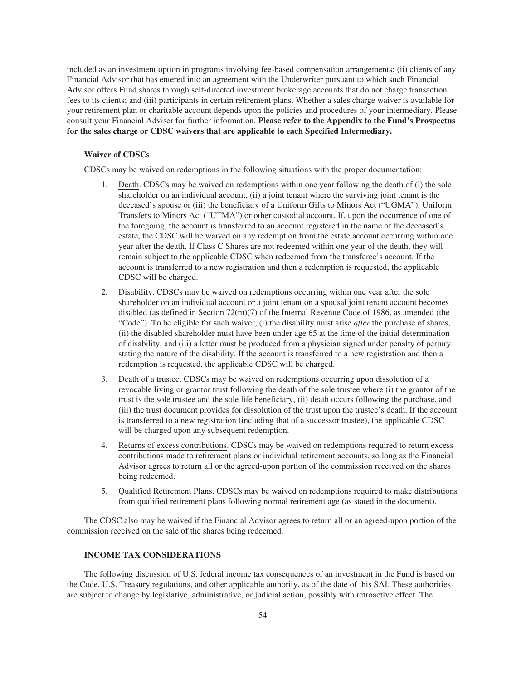included as an investment option in programs involving fee-based compensation arrangements; (ii) clients of any Financial Advisor that has entered into an agreement with the Underwriter pursuant to which such Financial Advisor offers Fund shares through self-directed investment brokerage accounts that do not charge transaction fees to its clients; and (iii) participants in certain retirement plans. Whether a sales charge waiver is available for your retirement plan or charitable account depends upon the policies and procedures of your intermediary. Please consult your Financial Adviser for further information. **Please refer to the Appendix to the Fund's Prospectus for the sales charge or CDSC waivers that are applicable to each Specified Intermediary.**

# **Waiver of CDSCs**

CDSCs may be waived on redemptions in the following situations with the proper documentation:

- 1. Death. CDSCs may be waived on redemptions within one year following the death of (i) the sole shareholder on an individual account, (ii) a joint tenant where the surviving joint tenant is the deceased's spouse or (iii) the beneficiary of a Uniform Gifts to Minors Act ("UGMA"), Uniform Transfers to Minors Act ("UTMA") or other custodial account. If, upon the occurrence of one of the foregoing, the account is transferred to an account registered in the name of the deceased's estate, the CDSC will be waived on any redemption from the estate account occurring within one year after the death. If Class C Shares are not redeemed within one year of the death, they will remain subject to the applicable CDSC when redeemed from the transferee's account. If the account is transferred to a new registration and then a redemption is requested, the applicable CDSC will be charged.
- 2. Disability. CDSCs may be waived on redemptions occurring within one year after the sole shareholder on an individual account or a joint tenant on a spousal joint tenant account becomes disabled (as defined in Section 72(m)(7) of the Internal Revenue Code of 1986, as amended (the "Code"). To be eligible for such waiver, (i) the disability must arise *after* the purchase of shares, (ii) the disabled shareholder must have been under age 65 at the time of the initial determination of disability, and (iii) a letter must be produced from a physician signed under penalty of perjury stating the nature of the disability. If the account is transferred to a new registration and then a redemption is requested, the applicable CDSC will be charged.
- 3. Death of a trustee. CDSCs may be waived on redemptions occurring upon dissolution of a revocable living or grantor trust following the death of the sole trustee where (i) the grantor of the trust is the sole trustee and the sole life beneficiary, (ii) death occurs following the purchase, and (iii) the trust document provides for dissolution of the trust upon the trustee's death. If the account is transferred to a new registration (including that of a successor trustee), the applicable CDSC will be charged upon any subsequent redemption.
- 4. Returns of excess contributions. CDSCs may be waived on redemptions required to return excess contributions made to retirement plans or individual retirement accounts, so long as the Financial Advisor agrees to return all or the agreed-upon portion of the commission received on the shares being redeemed.
- 5. Qualified Retirement Plans. CDSCs may be waived on redemptions required to make distributions from qualified retirement plans following normal retirement age (as stated in the document).

The CDSC also may be waived if the Financial Advisor agrees to return all or an agreed-upon portion of the commission received on the sale of the shares being redeemed.

## **INCOME TAX CONSIDERATIONS**

The following discussion of U.S. federal income tax consequences of an investment in the Fund is based on the Code, U.S. Treasury regulations, and other applicable authority, as of the date of this SAI. These authorities are subject to change by legislative, administrative, or judicial action, possibly with retroactive effect. The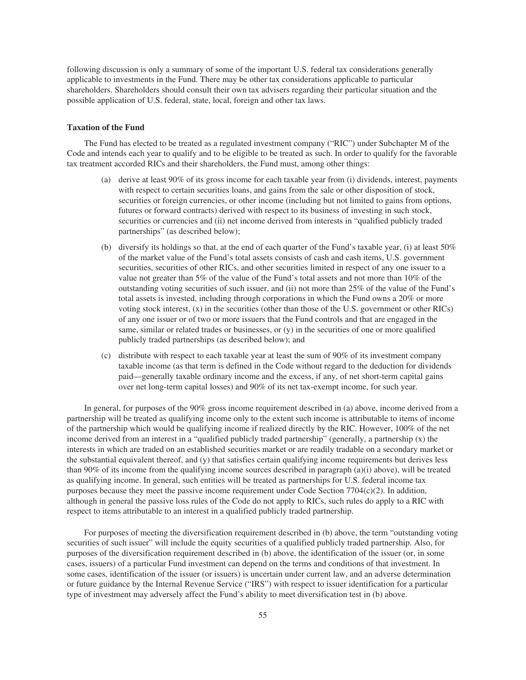following discussion is only a summary of some of the important U.S. federal tax considerations generally applicable to investments in the Fund. There may be other tax considerations applicable to particular shareholders. Shareholders should consult their own tax advisers regarding their particular situation and the possible application of U.S. federal, state, local, foreign and other tax laws.

# **Taxation of the Fund**

The Fund has elected to be treated as a regulated investment company ("RIC") under Subchapter M of the Code and intends each year to qualify and to be eligible to be treated as such. In order to qualify for the favorable tax treatment accorded RICs and their shareholders, the Fund must, among other things:

- (a) derive at least 90% of its gross income for each taxable year from (i) dividends, interest, payments with respect to certain securities loans, and gains from the sale or other disposition of stock, securities or foreign currencies, or other income (including but not limited to gains from options, futures or forward contracts) derived with respect to its business of investing in such stock, securities or currencies and (ii) net income derived from interests in "qualified publicly traded partnerships" (as described below);
- (b) diversify its holdings so that, at the end of each quarter of the Fund's taxable year, (i) at least  $50\%$ of the market value of the Fund's total assets consists of cash and cash items, U.S. government securities, securities of other RICs, and other securities limited in respect of any one issuer to a value not greater than 5% of the value of the Fund's total assets and not more than 10% of the outstanding voting securities of such issuer, and (ii) not more than 25% of the value of the Fund's total assets is invested, including through corporations in which the Fund owns a 20% or more voting stock interest, (x) in the securities (other than those of the U.S. government or other RICs) of any one issuer or of two or more issuers that the Fund controls and that are engaged in the same, similar or related trades or businesses, or (y) in the securities of one or more qualified publicly traded partnerships (as described below); and
- (c) distribute with respect to each taxable year at least the sum of 90% of its investment company taxable income (as that term is defined in the Code without regard to the deduction for dividends paid—generally taxable ordinary income and the excess, if any, of net short-term capital gains over net long-term capital losses) and 90% of its net tax-exempt income, for such year.

In general, for purposes of the 90% gross income requirement described in (a) above, income derived from a partnership will be treated as qualifying income only to the extent such income is attributable to items of income of the partnership which would be qualifying income if realized directly by the RIC. However, 100% of the net income derived from an interest in a "qualified publicly traded partnership" (generally, a partnership (x) the interests in which are traded on an established securities market or are readily tradable on a secondary market or the substantial equivalent thereof, and (y) that satisfies certain qualifying income requirements but derives less than 90% of its income from the qualifying income sources described in paragraph (a)(i) above), will be treated as qualifying income. In general, such entities will be treated as partnerships for U.S. federal income tax purposes because they meet the passive income requirement under Code Section 7704(c)(2). In addition, although in general the passive loss rules of the Code do not apply to RICs, such rules do apply to a RIC with respect to items attributable to an interest in a qualified publicly traded partnership.

For purposes of meeting the diversification requirement described in (b) above, the term "outstanding voting securities of such issuer" will include the equity securities of a qualified publicly traded partnership. Also, for purposes of the diversification requirement described in (b) above, the identification of the issuer (or, in some cases, issuers) of a particular Fund investment can depend on the terms and conditions of that investment. In some cases, identification of the issuer (or issuers) is uncertain under current law, and an adverse determination or future guidance by the Internal Revenue Service ("IRS") with respect to issuer identification for a particular type of investment may adversely affect the Fund's ability to meet diversification test in (b) above.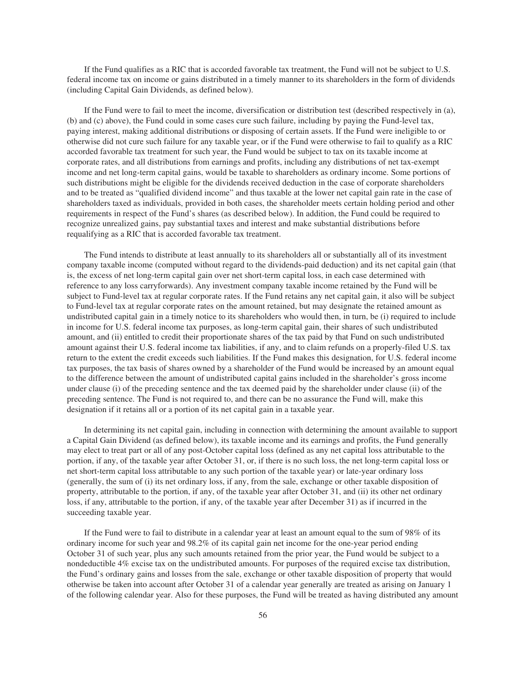If the Fund qualifies as a RIC that is accorded favorable tax treatment, the Fund will not be subject to U.S. federal income tax on income or gains distributed in a timely manner to its shareholders in the form of dividends (including Capital Gain Dividends, as defined below).

If the Fund were to fail to meet the income, diversification or distribution test (described respectively in (a), (b) and (c) above), the Fund could in some cases cure such failure, including by paying the Fund-level tax, paying interest, making additional distributions or disposing of certain assets. If the Fund were ineligible to or otherwise did not cure such failure for any taxable year, or if the Fund were otherwise to fail to qualify as a RIC accorded favorable tax treatment for such year, the Fund would be subject to tax on its taxable income at corporate rates, and all distributions from earnings and profits, including any distributions of net tax-exempt income and net long-term capital gains, would be taxable to shareholders as ordinary income. Some portions of such distributions might be eligible for the dividends received deduction in the case of corporate shareholders and to be treated as "qualified dividend income" and thus taxable at the lower net capital gain rate in the case of shareholders taxed as individuals, provided in both cases, the shareholder meets certain holding period and other requirements in respect of the Fund's shares (as described below). In addition, the Fund could be required to recognize unrealized gains, pay substantial taxes and interest and make substantial distributions before requalifying as a RIC that is accorded favorable tax treatment.

The Fund intends to distribute at least annually to its shareholders all or substantially all of its investment company taxable income (computed without regard to the dividends-paid deduction) and its net capital gain (that is, the excess of net long-term capital gain over net short-term capital loss, in each case determined with reference to any loss carryforwards). Any investment company taxable income retained by the Fund will be subject to Fund-level tax at regular corporate rates. If the Fund retains any net capital gain, it also will be subject to Fund-level tax at regular corporate rates on the amount retained, but may designate the retained amount as undistributed capital gain in a timely notice to its shareholders who would then, in turn, be (i) required to include in income for U.S. federal income tax purposes, as long-term capital gain, their shares of such undistributed amount, and (ii) entitled to credit their proportionate shares of the tax paid by that Fund on such undistributed amount against their U.S. federal income tax liabilities, if any, and to claim refunds on a properly-filed U.S. tax return to the extent the credit exceeds such liabilities. If the Fund makes this designation, for U.S. federal income tax purposes, the tax basis of shares owned by a shareholder of the Fund would be increased by an amount equal to the difference between the amount of undistributed capital gains included in the shareholder's gross income under clause (i) of the preceding sentence and the tax deemed paid by the shareholder under clause (ii) of the preceding sentence. The Fund is not required to, and there can be no assurance the Fund will, make this designation if it retains all or a portion of its net capital gain in a taxable year.

In determining its net capital gain, including in connection with determining the amount available to support a Capital Gain Dividend (as defined below), its taxable income and its earnings and profits, the Fund generally may elect to treat part or all of any post-October capital loss (defined as any net capital loss attributable to the portion, if any, of the taxable year after October 31, or, if there is no such loss, the net long-term capital loss or net short-term capital loss attributable to any such portion of the taxable year) or late-year ordinary loss (generally, the sum of (i) its net ordinary loss, if any, from the sale, exchange or other taxable disposition of property, attributable to the portion, if any, of the taxable year after October 31, and (ii) its other net ordinary loss, if any, attributable to the portion, if any, of the taxable year after December 31) as if incurred in the succeeding taxable year.

If the Fund were to fail to distribute in a calendar year at least an amount equal to the sum of 98% of its ordinary income for such year and 98.2% of its capital gain net income for the one-year period ending October 31 of such year, plus any such amounts retained from the prior year, the Fund would be subject to a nondeductible 4% excise tax on the undistributed amounts. For purposes of the required excise tax distribution, the Fund's ordinary gains and losses from the sale, exchange or other taxable disposition of property that would otherwise be taken into account after October 31 of a calendar year generally are treated as arising on January 1 of the following calendar year. Also for these purposes, the Fund will be treated as having distributed any amount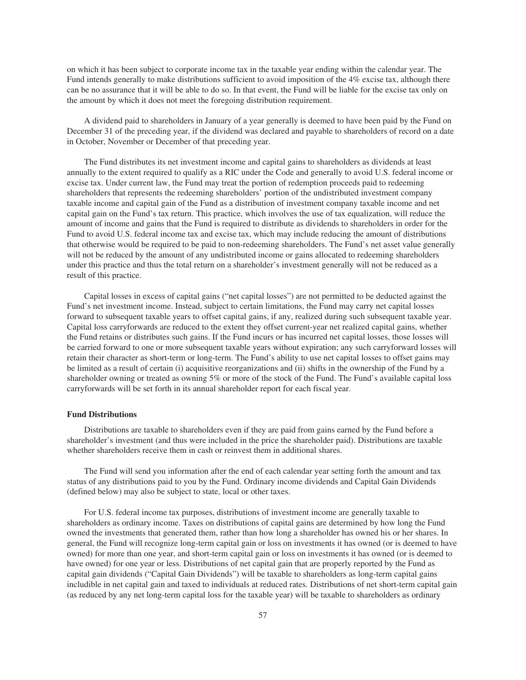on which it has been subject to corporate income tax in the taxable year ending within the calendar year. The Fund intends generally to make distributions sufficient to avoid imposition of the 4% excise tax, although there can be no assurance that it will be able to do so. In that event, the Fund will be liable for the excise tax only on the amount by which it does not meet the foregoing distribution requirement.

A dividend paid to shareholders in January of a year generally is deemed to have been paid by the Fund on December 31 of the preceding year, if the dividend was declared and payable to shareholders of record on a date in October, November or December of that preceding year.

The Fund distributes its net investment income and capital gains to shareholders as dividends at least annually to the extent required to qualify as a RIC under the Code and generally to avoid U.S. federal income or excise tax. Under current law, the Fund may treat the portion of redemption proceeds paid to redeeming shareholders that represents the redeeming shareholders' portion of the undistributed investment company taxable income and capital gain of the Fund as a distribution of investment company taxable income and net capital gain on the Fund's tax return. This practice, which involves the use of tax equalization, will reduce the amount of income and gains that the Fund is required to distribute as dividends to shareholders in order for the Fund to avoid U.S. federal income tax and excise tax, which may include reducing the amount of distributions that otherwise would be required to be paid to non-redeeming shareholders. The Fund's net asset value generally will not be reduced by the amount of any undistributed income or gains allocated to redeeming shareholders under this practice and thus the total return on a shareholder's investment generally will not be reduced as a result of this practice.

Capital losses in excess of capital gains ("net capital losses") are not permitted to be deducted against the Fund's net investment income. Instead, subject to certain limitations, the Fund may carry net capital losses forward to subsequent taxable years to offset capital gains, if any, realized during such subsequent taxable year. Capital loss carryforwards are reduced to the extent they offset current-year net realized capital gains, whether the Fund retains or distributes such gains. If the Fund incurs or has incurred net capital losses, those losses will be carried forward to one or more subsequent taxable years without expiration; any such carryforward losses will retain their character as short-term or long-term. The Fund's ability to use net capital losses to offset gains may be limited as a result of certain (i) acquisitive reorganizations and (ii) shifts in the ownership of the Fund by a shareholder owning or treated as owning 5% or more of the stock of the Fund. The Fund's available capital loss carryforwards will be set forth in its annual shareholder report for each fiscal year.

#### **Fund Distributions**

Distributions are taxable to shareholders even if they are paid from gains earned by the Fund before a shareholder's investment (and thus were included in the price the shareholder paid). Distributions are taxable whether shareholders receive them in cash or reinvest them in additional shares.

The Fund will send you information after the end of each calendar year setting forth the amount and tax status of any distributions paid to you by the Fund. Ordinary income dividends and Capital Gain Dividends (defined below) may also be subject to state, local or other taxes.

For U.S. federal income tax purposes, distributions of investment income are generally taxable to shareholders as ordinary income. Taxes on distributions of capital gains are determined by how long the Fund owned the investments that generated them, rather than how long a shareholder has owned his or her shares. In general, the Fund will recognize long-term capital gain or loss on investments it has owned (or is deemed to have owned) for more than one year, and short-term capital gain or loss on investments it has owned (or is deemed to have owned) for one year or less. Distributions of net capital gain that are properly reported by the Fund as capital gain dividends ("Capital Gain Dividends") will be taxable to shareholders as long-term capital gains includible in net capital gain and taxed to individuals at reduced rates. Distributions of net short-term capital gain (as reduced by any net long-term capital loss for the taxable year) will be taxable to shareholders as ordinary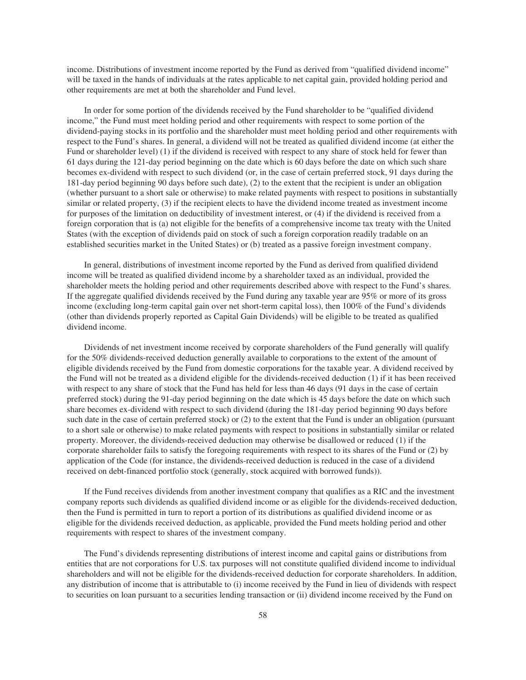income. Distributions of investment income reported by the Fund as derived from "qualified dividend income" will be taxed in the hands of individuals at the rates applicable to net capital gain, provided holding period and other requirements are met at both the shareholder and Fund level.

In order for some portion of the dividends received by the Fund shareholder to be "qualified dividend income," the Fund must meet holding period and other requirements with respect to some portion of the dividend-paying stocks in its portfolio and the shareholder must meet holding period and other requirements with respect to the Fund's shares. In general, a dividend will not be treated as qualified dividend income (at either the Fund or shareholder level) (1) if the dividend is received with respect to any share of stock held for fewer than 61 days during the 121-day period beginning on the date which is 60 days before the date on which such share becomes ex-dividend with respect to such dividend (or, in the case of certain preferred stock, 91 days during the 181-day period beginning 90 days before such date), (2) to the extent that the recipient is under an obligation (whether pursuant to a short sale or otherwise) to make related payments with respect to positions in substantially similar or related property, (3) if the recipient elects to have the dividend income treated as investment income for purposes of the limitation on deductibility of investment interest, or (4) if the dividend is received from a foreign corporation that is (a) not eligible for the benefits of a comprehensive income tax treaty with the United States (with the exception of dividends paid on stock of such a foreign corporation readily tradable on an established securities market in the United States) or (b) treated as a passive foreign investment company.

In general, distributions of investment income reported by the Fund as derived from qualified dividend income will be treated as qualified dividend income by a shareholder taxed as an individual, provided the shareholder meets the holding period and other requirements described above with respect to the Fund's shares. If the aggregate qualified dividends received by the Fund during any taxable year are 95% or more of its gross income (excluding long-term capital gain over net short-term capital loss), then 100% of the Fund's dividends (other than dividends properly reported as Capital Gain Dividends) will be eligible to be treated as qualified dividend income.

Dividends of net investment income received by corporate shareholders of the Fund generally will qualify for the 50% dividends-received deduction generally available to corporations to the extent of the amount of eligible dividends received by the Fund from domestic corporations for the taxable year. A dividend received by the Fund will not be treated as a dividend eligible for the dividends-received deduction (1) if it has been received with respect to any share of stock that the Fund has held for less than 46 days (91 days in the case of certain preferred stock) during the 91-day period beginning on the date which is 45 days before the date on which such share becomes ex-dividend with respect to such dividend (during the 181-day period beginning 90 days before such date in the case of certain preferred stock) or (2) to the extent that the Fund is under an obligation (pursuant to a short sale or otherwise) to make related payments with respect to positions in substantially similar or related property. Moreover, the dividends-received deduction may otherwise be disallowed or reduced (1) if the corporate shareholder fails to satisfy the foregoing requirements with respect to its shares of the Fund or (2) by application of the Code (for instance, the dividends-received deduction is reduced in the case of a dividend received on debt-financed portfolio stock (generally, stock acquired with borrowed funds)).

If the Fund receives dividends from another investment company that qualifies as a RIC and the investment company reports such dividends as qualified dividend income or as eligible for the dividends-received deduction, then the Fund is permitted in turn to report a portion of its distributions as qualified dividend income or as eligible for the dividends received deduction, as applicable, provided the Fund meets holding period and other requirements with respect to shares of the investment company.

The Fund's dividends representing distributions of interest income and capital gains or distributions from entities that are not corporations for U.S. tax purposes will not constitute qualified dividend income to individual shareholders and will not be eligible for the dividends-received deduction for corporate shareholders. In addition, any distribution of income that is attributable to (i) income received by the Fund in lieu of dividends with respect to securities on loan pursuant to a securities lending transaction or (ii) dividend income received by the Fund on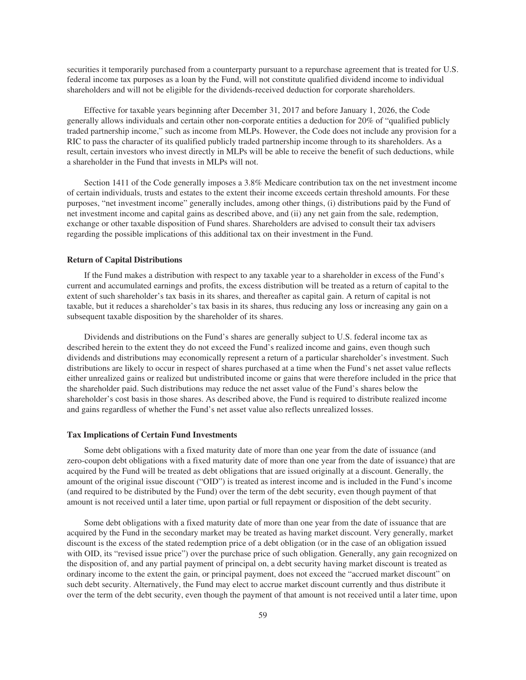securities it temporarily purchased from a counterparty pursuant to a repurchase agreement that is treated for U.S. federal income tax purposes as a loan by the Fund, will not constitute qualified dividend income to individual shareholders and will not be eligible for the dividends-received deduction for corporate shareholders.

Effective for taxable years beginning after December 31, 2017 and before January 1, 2026, the Code generally allows individuals and certain other non-corporate entities a deduction for 20% of "qualified publicly traded partnership income," such as income from MLPs. However, the Code does not include any provision for a RIC to pass the character of its qualified publicly traded partnership income through to its shareholders. As a result, certain investors who invest directly in MLPs will be able to receive the benefit of such deductions, while a shareholder in the Fund that invests in MLPs will not.

Section 1411 of the Code generally imposes a 3.8% Medicare contribution tax on the net investment income of certain individuals, trusts and estates to the extent their income exceeds certain threshold amounts. For these purposes, "net investment income" generally includes, among other things, (i) distributions paid by the Fund of net investment income and capital gains as described above, and (ii) any net gain from the sale, redemption, exchange or other taxable disposition of Fund shares. Shareholders are advised to consult their tax advisers regarding the possible implications of this additional tax on their investment in the Fund.

#### **Return of Capital Distributions**

If the Fund makes a distribution with respect to any taxable year to a shareholder in excess of the Fund's current and accumulated earnings and profits, the excess distribution will be treated as a return of capital to the extent of such shareholder's tax basis in its shares, and thereafter as capital gain. A return of capital is not taxable, but it reduces a shareholder's tax basis in its shares, thus reducing any loss or increasing any gain on a subsequent taxable disposition by the shareholder of its shares.

Dividends and distributions on the Fund's shares are generally subject to U.S. federal income tax as described herein to the extent they do not exceed the Fund's realized income and gains, even though such dividends and distributions may economically represent a return of a particular shareholder's investment. Such distributions are likely to occur in respect of shares purchased at a time when the Fund's net asset value reflects either unrealized gains or realized but undistributed income or gains that were therefore included in the price that the shareholder paid. Such distributions may reduce the net asset value of the Fund's shares below the shareholder's cost basis in those shares. As described above, the Fund is required to distribute realized income and gains regardless of whether the Fund's net asset value also reflects unrealized losses.

#### **Tax Implications of Certain Fund Investments**

Some debt obligations with a fixed maturity date of more than one year from the date of issuance (and zero-coupon debt obligations with a fixed maturity date of more than one year from the date of issuance) that are acquired by the Fund will be treated as debt obligations that are issued originally at a discount. Generally, the amount of the original issue discount ("OID") is treated as interest income and is included in the Fund's income (and required to be distributed by the Fund) over the term of the debt security, even though payment of that amount is not received until a later time, upon partial or full repayment or disposition of the debt security.

Some debt obligations with a fixed maturity date of more than one year from the date of issuance that are acquired by the Fund in the secondary market may be treated as having market discount. Very generally, market discount is the excess of the stated redemption price of a debt obligation (or in the case of an obligation issued with OID, its "revised issue price") over the purchase price of such obligation. Generally, any gain recognized on the disposition of, and any partial payment of principal on, a debt security having market discount is treated as ordinary income to the extent the gain, or principal payment, does not exceed the "accrued market discount" on such debt security. Alternatively, the Fund may elect to accrue market discount currently and thus distribute it over the term of the debt security, even though the payment of that amount is not received until a later time, upon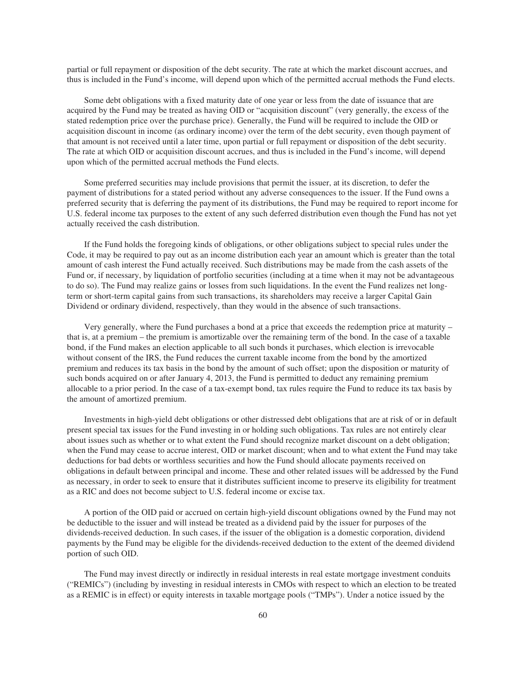partial or full repayment or disposition of the debt security. The rate at which the market discount accrues, and thus is included in the Fund's income, will depend upon which of the permitted accrual methods the Fund elects.

Some debt obligations with a fixed maturity date of one year or less from the date of issuance that are acquired by the Fund may be treated as having OID or "acquisition discount" (very generally, the excess of the stated redemption price over the purchase price). Generally, the Fund will be required to include the OID or acquisition discount in income (as ordinary income) over the term of the debt security, even though payment of that amount is not received until a later time, upon partial or full repayment or disposition of the debt security. The rate at which OID or acquisition discount accrues, and thus is included in the Fund's income, will depend upon which of the permitted accrual methods the Fund elects.

Some preferred securities may include provisions that permit the issuer, at its discretion, to defer the payment of distributions for a stated period without any adverse consequences to the issuer. If the Fund owns a preferred security that is deferring the payment of its distributions, the Fund may be required to report income for U.S. federal income tax purposes to the extent of any such deferred distribution even though the Fund has not yet actually received the cash distribution.

If the Fund holds the foregoing kinds of obligations, or other obligations subject to special rules under the Code, it may be required to pay out as an income distribution each year an amount which is greater than the total amount of cash interest the Fund actually received. Such distributions may be made from the cash assets of the Fund or, if necessary, by liquidation of portfolio securities (including at a time when it may not be advantageous to do so). The Fund may realize gains or losses from such liquidations. In the event the Fund realizes net longterm or short-term capital gains from such transactions, its shareholders may receive a larger Capital Gain Dividend or ordinary dividend, respectively, than they would in the absence of such transactions.

Very generally, where the Fund purchases a bond at a price that exceeds the redemption price at maturity – that is, at a premium – the premium is amortizable over the remaining term of the bond. In the case of a taxable bond, if the Fund makes an election applicable to all such bonds it purchases, which election is irrevocable without consent of the IRS, the Fund reduces the current taxable income from the bond by the amortized premium and reduces its tax basis in the bond by the amount of such offset; upon the disposition or maturity of such bonds acquired on or after January 4, 2013, the Fund is permitted to deduct any remaining premium allocable to a prior period. In the case of a tax-exempt bond, tax rules require the Fund to reduce its tax basis by the amount of amortized premium.

Investments in high-yield debt obligations or other distressed debt obligations that are at risk of or in default present special tax issues for the Fund investing in or holding such obligations. Tax rules are not entirely clear about issues such as whether or to what extent the Fund should recognize market discount on a debt obligation; when the Fund may cease to accrue interest, OID or market discount; when and to what extent the Fund may take deductions for bad debts or worthless securities and how the Fund should allocate payments received on obligations in default between principal and income. These and other related issues will be addressed by the Fund as necessary, in order to seek to ensure that it distributes sufficient income to preserve its eligibility for treatment as a RIC and does not become subject to U.S. federal income or excise tax.

A portion of the OID paid or accrued on certain high-yield discount obligations owned by the Fund may not be deductible to the issuer and will instead be treated as a dividend paid by the issuer for purposes of the dividends-received deduction. In such cases, if the issuer of the obligation is a domestic corporation, dividend payments by the Fund may be eligible for the dividends-received deduction to the extent of the deemed dividend portion of such OID.

The Fund may invest directly or indirectly in residual interests in real estate mortgage investment conduits ("REMICs") (including by investing in residual interests in CMOs with respect to which an election to be treated as a REMIC is in effect) or equity interests in taxable mortgage pools ("TMPs"). Under a notice issued by the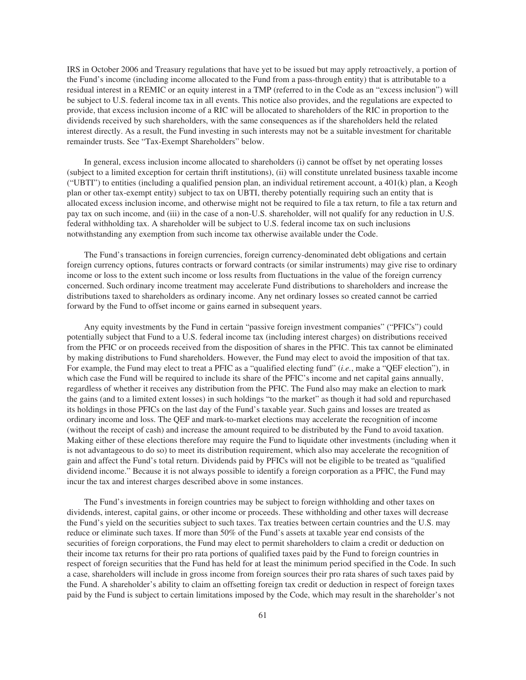IRS in October 2006 and Treasury regulations that have yet to be issued but may apply retroactively, a portion of the Fund's income (including income allocated to the Fund from a pass-through entity) that is attributable to a residual interest in a REMIC or an equity interest in a TMP (referred to in the Code as an "excess inclusion") will be subject to U.S. federal income tax in all events. This notice also provides, and the regulations are expected to provide, that excess inclusion income of a RIC will be allocated to shareholders of the RIC in proportion to the dividends received by such shareholders, with the same consequences as if the shareholders held the related interest directly. As a result, the Fund investing in such interests may not be a suitable investment for charitable remainder trusts. See "Tax-Exempt Shareholders" below.

In general, excess inclusion income allocated to shareholders (i) cannot be offset by net operating losses (subject to a limited exception for certain thrift institutions), (ii) will constitute unrelated business taxable income ("UBTI") to entities (including a qualified pension plan, an individual retirement account, a 401(k) plan, a Keogh plan or other tax-exempt entity) subject to tax on UBTI, thereby potentially requiring such an entity that is allocated excess inclusion income, and otherwise might not be required to file a tax return, to file a tax return and pay tax on such income, and (iii) in the case of a non-U.S. shareholder, will not qualify for any reduction in U.S. federal withholding tax. A shareholder will be subject to U.S. federal income tax on such inclusions notwithstanding any exemption from such income tax otherwise available under the Code.

The Fund's transactions in foreign currencies, foreign currency-denominated debt obligations and certain foreign currency options, futures contracts or forward contracts (or similar instruments) may give rise to ordinary income or loss to the extent such income or loss results from fluctuations in the value of the foreign currency concerned. Such ordinary income treatment may accelerate Fund distributions to shareholders and increase the distributions taxed to shareholders as ordinary income. Any net ordinary losses so created cannot be carried forward by the Fund to offset income or gains earned in subsequent years.

Any equity investments by the Fund in certain "passive foreign investment companies" ("PFICs") could potentially subject that Fund to a U.S. federal income tax (including interest charges) on distributions received from the PFIC or on proceeds received from the disposition of shares in the PFIC. This tax cannot be eliminated by making distributions to Fund shareholders. However, the Fund may elect to avoid the imposition of that tax. For example, the Fund may elect to treat a PFIC as a "qualified electing fund" (*i.e.*, make a "QEF election"), in which case the Fund will be required to include its share of the PFIC's income and net capital gains annually, regardless of whether it receives any distribution from the PFIC. The Fund also may make an election to mark the gains (and to a limited extent losses) in such holdings "to the market" as though it had sold and repurchased its holdings in those PFICs on the last day of the Fund's taxable year. Such gains and losses are treated as ordinary income and loss. The QEF and mark-to-market elections may accelerate the recognition of income (without the receipt of cash) and increase the amount required to be distributed by the Fund to avoid taxation. Making either of these elections therefore may require the Fund to liquidate other investments (including when it is not advantageous to do so) to meet its distribution requirement, which also may accelerate the recognition of gain and affect the Fund's total return. Dividends paid by PFICs will not be eligible to be treated as "qualified dividend income." Because it is not always possible to identify a foreign corporation as a PFIC, the Fund may incur the tax and interest charges described above in some instances.

The Fund's investments in foreign countries may be subject to foreign withholding and other taxes on dividends, interest, capital gains, or other income or proceeds. These withholding and other taxes will decrease the Fund's yield on the securities subject to such taxes. Tax treaties between certain countries and the U.S. may reduce or eliminate such taxes. If more than 50% of the Fund's assets at taxable year end consists of the securities of foreign corporations, the Fund may elect to permit shareholders to claim a credit or deduction on their income tax returns for their pro rata portions of qualified taxes paid by the Fund to foreign countries in respect of foreign securities that the Fund has held for at least the minimum period specified in the Code. In such a case, shareholders will include in gross income from foreign sources their pro rata shares of such taxes paid by the Fund. A shareholder's ability to claim an offsetting foreign tax credit or deduction in respect of foreign taxes paid by the Fund is subject to certain limitations imposed by the Code, which may result in the shareholder's not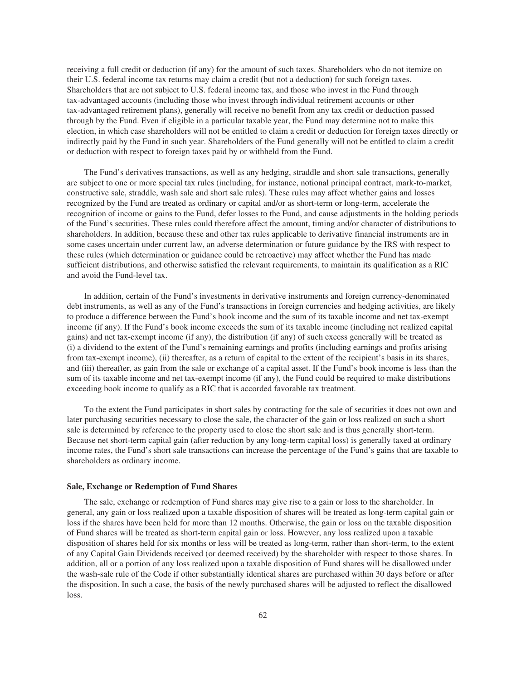receiving a full credit or deduction (if any) for the amount of such taxes. Shareholders who do not itemize on their U.S. federal income tax returns may claim a credit (but not a deduction) for such foreign taxes. Shareholders that are not subject to U.S. federal income tax, and those who invest in the Fund through tax-advantaged accounts (including those who invest through individual retirement accounts or other tax-advantaged retirement plans), generally will receive no benefit from any tax credit or deduction passed through by the Fund. Even if eligible in a particular taxable year, the Fund may determine not to make this election, in which case shareholders will not be entitled to claim a credit or deduction for foreign taxes directly or indirectly paid by the Fund in such year. Shareholders of the Fund generally will not be entitled to claim a credit or deduction with respect to foreign taxes paid by or withheld from the Fund.

The Fund's derivatives transactions, as well as any hedging, straddle and short sale transactions, generally are subject to one or more special tax rules (including, for instance, notional principal contract, mark-to-market, constructive sale, straddle, wash sale and short sale rules). These rules may affect whether gains and losses recognized by the Fund are treated as ordinary or capital and/or as short-term or long-term, accelerate the recognition of income or gains to the Fund, defer losses to the Fund, and cause adjustments in the holding periods of the Fund's securities. These rules could therefore affect the amount, timing and/or character of distributions to shareholders. In addition, because these and other tax rules applicable to derivative financial instruments are in some cases uncertain under current law, an adverse determination or future guidance by the IRS with respect to these rules (which determination or guidance could be retroactive) may affect whether the Fund has made sufficient distributions, and otherwise satisfied the relevant requirements, to maintain its qualification as a RIC and avoid the Fund-level tax.

In addition, certain of the Fund's investments in derivative instruments and foreign currency-denominated debt instruments, as well as any of the Fund's transactions in foreign currencies and hedging activities, are likely to produce a difference between the Fund's book income and the sum of its taxable income and net tax-exempt income (if any). If the Fund's book income exceeds the sum of its taxable income (including net realized capital gains) and net tax-exempt income (if any), the distribution (if any) of such excess generally will be treated as (i) a dividend to the extent of the Fund's remaining earnings and profits (including earnings and profits arising from tax-exempt income), (ii) thereafter, as a return of capital to the extent of the recipient's basis in its shares, and (iii) thereafter, as gain from the sale or exchange of a capital asset. If the Fund's book income is less than the sum of its taxable income and net tax-exempt income (if any), the Fund could be required to make distributions exceeding book income to qualify as a RIC that is accorded favorable tax treatment.

To the extent the Fund participates in short sales by contracting for the sale of securities it does not own and later purchasing securities necessary to close the sale, the character of the gain or loss realized on such a short sale is determined by reference to the property used to close the short sale and is thus generally short-term. Because net short-term capital gain (after reduction by any long-term capital loss) is generally taxed at ordinary income rates, the Fund's short sale transactions can increase the percentage of the Fund's gains that are taxable to shareholders as ordinary income.

#### **Sale, Exchange or Redemption of Fund Shares**

The sale, exchange or redemption of Fund shares may give rise to a gain or loss to the shareholder. In general, any gain or loss realized upon a taxable disposition of shares will be treated as long-term capital gain or loss if the shares have been held for more than 12 months. Otherwise, the gain or loss on the taxable disposition of Fund shares will be treated as short-term capital gain or loss. However, any loss realized upon a taxable disposition of shares held for six months or less will be treated as long-term, rather than short-term, to the extent of any Capital Gain Dividends received (or deemed received) by the shareholder with respect to those shares. In addition, all or a portion of any loss realized upon a taxable disposition of Fund shares will be disallowed under the wash-sale rule of the Code if other substantially identical shares are purchased within 30 days before or after the disposition. In such a case, the basis of the newly purchased shares will be adjusted to reflect the disallowed loss.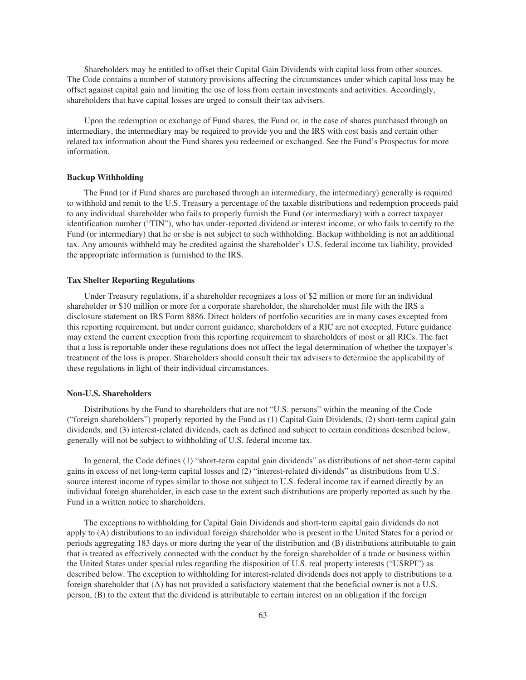Shareholders may be entitled to offset their Capital Gain Dividends with capital loss from other sources. The Code contains a number of statutory provisions affecting the circumstances under which capital loss may be offset against capital gain and limiting the use of loss from certain investments and activities. Accordingly, shareholders that have capital losses are urged to consult their tax advisers.

Upon the redemption or exchange of Fund shares, the Fund or, in the case of shares purchased through an intermediary, the intermediary may be required to provide you and the IRS with cost basis and certain other related tax information about the Fund shares you redeemed or exchanged. See the Fund's Prospectus for more information.

#### **Backup Withholding**

The Fund (or if Fund shares are purchased through an intermediary, the intermediary) generally is required to withhold and remit to the U.S. Treasury a percentage of the taxable distributions and redemption proceeds paid to any individual shareholder who fails to properly furnish the Fund (or intermediary) with a correct taxpayer identification number ("TIN"), who has under-reported dividend or interest income, or who fails to certify to the Fund (or intermediary) that he or she is not subject to such withholding. Backup withholding is not an additional tax. Any amounts withheld may be credited against the shareholder's U.S. federal income tax liability, provided the appropriate information is furnished to the IRS.

#### **Tax Shelter Reporting Regulations**

Under Treasury regulations, if a shareholder recognizes a loss of \$2 million or more for an individual shareholder or \$10 million or more for a corporate shareholder, the shareholder must file with the IRS a disclosure statement on IRS Form 8886. Direct holders of portfolio securities are in many cases excepted from this reporting requirement, but under current guidance, shareholders of a RIC are not excepted. Future guidance may extend the current exception from this reporting requirement to shareholders of most or all RICs. The fact that a loss is reportable under these regulations does not affect the legal determination of whether the taxpayer's treatment of the loss is proper. Shareholders should consult their tax advisers to determine the applicability of these regulations in light of their individual circumstances.

#### **Non-U.S. Shareholders**

Distributions by the Fund to shareholders that are not "U.S. persons" within the meaning of the Code ("foreign shareholders") properly reported by the Fund as (1) Capital Gain Dividends, (2) short-term capital gain dividends, and (3) interest-related dividends, each as defined and subject to certain conditions described below, generally will not be subject to withholding of U.S. federal income tax.

In general, the Code defines (1) "short-term capital gain dividends" as distributions of net short-term capital gains in excess of net long-term capital losses and (2) "interest-related dividends" as distributions from U.S. source interest income of types similar to those not subject to U.S. federal income tax if earned directly by an individual foreign shareholder, in each case to the extent such distributions are properly reported as such by the Fund in a written notice to shareholders.

The exceptions to withholding for Capital Gain Dividends and short-term capital gain dividends do not apply to (A) distributions to an individual foreign shareholder who is present in the United States for a period or periods aggregating 183 days or more during the year of the distribution and (B) distributions attributable to gain that is treated as effectively connected with the conduct by the foreign shareholder of a trade or business within the United States under special rules regarding the disposition of U.S. real property interests ("USRPI") as described below. The exception to withholding for interest-related dividends does not apply to distributions to a foreign shareholder that (A) has not provided a satisfactory statement that the beneficial owner is not a U.S. person, (B) to the extent that the dividend is attributable to certain interest on an obligation if the foreign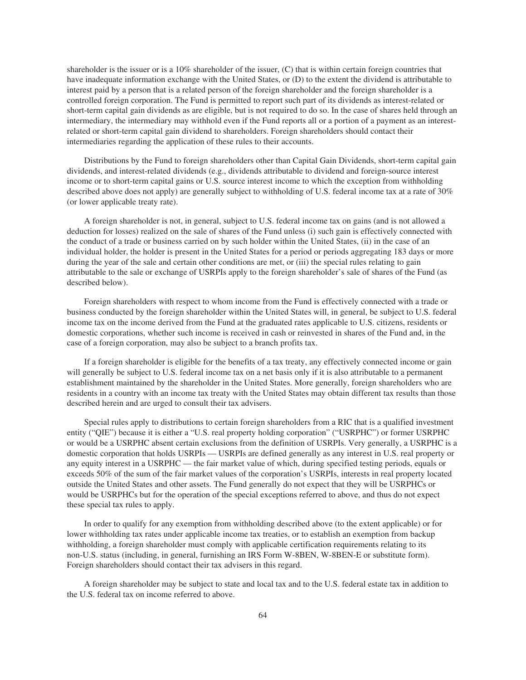shareholder is the issuer or is a 10% shareholder of the issuer, (C) that is within certain foreign countries that have inadequate information exchange with the United States, or (D) to the extent the dividend is attributable to interest paid by a person that is a related person of the foreign shareholder and the foreign shareholder is a controlled foreign corporation. The Fund is permitted to report such part of its dividends as interest-related or short-term capital gain dividends as are eligible, but is not required to do so. In the case of shares held through an intermediary, the intermediary may withhold even if the Fund reports all or a portion of a payment as an interestrelated or short-term capital gain dividend to shareholders. Foreign shareholders should contact their intermediaries regarding the application of these rules to their accounts.

Distributions by the Fund to foreign shareholders other than Capital Gain Dividends, short-term capital gain dividends, and interest-related dividends (e.g., dividends attributable to dividend and foreign-source interest income or to short-term capital gains or U.S. source interest income to which the exception from withholding described above does not apply) are generally subject to withholding of U.S. federal income tax at a rate of 30% (or lower applicable treaty rate).

A foreign shareholder is not, in general, subject to U.S. federal income tax on gains (and is not allowed a deduction for losses) realized on the sale of shares of the Fund unless (i) such gain is effectively connected with the conduct of a trade or business carried on by such holder within the United States, (ii) in the case of an individual holder, the holder is present in the United States for a period or periods aggregating 183 days or more during the year of the sale and certain other conditions are met, or (iii) the special rules relating to gain attributable to the sale or exchange of USRPIs apply to the foreign shareholder's sale of shares of the Fund (as described below).

Foreign shareholders with respect to whom income from the Fund is effectively connected with a trade or business conducted by the foreign shareholder within the United States will, in general, be subject to U.S. federal income tax on the income derived from the Fund at the graduated rates applicable to U.S. citizens, residents or domestic corporations, whether such income is received in cash or reinvested in shares of the Fund and, in the case of a foreign corporation, may also be subject to a branch profits tax.

If a foreign shareholder is eligible for the benefits of a tax treaty, any effectively connected income or gain will generally be subject to U.S. federal income tax on a net basis only if it is also attributable to a permanent establishment maintained by the shareholder in the United States. More generally, foreign shareholders who are residents in a country with an income tax treaty with the United States may obtain different tax results than those described herein and are urged to consult their tax advisers.

Special rules apply to distributions to certain foreign shareholders from a RIC that is a qualified investment entity ("QIE") because it is either a "U.S. real property holding corporation" ("USRPHC") or former USRPHC or would be a USRPHC absent certain exclusions from the definition of USRPIs. Very generally, a USRPHC is a domestic corporation that holds USRPIs — USRPIs are defined generally as any interest in U.S. real property or any equity interest in a USRPHC — the fair market value of which, during specified testing periods, equals or exceeds 50% of the sum of the fair market values of the corporation's USRPIs, interests in real property located outside the United States and other assets. The Fund generally do not expect that they will be USRPHCs or would be USRPHCs but for the operation of the special exceptions referred to above, and thus do not expect these special tax rules to apply.

In order to qualify for any exemption from withholding described above (to the extent applicable) or for lower withholding tax rates under applicable income tax treaties, or to establish an exemption from backup withholding, a foreign shareholder must comply with applicable certification requirements relating to its non-U.S. status (including, in general, furnishing an IRS Form W-8BEN, W-8BEN-E or substitute form). Foreign shareholders should contact their tax advisers in this regard.

A foreign shareholder may be subject to state and local tax and to the U.S. federal estate tax in addition to the U.S. federal tax on income referred to above.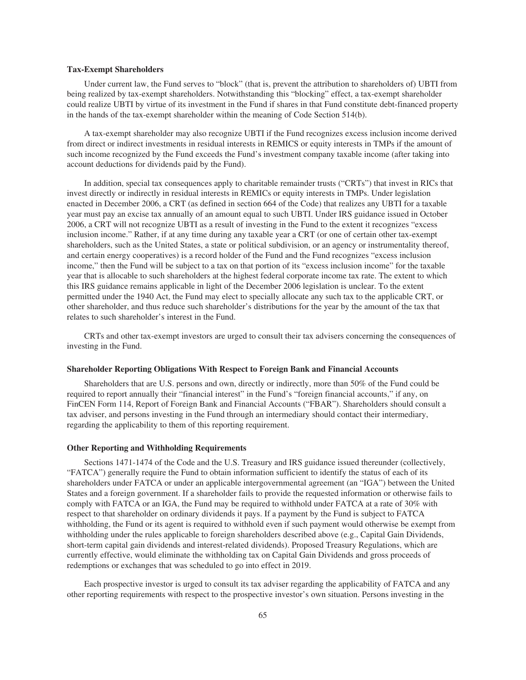#### **Tax-Exempt Shareholders**

Under current law, the Fund serves to "block" (that is, prevent the attribution to shareholders of) UBTI from being realized by tax-exempt shareholders. Notwithstanding this "blocking" effect, a tax-exempt shareholder could realize UBTI by virtue of its investment in the Fund if shares in that Fund constitute debt-financed property in the hands of the tax-exempt shareholder within the meaning of Code Section 514(b).

A tax-exempt shareholder may also recognize UBTI if the Fund recognizes excess inclusion income derived from direct or indirect investments in residual interests in REMICS or equity interests in TMPs if the amount of such income recognized by the Fund exceeds the Fund's investment company taxable income (after taking into account deductions for dividends paid by the Fund).

In addition, special tax consequences apply to charitable remainder trusts ("CRTs") that invest in RICs that invest directly or indirectly in residual interests in REMICs or equity interests in TMPs. Under legislation enacted in December 2006, a CRT (as defined in section 664 of the Code) that realizes any UBTI for a taxable year must pay an excise tax annually of an amount equal to such UBTI. Under IRS guidance issued in October 2006, a CRT will not recognize UBTI as a result of investing in the Fund to the extent it recognizes "excess inclusion income." Rather, if at any time during any taxable year a CRT (or one of certain other tax-exempt shareholders, such as the United States, a state or political subdivision, or an agency or instrumentality thereof, and certain energy cooperatives) is a record holder of the Fund and the Fund recognizes "excess inclusion income," then the Fund will be subject to a tax on that portion of its "excess inclusion income" for the taxable year that is allocable to such shareholders at the highest federal corporate income tax rate. The extent to which this IRS guidance remains applicable in light of the December 2006 legislation is unclear. To the extent permitted under the 1940 Act, the Fund may elect to specially allocate any such tax to the applicable CRT, or other shareholder, and thus reduce such shareholder's distributions for the year by the amount of the tax that relates to such shareholder's interest in the Fund.

CRTs and other tax-exempt investors are urged to consult their tax advisers concerning the consequences of investing in the Fund.

#### **Shareholder Reporting Obligations With Respect to Foreign Bank and Financial Accounts**

Shareholders that are U.S. persons and own, directly or indirectly, more than 50% of the Fund could be required to report annually their "financial interest" in the Fund's "foreign financial accounts," if any, on FinCEN Form 114, Report of Foreign Bank and Financial Accounts ("FBAR"). Shareholders should consult a tax adviser, and persons investing in the Fund through an intermediary should contact their intermediary, regarding the applicability to them of this reporting requirement.

#### **Other Reporting and Withholding Requirements**

Sections 1471-1474 of the Code and the U.S. Treasury and IRS guidance issued thereunder (collectively, "FATCA") generally require the Fund to obtain information sufficient to identify the status of each of its shareholders under FATCA or under an applicable intergovernmental agreement (an "IGA") between the United States and a foreign government. If a shareholder fails to provide the requested information or otherwise fails to comply with FATCA or an IGA, the Fund may be required to withhold under FATCA at a rate of 30% with respect to that shareholder on ordinary dividends it pays. If a payment by the Fund is subject to FATCA withholding, the Fund or its agent is required to withhold even if such payment would otherwise be exempt from withholding under the rules applicable to foreign shareholders described above (e.g., Capital Gain Dividends, short-term capital gain dividends and interest-related dividends). Proposed Treasury Regulations, which are currently effective, would eliminate the withholding tax on Capital Gain Dividends and gross proceeds of redemptions or exchanges that was scheduled to go into effect in 2019.

Each prospective investor is urged to consult its tax adviser regarding the applicability of FATCA and any other reporting requirements with respect to the prospective investor's own situation. Persons investing in the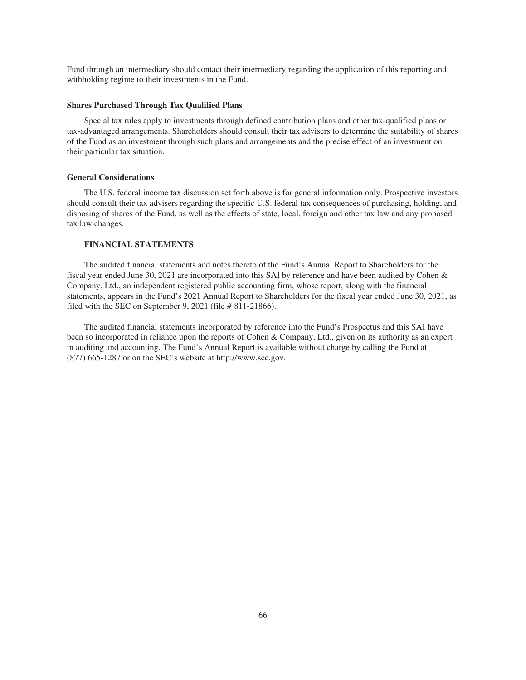Fund through an intermediary should contact their intermediary regarding the application of this reporting and withholding regime to their investments in the Fund.

#### **Shares Purchased Through Tax Qualified Plans**

Special tax rules apply to investments through defined contribution plans and other tax-qualified plans or tax-advantaged arrangements. Shareholders should consult their tax advisers to determine the suitability of shares of the Fund as an investment through such plans and arrangements and the precise effect of an investment on their particular tax situation.

#### **General Considerations**

The U.S. federal income tax discussion set forth above is for general information only. Prospective investors should consult their tax advisers regarding the specific U.S. federal tax consequences of purchasing, holding, and disposing of shares of the Fund, as well as the effects of state, local, foreign and other tax law and any proposed tax law changes.

#### **FINANCIAL STATEMENTS**

The audited financial statements and notes thereto of the Fund's Annual Report to Shareholders for the fiscal year ended June 30, 2021 are incorporated into this SAI by reference and have been audited by Cohen & Company, Ltd., an independent registered public accounting firm, whose report, along with the financial statements, appears in the Fund's 2021 Annual Report to Shareholders for the fiscal year ended June 30, 2021, as filed with the SEC on September 9, 2021 (file # 811-21866).

The audited financial statements incorporated by reference into the Fund's Prospectus and this SAI have been so incorporated in reliance upon the reports of Cohen & Company, Ltd., given on its authority as an expert in auditing and accounting. The Fund's Annual Report is available without charge by calling the Fund at (877) 665-1287 or on the SEC's website at http://www.sec.gov.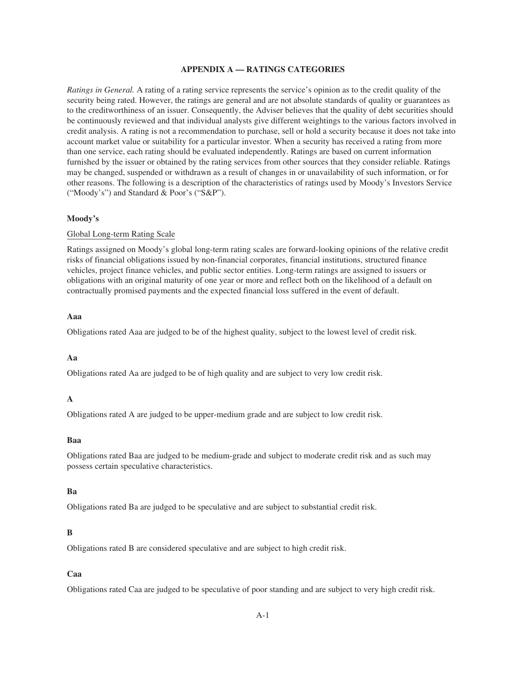## **APPENDIX A — RATINGS CATEGORIES**

*Ratings in General.* A rating of a rating service represents the service's opinion as to the credit quality of the security being rated. However, the ratings are general and are not absolute standards of quality or guarantees as to the creditworthiness of an issuer. Consequently, the Adviser believes that the quality of debt securities should be continuously reviewed and that individual analysts give different weightings to the various factors involved in credit analysis. A rating is not a recommendation to purchase, sell or hold a security because it does not take into account market value or suitability for a particular investor. When a security has received a rating from more than one service, each rating should be evaluated independently. Ratings are based on current information furnished by the issuer or obtained by the rating services from other sources that they consider reliable. Ratings may be changed, suspended or withdrawn as a result of changes in or unavailability of such information, or for other reasons. The following is a description of the characteristics of ratings used by Moody's Investors Service ("Moody's") and Standard & Poor's ("S&P").

#### **Moody's**

#### Global Long-term Rating Scale

Ratings assigned on Moody's global long-term rating scales are forward-looking opinions of the relative credit risks of financial obligations issued by non-financial corporates, financial institutions, structured finance vehicles, project finance vehicles, and public sector entities. Long-term ratings are assigned to issuers or obligations with an original maturity of one year or more and reflect both on the likelihood of a default on contractually promised payments and the expected financial loss suffered in the event of default.

#### **Aaa**

Obligations rated Aaa are judged to be of the highest quality, subject to the lowest level of credit risk.

#### **Aa**

Obligations rated Aa are judged to be of high quality and are subject to very low credit risk.

## **A**

Obligations rated A are judged to be upper-medium grade and are subject to low credit risk.

## **Baa**

Obligations rated Baa are judged to be medium-grade and subject to moderate credit risk and as such may possess certain speculative characteristics.

## **Ba**

Obligations rated Ba are judged to be speculative and are subject to substantial credit risk.

# **B**

Obligations rated B are considered speculative and are subject to high credit risk.

## **Caa**

Obligations rated Caa are judged to be speculative of poor standing and are subject to very high credit risk.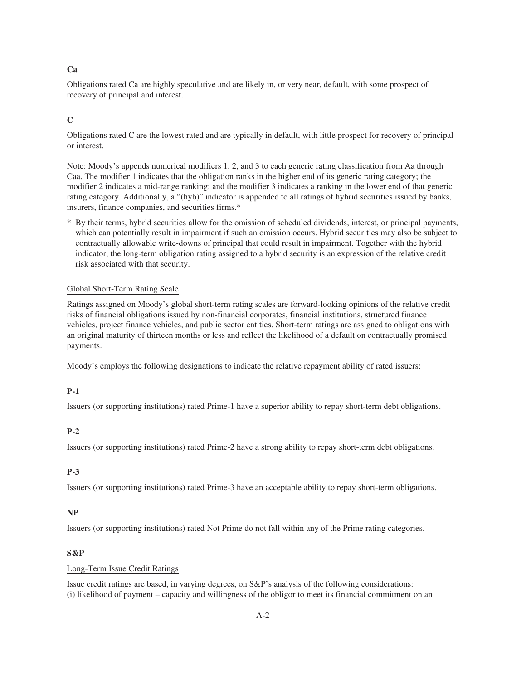# **Ca**

Obligations rated Ca are highly speculative and are likely in, or very near, default, with some prospect of recovery of principal and interest.

# **C**

Obligations rated C are the lowest rated and are typically in default, with little prospect for recovery of principal or interest.

Note: Moody's appends numerical modifiers 1, 2, and 3 to each generic rating classification from Aa through Caa. The modifier 1 indicates that the obligation ranks in the higher end of its generic rating category; the modifier 2 indicates a mid-range ranking; and the modifier 3 indicates a ranking in the lower end of that generic rating category. Additionally, a "(hyb)" indicator is appended to all ratings of hybrid securities issued by banks, insurers, finance companies, and securities firms.\*

\* By their terms, hybrid securities allow for the omission of scheduled dividends, interest, or principal payments, which can potentially result in impairment if such an omission occurs. Hybrid securities may also be subject to contractually allowable write-downs of principal that could result in impairment. Together with the hybrid indicator, the long-term obligation rating assigned to a hybrid security is an expression of the relative credit risk associated with that security.

## Global Short-Term Rating Scale

Ratings assigned on Moody's global short-term rating scales are forward-looking opinions of the relative credit risks of financial obligations issued by non-financial corporates, financial institutions, structured finance vehicles, project finance vehicles, and public sector entities. Short-term ratings are assigned to obligations with an original maturity of thirteen months or less and reflect the likelihood of a default on contractually promised payments.

Moody's employs the following designations to indicate the relative repayment ability of rated issuers:

## **P-1**

Issuers (or supporting institutions) rated Prime-1 have a superior ability to repay short-term debt obligations.

# **P-2**

Issuers (or supporting institutions) rated Prime-2 have a strong ability to repay short-term debt obligations.

# **P-3**

Issuers (or supporting institutions) rated Prime-3 have an acceptable ability to repay short-term obligations.

## **NP**

Issuers (or supporting institutions) rated Not Prime do not fall within any of the Prime rating categories.

## **S&P**

## Long-Term Issue Credit Ratings

Issue credit ratings are based, in varying degrees, on S&P's analysis of the following considerations: (i) likelihood of payment – capacity and willingness of the obligor to meet its financial commitment on an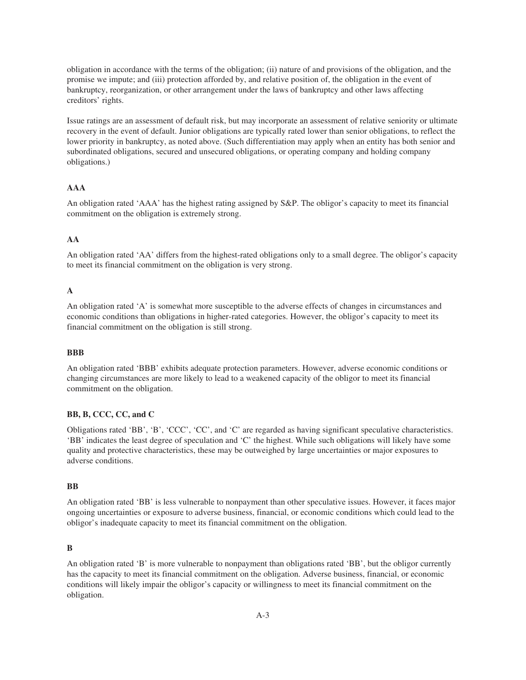obligation in accordance with the terms of the obligation; (ii) nature of and provisions of the obligation, and the promise we impute; and (iii) protection afforded by, and relative position of, the obligation in the event of bankruptcy, reorganization, or other arrangement under the laws of bankruptcy and other laws affecting creditors' rights.

Issue ratings are an assessment of default risk, but may incorporate an assessment of relative seniority or ultimate recovery in the event of default. Junior obligations are typically rated lower than senior obligations, to reflect the lower priority in bankruptcy, as noted above. (Such differentiation may apply when an entity has both senior and subordinated obligations, secured and unsecured obligations, or operating company and holding company obligations.)

## **AAA**

An obligation rated 'AAA' has the highest rating assigned by S&P. The obligor's capacity to meet its financial commitment on the obligation is extremely strong.

## **AA**

An obligation rated 'AA' differs from the highest-rated obligations only to a small degree. The obligor's capacity to meet its financial commitment on the obligation is very strong.

## **A**

An obligation rated 'A' is somewhat more susceptible to the adverse effects of changes in circumstances and economic conditions than obligations in higher-rated categories. However, the obligor's capacity to meet its financial commitment on the obligation is still strong.

#### **BBB**

An obligation rated 'BBB' exhibits adequate protection parameters. However, adverse economic conditions or changing circumstances are more likely to lead to a weakened capacity of the obligor to meet its financial commitment on the obligation.

## **BB, B, CCC, CC, and C**

Obligations rated 'BB', 'B', 'CCC', 'CC', and 'C' are regarded as having significant speculative characteristics. 'BB' indicates the least degree of speculation and 'C' the highest. While such obligations will likely have some quality and protective characteristics, these may be outweighed by large uncertainties or major exposures to adverse conditions.

### **BB**

An obligation rated 'BB' is less vulnerable to nonpayment than other speculative issues. However, it faces major ongoing uncertainties or exposure to adverse business, financial, or economic conditions which could lead to the obligor's inadequate capacity to meet its financial commitment on the obligation.

## **B**

An obligation rated 'B' is more vulnerable to nonpayment than obligations rated 'BB', but the obligor currently has the capacity to meet its financial commitment on the obligation. Adverse business, financial, or economic conditions will likely impair the obligor's capacity or willingness to meet its financial commitment on the obligation.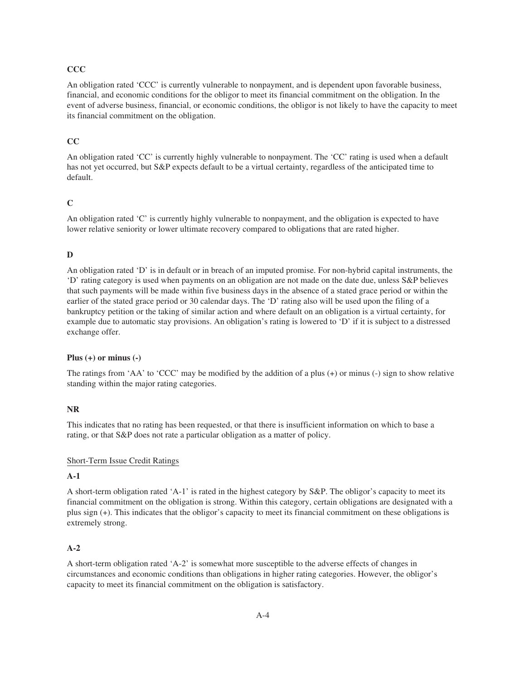## **CCC**

An obligation rated 'CCC' is currently vulnerable to nonpayment, and is dependent upon favorable business, financial, and economic conditions for the obligor to meet its financial commitment on the obligation. In the event of adverse business, financial, or economic conditions, the obligor is not likely to have the capacity to meet its financial commitment on the obligation.

## **CC**

An obligation rated 'CC' is currently highly vulnerable to nonpayment. The 'CC' rating is used when a default has not yet occurred, but S&P expects default to be a virtual certainty, regardless of the anticipated time to default.

# **C**

An obligation rated 'C' is currently highly vulnerable to nonpayment, and the obligation is expected to have lower relative seniority or lower ultimate recovery compared to obligations that are rated higher.

## **D**

An obligation rated 'D' is in default or in breach of an imputed promise. For non-hybrid capital instruments, the 'D' rating category is used when payments on an obligation are not made on the date due, unless S&P believes that such payments will be made within five business days in the absence of a stated grace period or within the earlier of the stated grace period or 30 calendar days. The 'D' rating also will be used upon the filing of a bankruptcy petition or the taking of similar action and where default on an obligation is a virtual certainty, for example due to automatic stay provisions. An obligation's rating is lowered to 'D' if it is subject to a distressed exchange offer.

#### **Plus (+) or minus (-)**

The ratings from 'AA' to 'CCC' may be modified by the addition of a plus (+) or minus (-) sign to show relative standing within the major rating categories.

## **NR**

This indicates that no rating has been requested, or that there is insufficient information on which to base a rating, or that S&P does not rate a particular obligation as a matter of policy.

#### Short-Term Issue Credit Ratings

## **A-1**

A short-term obligation rated 'A-1' is rated in the highest category by S&P. The obligor's capacity to meet its financial commitment on the obligation is strong. Within this category, certain obligations are designated with a plus sign (+). This indicates that the obligor's capacity to meet its financial commitment on these obligations is extremely strong.

## **A-2**

A short-term obligation rated 'A-2' is somewhat more susceptible to the adverse effects of changes in circumstances and economic conditions than obligations in higher rating categories. However, the obligor's capacity to meet its financial commitment on the obligation is satisfactory.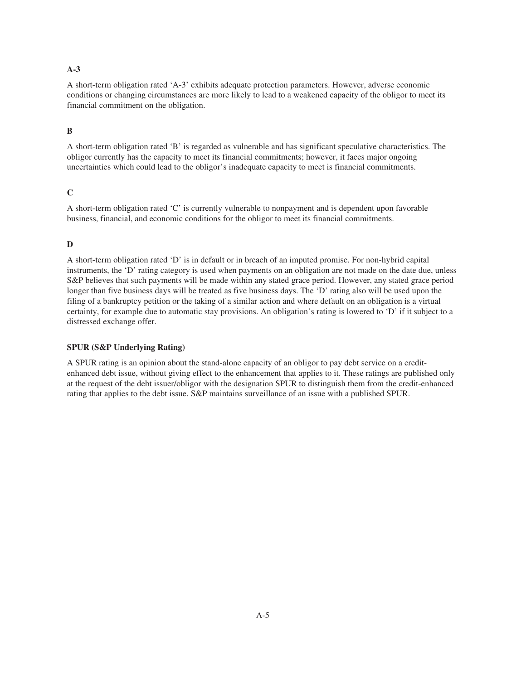## **A-3**

A short-term obligation rated 'A-3' exhibits adequate protection parameters. However, adverse economic conditions or changing circumstances are more likely to lead to a weakened capacity of the obligor to meet its financial commitment on the obligation.

## **B**

A short-term obligation rated 'B' is regarded as vulnerable and has significant speculative characteristics. The obligor currently has the capacity to meet its financial commitments; however, it faces major ongoing uncertainties which could lead to the obligor's inadequate capacity to meet is financial commitments.

# **C**

A short-term obligation rated 'C' is currently vulnerable to nonpayment and is dependent upon favorable business, financial, and economic conditions for the obligor to meet its financial commitments.

# **D**

A short-term obligation rated 'D' is in default or in breach of an imputed promise. For non-hybrid capital instruments, the 'D' rating category is used when payments on an obligation are not made on the date due, unless S&P believes that such payments will be made within any stated grace period. However, any stated grace period longer than five business days will be treated as five business days. The 'D' rating also will be used upon the filing of a bankruptcy petition or the taking of a similar action and where default on an obligation is a virtual certainty, for example due to automatic stay provisions. An obligation's rating is lowered to 'D' if it subject to a distressed exchange offer.

# **SPUR (S&P Underlying Rating)**

A SPUR rating is an opinion about the stand-alone capacity of an obligor to pay debt service on a creditenhanced debt issue, without giving effect to the enhancement that applies to it. These ratings are published only at the request of the debt issuer/obligor with the designation SPUR to distinguish them from the credit-enhanced rating that applies to the debt issue. S&P maintains surveillance of an issue with a published SPUR.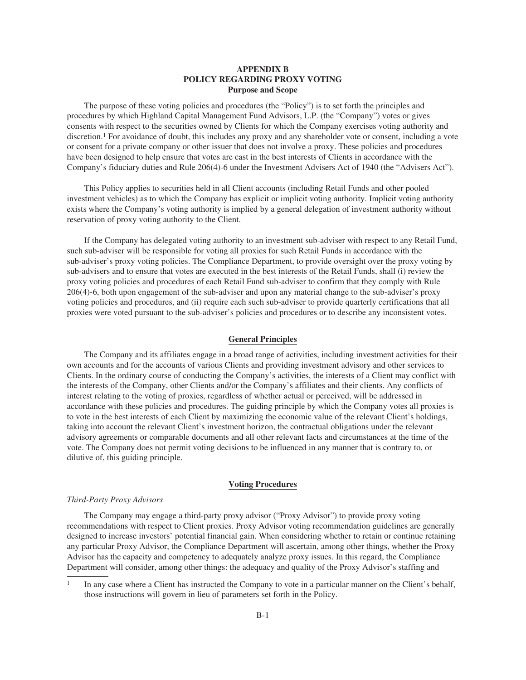# **APPENDIX B POLICY REGARDING PROXY VOTING Purpose and Scope**

The purpose of these voting policies and procedures (the "Policy") is to set forth the principles and procedures by which Highland Capital Management Fund Advisors, L.P. (the "Company") votes or gives consents with respect to the securities owned by Clients for which the Company exercises voting authority and discretion.1 For avoidance of doubt, this includes any proxy and any shareholder vote or consent, including a vote or consent for a private company or other issuer that does not involve a proxy. These policies and procedures have been designed to help ensure that votes are cast in the best interests of Clients in accordance with the Company's fiduciary duties and Rule 206(4)-6 under the Investment Advisers Act of 1940 (the "Advisers Act").

This Policy applies to securities held in all Client accounts (including Retail Funds and other pooled investment vehicles) as to which the Company has explicit or implicit voting authority. Implicit voting authority exists where the Company's voting authority is implied by a general delegation of investment authority without reservation of proxy voting authority to the Client.

If the Company has delegated voting authority to an investment sub-adviser with respect to any Retail Fund, such sub-adviser will be responsible for voting all proxies for such Retail Funds in accordance with the sub-adviser's proxy voting policies. The Compliance Department, to provide oversight over the proxy voting by sub-advisers and to ensure that votes are executed in the best interests of the Retail Funds, shall (i) review the proxy voting policies and procedures of each Retail Fund sub-adviser to confirm that they comply with Rule 206(4)-6, both upon engagement of the sub-adviser and upon any material change to the sub-adviser's proxy voting policies and procedures, and (ii) require each such sub-adviser to provide quarterly certifications that all proxies were voted pursuant to the sub-adviser's policies and procedures or to describe any inconsistent votes.

#### **General Principles**

The Company and its affiliates engage in a broad range of activities, including investment activities for their own accounts and for the accounts of various Clients and providing investment advisory and other services to Clients. In the ordinary course of conducting the Company's activities, the interests of a Client may conflict with the interests of the Company, other Clients and/or the Company's affiliates and their clients. Any conflicts of interest relating to the voting of proxies, regardless of whether actual or perceived, will be addressed in accordance with these policies and procedures. The guiding principle by which the Company votes all proxies is to vote in the best interests of each Client by maximizing the economic value of the relevant Client's holdings, taking into account the relevant Client's investment horizon, the contractual obligations under the relevant advisory agreements or comparable documents and all other relevant facts and circumstances at the time of the vote. The Company does not permit voting decisions to be influenced in any manner that is contrary to, or dilutive of, this guiding principle.

#### **Voting Procedures**

## *Third-Party Proxy Advisors*

The Company may engage a third-party proxy advisor ("Proxy Advisor") to provide proxy voting recommendations with respect to Client proxies. Proxy Advisor voting recommendation guidelines are generally designed to increase investors' potential financial gain. When considering whether to retain or continue retaining any particular Proxy Advisor, the Compliance Department will ascertain, among other things, whether the Proxy Advisor has the capacity and competency to adequately analyze proxy issues. In this regard, the Compliance Department will consider, among other things: the adequacy and quality of the Proxy Advisor's staffing and

<sup>1</sup> In any case where a Client has instructed the Company to vote in a particular manner on the Client's behalf, those instructions will govern in lieu of parameters set forth in the Policy.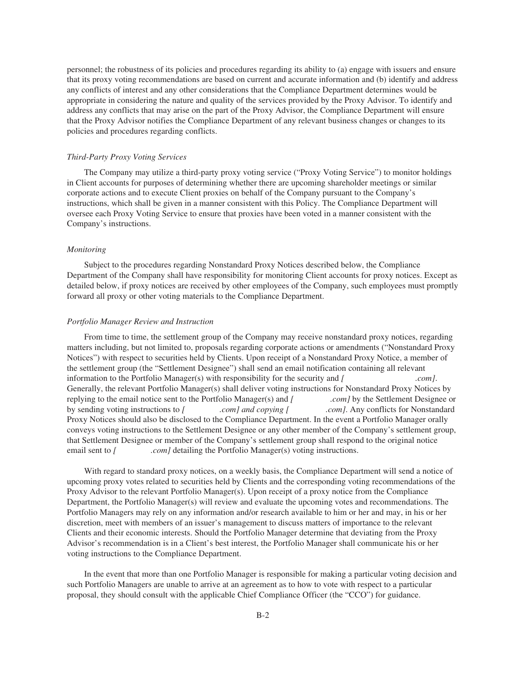personnel; the robustness of its policies and procedures regarding its ability to (a) engage with issuers and ensure that its proxy voting recommendations are based on current and accurate information and (b) identify and address any conflicts of interest and any other considerations that the Compliance Department determines would be appropriate in considering the nature and quality of the services provided by the Proxy Advisor. To identify and address any conflicts that may arise on the part of the Proxy Advisor, the Compliance Department will ensure that the Proxy Advisor notifies the Compliance Department of any relevant business changes or changes to its policies and procedures regarding conflicts.

### *Third-Party Proxy Voting Services*

The Company may utilize a third-party proxy voting service ("Proxy Voting Service") to monitor holdings in Client accounts for purposes of determining whether there are upcoming shareholder meetings or similar corporate actions and to execute Client proxies on behalf of the Company pursuant to the Company's instructions, which shall be given in a manner consistent with this Policy. The Compliance Department will oversee each Proxy Voting Service to ensure that proxies have been voted in a manner consistent with the Company's instructions.

#### *Monitoring*

Subject to the procedures regarding Nonstandard Proxy Notices described below, the Compliance Department of the Company shall have responsibility for monitoring Client accounts for proxy notices. Except as detailed below, if proxy notices are received by other employees of the Company, such employees must promptly forward all proxy or other voting materials to the Compliance Department.

#### *Portfolio Manager Review and Instruction*

From time to time, the settlement group of the Company may receive nonstandard proxy notices, regarding matters including, but not limited to, proposals regarding corporate actions or amendments ("Nonstandard Proxy Notices") with respect to securities held by Clients. Upon receipt of a Nonstandard Proxy Notice, a member of the settlement group (the "Settlement Designee") shall send an email notification containing all relevant information to the Portfolio Manager(s) with responsibility for the security and *[ .com]*. Generally, the relevant Portfolio Manager(s) shall deliver voting instructions for Nonstandard Proxy Notices by replying to the email notice sent to the Portfolio Manager(s) and *[ .com]* by the Settlement Designee or by sending voting instructions to *[ .com] and copying [ .com]*. Any conflicts for Nonstandard Proxy Notices should also be disclosed to the Compliance Department. In the event a Portfolio Manager orally conveys voting instructions to the Settlement Designee or any other member of the Company's settlement group, that Settlement Designee or member of the Company's settlement group shall respond to the original notice email sent to *[ .com]* detailing the Portfolio Manager(s) voting instructions.

With regard to standard proxy notices, on a weekly basis, the Compliance Department will send a notice of upcoming proxy votes related to securities held by Clients and the corresponding voting recommendations of the Proxy Advisor to the relevant Portfolio Manager(s). Upon receipt of a proxy notice from the Compliance Department, the Portfolio Manager(s) will review and evaluate the upcoming votes and recommendations. The Portfolio Managers may rely on any information and/or research available to him or her and may, in his or her discretion, meet with members of an issuer's management to discuss matters of importance to the relevant Clients and their economic interests. Should the Portfolio Manager determine that deviating from the Proxy Advisor's recommendation is in a Client's best interest, the Portfolio Manager shall communicate his or her voting instructions to the Compliance Department.

In the event that more than one Portfolio Manager is responsible for making a particular voting decision and such Portfolio Managers are unable to arrive at an agreement as to how to vote with respect to a particular proposal, they should consult with the applicable Chief Compliance Officer (the "CCO") for guidance.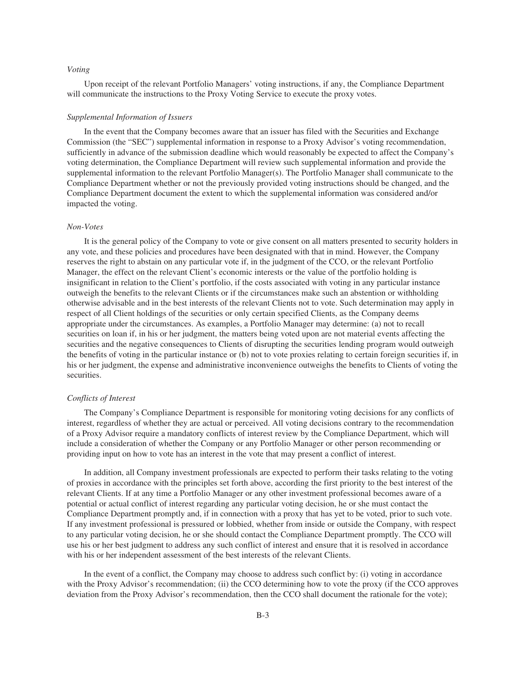#### *Voting*

Upon receipt of the relevant Portfolio Managers' voting instructions, if any, the Compliance Department will communicate the instructions to the Proxy Voting Service to execute the proxy votes.

#### *Supplemental Information of Issuers*

In the event that the Company becomes aware that an issuer has filed with the Securities and Exchange Commission (the "SEC") supplemental information in response to a Proxy Advisor's voting recommendation, sufficiently in advance of the submission deadline which would reasonably be expected to affect the Company's voting determination, the Compliance Department will review such supplemental information and provide the supplemental information to the relevant Portfolio Manager(s). The Portfolio Manager shall communicate to the Compliance Department whether or not the previously provided voting instructions should be changed, and the Compliance Department document the extent to which the supplemental information was considered and/or impacted the voting.

## *Non-Votes*

It is the general policy of the Company to vote or give consent on all matters presented to security holders in any vote, and these policies and procedures have been designated with that in mind. However, the Company reserves the right to abstain on any particular vote if, in the judgment of the CCO, or the relevant Portfolio Manager, the effect on the relevant Client's economic interests or the value of the portfolio holding is insignificant in relation to the Client's portfolio, if the costs associated with voting in any particular instance outweigh the benefits to the relevant Clients or if the circumstances make such an abstention or withholding otherwise advisable and in the best interests of the relevant Clients not to vote. Such determination may apply in respect of all Client holdings of the securities or only certain specified Clients, as the Company deems appropriate under the circumstances. As examples, a Portfolio Manager may determine: (a) not to recall securities on loan if, in his or her judgment, the matters being voted upon are not material events affecting the securities and the negative consequences to Clients of disrupting the securities lending program would outweigh the benefits of voting in the particular instance or (b) not to vote proxies relating to certain foreign securities if, in his or her judgment, the expense and administrative inconvenience outweighs the benefits to Clients of voting the securities.

#### *Conflicts of Interest*

The Company's Compliance Department is responsible for monitoring voting decisions for any conflicts of interest, regardless of whether they are actual or perceived. All voting decisions contrary to the recommendation of a Proxy Advisor require a mandatory conflicts of interest review by the Compliance Department, which will include a consideration of whether the Company or any Portfolio Manager or other person recommending or providing input on how to vote has an interest in the vote that may present a conflict of interest.

In addition, all Company investment professionals are expected to perform their tasks relating to the voting of proxies in accordance with the principles set forth above, according the first priority to the best interest of the relevant Clients. If at any time a Portfolio Manager or any other investment professional becomes aware of a potential or actual conflict of interest regarding any particular voting decision, he or she must contact the Compliance Department promptly and, if in connection with a proxy that has yet to be voted, prior to such vote. If any investment professional is pressured or lobbied, whether from inside or outside the Company, with respect to any particular voting decision, he or she should contact the Compliance Department promptly. The CCO will use his or her best judgment to address any such conflict of interest and ensure that it is resolved in accordance with his or her independent assessment of the best interests of the relevant Clients.

In the event of a conflict, the Company may choose to address such conflict by: (i) voting in accordance with the Proxy Advisor's recommendation; (ii) the CCO determining how to vote the proxy (if the CCO approves deviation from the Proxy Advisor's recommendation, then the CCO shall document the rationale for the vote);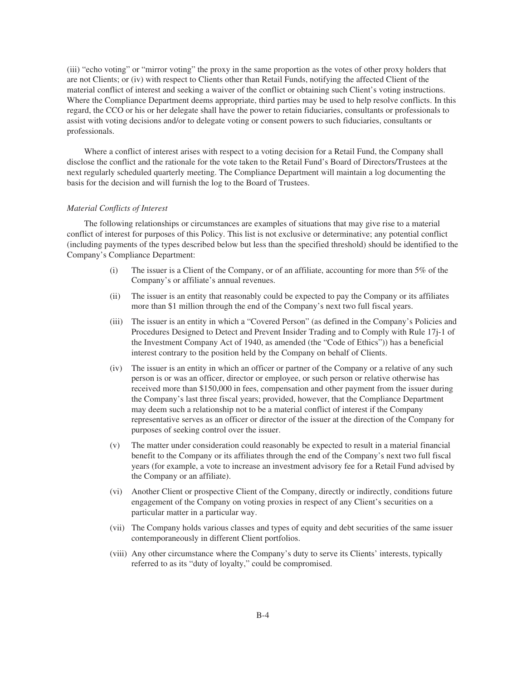(iii) "echo voting" or "mirror voting" the proxy in the same proportion as the votes of other proxy holders that are not Clients; or (iv) with respect to Clients other than Retail Funds, notifying the affected Client of the material conflict of interest and seeking a waiver of the conflict or obtaining such Client's voting instructions. Where the Compliance Department deems appropriate, third parties may be used to help resolve conflicts. In this regard, the CCO or his or her delegate shall have the power to retain fiduciaries, consultants or professionals to assist with voting decisions and/or to delegate voting or consent powers to such fiduciaries, consultants or professionals.

Where a conflict of interest arises with respect to a voting decision for a Retail Fund, the Company shall disclose the conflict and the rationale for the vote taken to the Retail Fund's Board of Directors/Trustees at the next regularly scheduled quarterly meeting. The Compliance Department will maintain a log documenting the basis for the decision and will furnish the log to the Board of Trustees.

#### *Material Conflicts of Interest*

The following relationships or circumstances are examples of situations that may give rise to a material conflict of interest for purposes of this Policy. This list is not exclusive or determinative; any potential conflict (including payments of the types described below but less than the specified threshold) should be identified to the Company's Compliance Department:

- (i) The issuer is a Client of the Company, or of an affiliate, accounting for more than 5% of the Company's or affiliate's annual revenues.
- (ii) The issuer is an entity that reasonably could be expected to pay the Company or its affiliates more than \$1 million through the end of the Company's next two full fiscal years.
- (iii) The issuer is an entity in which a "Covered Person" (as defined in the Company's Policies and Procedures Designed to Detect and Prevent Insider Trading and to Comply with Rule 17j-1 of the Investment Company Act of 1940, as amended (the "Code of Ethics")) has a beneficial interest contrary to the position held by the Company on behalf of Clients.
- (iv) The issuer is an entity in which an officer or partner of the Company or a relative of any such person is or was an officer, director or employee, or such person or relative otherwise has received more than \$150,000 in fees, compensation and other payment from the issuer during the Company's last three fiscal years; provided, however, that the Compliance Department may deem such a relationship not to be a material conflict of interest if the Company representative serves as an officer or director of the issuer at the direction of the Company for purposes of seeking control over the issuer.
- (v) The matter under consideration could reasonably be expected to result in a material financial benefit to the Company or its affiliates through the end of the Company's next two full fiscal years (for example, a vote to increase an investment advisory fee for a Retail Fund advised by the Company or an affiliate).
- (vi) Another Client or prospective Client of the Company, directly or indirectly, conditions future engagement of the Company on voting proxies in respect of any Client's securities on a particular matter in a particular way.
- (vii) The Company holds various classes and types of equity and debt securities of the same issuer contemporaneously in different Client portfolios.
- (viii) Any other circumstance where the Company's duty to serve its Clients' interests, typically referred to as its "duty of loyalty," could be compromised.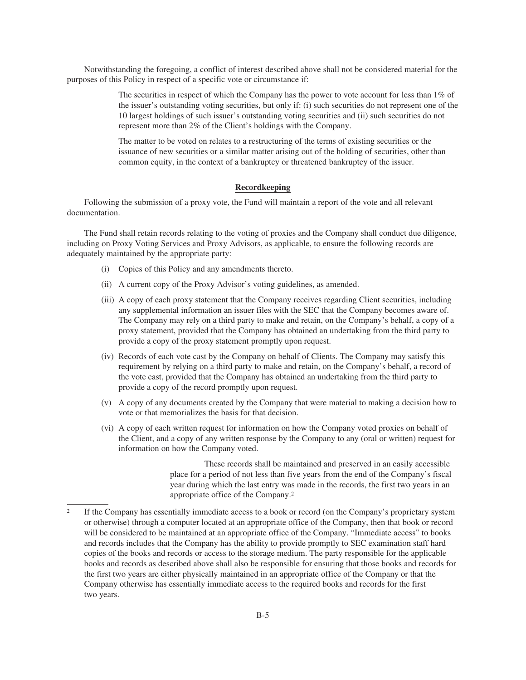Notwithstanding the foregoing, a conflict of interest described above shall not be considered material for the purposes of this Policy in respect of a specific vote or circumstance if:

> The securities in respect of which the Company has the power to vote account for less than 1% of the issuer's outstanding voting securities, but only if: (i) such securities do not represent one of the 10 largest holdings of such issuer's outstanding voting securities and (ii) such securities do not represent more than 2% of the Client's holdings with the Company.

The matter to be voted on relates to a restructuring of the terms of existing securities or the issuance of new securities or a similar matter arising out of the holding of securities, other than common equity, in the context of a bankruptcy or threatened bankruptcy of the issuer.

## **Recordkeeping**

Following the submission of a proxy vote, the Fund will maintain a report of the vote and all relevant documentation.

The Fund shall retain records relating to the voting of proxies and the Company shall conduct due diligence, including on Proxy Voting Services and Proxy Advisors, as applicable, to ensure the following records are adequately maintained by the appropriate party:

- (i) Copies of this Policy and any amendments thereto.
- (ii) A current copy of the Proxy Advisor's voting guidelines, as amended.
- (iii) A copy of each proxy statement that the Company receives regarding Client securities, including any supplemental information an issuer files with the SEC that the Company becomes aware of. The Company may rely on a third party to make and retain, on the Company's behalf, a copy of a proxy statement, provided that the Company has obtained an undertaking from the third party to provide a copy of the proxy statement promptly upon request.
- (iv) Records of each vote cast by the Company on behalf of Clients. The Company may satisfy this requirement by relying on a third party to make and retain, on the Company's behalf, a record of the vote cast, provided that the Company has obtained an undertaking from the third party to provide a copy of the record promptly upon request.
- (v) A copy of any documents created by the Company that were material to making a decision how to vote or that memorializes the basis for that decision.
- (vi) A copy of each written request for information on how the Company voted proxies on behalf of the Client, and a copy of any written response by the Company to any (oral or written) request for information on how the Company voted.

These records shall be maintained and preserved in an easily accessible place for a period of not less than five years from the end of the Company's fiscal year during which the last entry was made in the records, the first two years in an appropriate office of the Company.2

<sup>&</sup>lt;sup>2</sup> If the Company has essentially immediate access to a book or record (on the Company's proprietary system or otherwise) through a computer located at an appropriate office of the Company, then that book or record will be considered to be maintained at an appropriate office of the Company. "Immediate access" to books and records includes that the Company has the ability to provide promptly to SEC examination staff hard copies of the books and records or access to the storage medium. The party responsible for the applicable books and records as described above shall also be responsible for ensuring that those books and records for the first two years are either physically maintained in an appropriate office of the Company or that the Company otherwise has essentially immediate access to the required books and records for the first two years.